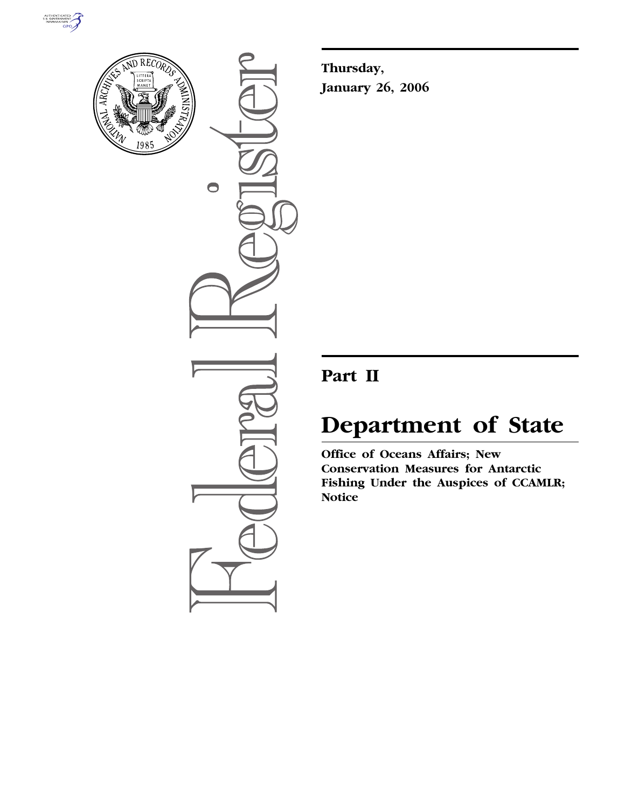



 $\bullet$ 

**Thursday, January 26, 2006** 

## **Part II**

# **Department of State**

**Office of Oceans Affairs; New Conservation Measures for Antarctic Fishing Under the Auspices of CCAMLR; Notice**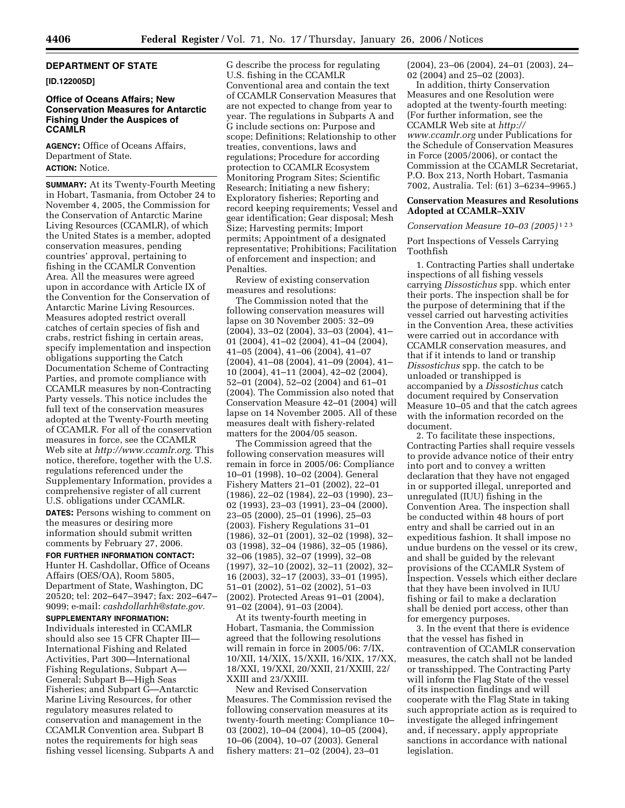## **DEPARTMENT OF STATE**

**[ID.122005D]** 

## **Office of Oceans Affairs; New Conservation Measures for Antarctic Fishing Under the Auspices of CCAMLR**

**AGENCY:** Office of Oceans Affairs, Department of State. **ACTION:** Notice.

**SUMMARY:** At its Twenty-Fourth Meeting in Hobart, Tasmania, from October 24 to November 4, 2005, the Commission for the Conservation of Antarctic Marine Living Resources (CCAMLR), of which the United States is a member, adopted conservation measures, pending countries' approval, pertaining to fishing in the CCAMLR Convention Area. All the measures were agreed upon in accordance with Article IX of the Convention for the Conservation of Antarctic Marine Living Resources. Measures adopted restrict overall catches of certain species of fish and crabs, restrict fishing in certain areas, specify implementation and inspection obligations supporting the Catch Documentation Scheme of Contracting Parties, and promote compliance with CCAMLR measures by non-Contracting Party vessels. This notice includes the full text of the conservation measures adopted at the Twenty-Fourth meeting of CCAMLR. For all of the conservation measures in force, see the CCAMLR Web site at *http://www.ccamlr.org*. This notice, therefore, together with the U.S. regulations referenced under the Supplementary Information, provides a comprehensive register of all current U.S. obligations under CCAMLR. **DATES:** Persons wishing to comment on the measures or desiring more information should submit written comments by February 27, 2006.

#### **FOR FURTHER INFORMATION CONTACT:**

Hunter H. Cashdollar, Office of Oceans Affairs (OES/OA), Room 5805, Department of State, Washington, DC 20520; tel: 202–647–3947; fax: 202–647– 9099; e-mail: *cashdollarhh@state.gov.* 

## **SUPPLEMENTARY INFORMATION:**

Individuals interested in CCAMLR should also see 15 CFR Chapter III— International Fishing and Related Activities, Part 300—International Fishing Regulations, Subpart A— General; Subpart B—High Seas Fisheries; and Subpart G—Antarctic Marine Living Resources, for other regulatory measures related to conservation and management in the CCAMLR Convention area. Subpart B notes the requirements for high seas fishing vessel licensing. Subparts A and

G describe the process for regulating U.S. fishing in the CCAMLR Conventional area and contain the text of CCAMLR Conservation Measures that are not expected to change from year to year. The regulations in Subparts A and G include sections on: Purpose and scope; Definitions; Relationship to other treaties, conventions, laws and regulations; Procedure for according protection to CCAMLR Ecosystem Monitoring Program Sites; Scientific Research; Initiating a new fishery; Exploratory fisheries; Reporting and record keeping requirements; Vessel and gear identification; Gear disposal; Mesh Size; Harvesting permits; Import permits; Appointment of a designated representative; Prohibitions; Facilitation of enforcement and inspection; and Penalties.

Review of existing conservation measures and resolutions:

The Commission noted that the following conservation measures will lapse on 30 November 2005: 32–09 (2004), 33–02 (2004), 33–03 (2004), 41– 01 (2004), 41–02 (2004), 41–04 (2004), 41–05 (2004), 41–06 (2004), 41–07 (2004), 41–08 (2004), 41–09 (2004), 41– 10 (2004), 41–11 (2004), 42–02 (2004), 52–01 (2004), 52–02 (2004) and 61–01 (2004). The Commission also noted that Conservation Measure 42–01 (2004) will lapse on 14 November 2005. All of these measures dealt with fishery-related matters for the 2004/05 season.

The Commission agreed that the following conservation measures will remain in force in 2005/06: Compliance 10–01 (1998), 10–02 (2004). General Fishery Matters 21–01 (2002), 22–01 (1986), 22–02 (1984), 22–03 (1990), 23– 02 (1993), 23–03 (1991), 23–04 (2000), 23–05 (2000), 25–01 (1996), 25–03 (2003). Fishery Regulations 31–01 (1986), 32–01 (2001), 32–02 (1998), 32– 03 (1998), 32–04 (1986), 32–05 (1986), 32–06 (1985), 32–07 (1999), 32–08 (1997), 32–10 (2002), 32–11 (2002), 32– 16 (2003), 32–17 (2003), 33–01 (1995), 51–01 (2002), 51–02 (2002), 51–03 (2002). Protected Areas 91–01 (2004), 91–02 (2004), 91–03 (2004).

At its twenty-fourth meeting in Hobart, Tasmania, the Commission agreed that the following resolutions will remain in force in 2005/06: 7/IX, 10/XII, 14/XIX, 15/XXII, 16/XIX, 17/XX, 18/XXI, 19/XXI, 20/XXII, 21/XXIII, 22/ XXIII and 23/XXIII.

New and Revised Conservation Measures. The Commission revised the following conservation measures at its twenty-fourth meeting: Compliance 10– 03 (2002), 10–04 (2004), 10–05 (2004), 10–06 (2004), 10–07 (2003). General fishery matters: 21–02 (2004), 23–01

(2004), 23–06 (2004), 24–01 (2003), 24– 02 (2004) and 25–02 (2003).

In addition, thirty Conservation Measures and one Resolution were adopted at the twenty-fourth meeting: (For further information, see the CCAMLR Web site at *http:// www.ccamlr.org* under Publications for the Schedule of Conservation Measures in Force (2005/2006), or contact the Commission at the CCAMLR Secretariat, P.O. Box 213, North Hobart, Tasmania 7002, Australia. Tel: (61) 3–6234–9965.)

## **Conservation Measures and Resolutions Adopted at CCAMLR–XXIV**

*Conservation Measure 10–03 (2005)* 123

Port Inspections of Vessels Carrying Toothfish

1. Contracting Parties shall undertake inspections of all fishing vessels carrying *Dissostichus* spp. which enter their ports. The inspection shall be for the purpose of determining that if the vessel carried out harvesting activities in the Convention Area, these activities were carried out in accordance with CCAMLR conservation measures, and that if it intends to land or tranship *Dissostichus* spp. the catch to be unloaded or transhipped is accompanied by a *Dissostichus* catch document required by Conservation Measure 10–05 and that the catch agrees with the information recorded on the document.

2. To facilitate these inspections, Contracting Parties shall require vessels to provide advance notice of their entry into port and to convey a written declaration that they have not engaged in or supported illegal, unreported and unregulated (IUU) fishing in the Convention Area. The inspection shall be conducted within 48 hours of port entry and shall be carried out in an expeditious fashion. It shall impose no undue burdens on the vessel or its crew, and shall be guided by the relevant provisions of the CCAMLR System of Inspection. Vessels which either declare that they have been involved in IUU fishing or fail to make a declaration shall be denied port access, other than for emergency purposes.

3. In the event that there is evidence that the vessel has fished in contravention of CCAMLR conservation measures, the catch shall not be landed or transshipped. The Contracting Party will inform the Flag State of the vessel of its inspection findings and will cooperate with the Flag State in taking such appropriate action as is required to investigate the alleged infringement and, if necessary, apply appropriate sanctions in accordance with national legislation.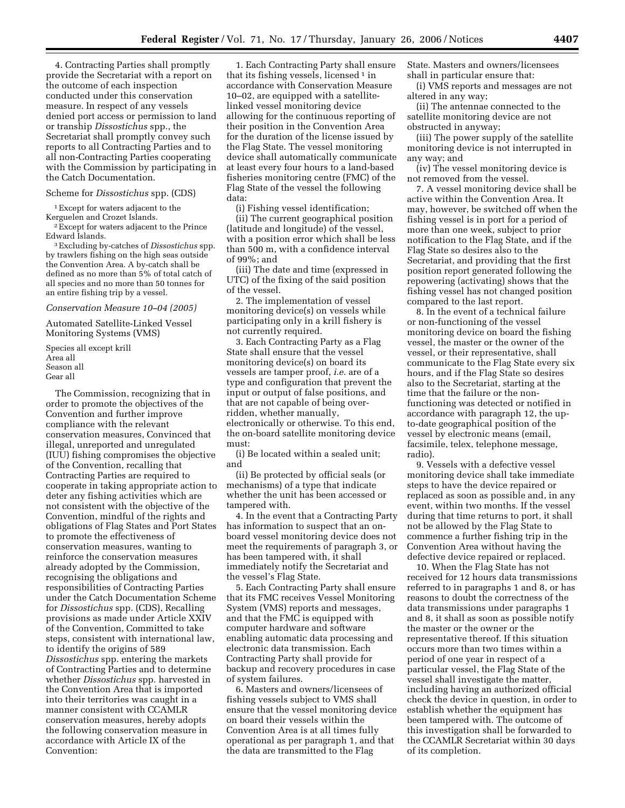4. Contracting Parties shall promptly provide the Secretariat with a report on the outcome of each inspection conducted under this conservation measure. In respect of any vessels denied port access or permission to land or tranship *Dissostichus* spp., the Secretariat shall promptly convey such reports to all Contracting Parties and to all non-Contracting Parties cooperating with the Commission by participating in the Catch Documentation.

#### Scheme for *Dissostichus* spp. (CDS)

<sup>1</sup> Except for waters adjacent to the Kerguelen and Crozet Islands.

 $2$  Except for waters adjacent to the Prince Edward Islands. 3Excluding by-catches of *Dissostichus* spp.

by trawlers fishing on the high seas outside the Convention Area. A by-catch shall be defined as no more than 5% of total catch of all species and no more than 50 tonnes for an entire fishing trip by a vessel.

## *Conservation Measure 10–04 (2005)*

Automated Satellite-Linked Vessel Monitoring Systems (VMS)

Species all except krill Area all Season all Gear all

The Commission, recognizing that in order to promote the objectives of the Convention and further improve compliance with the relevant conservation measures, Convinced that illegal, unreported and unregulated (IUU) fishing compromises the objective of the Convention, recalling that Contracting Parties are required to cooperate in taking appropriate action to deter any fishing activities which are not consistent with the objective of the Convention, mindful of the rights and obligations of Flag States and Port States to promote the effectiveness of conservation measures, wanting to reinforce the conservation measures already adopted by the Commission, recognising the obligations and responsibilities of Contracting Parties under the Catch Documentation Scheme for *Dissostichus* spp. (CDS), Recalling provisions as made under Article XXIV of the Convention, Committed to take steps, consistent with international law, to identify the origins of 589 *Dissostichus* spp. entering the markets of Contracting Parties and to determine whether *Dissostichus* spp. harvested in the Convention Area that is imported into their territories was caught in a manner consistent with CCAMLR conservation measures, hereby adopts the following conservation measure in accordance with Article IX of the Convention:

1. Each Contracting Party shall ensure that its fishing vessels, licensed  $1$  in accordance with Conservation Measure 10–02, are equipped with a satellitelinked vessel monitoring device allowing for the continuous reporting of their position in the Convention Area for the duration of the license issued by the Flag State. The vessel monitoring device shall automatically communicate at least every four hours to a land-based fisheries monitoring centre (FMC) of the Flag State of the vessel the following data:

(i) Fishing vessel identification;

(ii) The current geographical position (latitude and longitude) of the vessel, with a position error which shall be less than 500 m, with a confidence interval of 99%; and

(iii) The date and time (expressed in UTC) of the fixing of the said position of the vessel.

2. The implementation of vessel monitoring device(s) on vessels while participating only in a krill fishery is not currently required.

3. Each Contracting Party as a Flag State shall ensure that the vessel monitoring device(s) on board its vessels are tamper proof, *i.e.* are of a type and configuration that prevent the input or output of false positions, and that are not capable of being overridden, whether manually, electronically or otherwise. To this end, the on-board satellite monitoring device must:

(i) Be located within a sealed unit; and

(ii) Be protected by official seals (or mechanisms) of a type that indicate whether the unit has been accessed or tampered with.

4. In the event that a Contracting Party has information to suspect that an onboard vessel monitoring device does not meet the requirements of paragraph 3, or has been tampered with, it shall immediately notify the Secretariat and the vessel's Flag State.

5. Each Contracting Party shall ensure that its FMC receives Vessel Monitoring System (VMS) reports and messages, and that the FMC is equipped with computer hardware and software enabling automatic data processing and electronic data transmission. Each Contracting Party shall provide for backup and recovery procedures in case of system failures.

6. Masters and owners/licensees of fishing vessels subject to VMS shall ensure that the vessel monitoring device on board their vessels within the Convention Area is at all times fully operational as per paragraph 1, and that the data are transmitted to the Flag

State. Masters and owners/licensees shall in particular ensure that:

(i) VMS reports and messages are not altered in any way;

(ii) The antennae connected to the satellite monitoring device are not obstructed in anyway;

(iii) The power supply of the satellite monitoring device is not interrupted in any way; and

(iv) The vessel monitoring device is not removed from the vessel.

7. A vessel monitoring device shall be active within the Convention Area. It may, however, be switched off when the fishing vessel is in port for a period of more than one week, subject to prior notification to the Flag State, and if the Flag State so desires also to the Secretariat, and providing that the first position report generated following the repowering (activating) shows that the fishing vessel has not changed position compared to the last report.

8. In the event of a technical failure or non-functioning of the vessel monitoring device on board the fishing vessel, the master or the owner of the vessel, or their representative, shall communicate to the Flag State every six hours, and if the Flag State so desires also to the Secretariat, starting at the time that the failure or the nonfunctioning was detected or notified in accordance with paragraph 12, the upto-date geographical position of the vessel by electronic means (email, facsimile, telex, telephone message, radio).

9. Vessels with a defective vessel monitoring device shall take immediate steps to have the device repaired or replaced as soon as possible and, in any event, within two months. If the vessel during that time returns to port, it shall not be allowed by the Flag State to commence a further fishing trip in the Convention Area without having the defective device repaired or replaced.

10. When the Flag State has not received for 12 hours data transmissions referred to in paragraphs 1 and 8, or has reasons to doubt the correctness of the data transmissions under paragraphs 1 and 8, it shall as soon as possible notify the master or the owner or the representative thereof. If this situation occurs more than two times within a period of one year in respect of a particular vessel, the Flag State of the vessel shall investigate the matter, including having an authorized official check the device in question, in order to establish whether the equipment has been tampered with. The outcome of this investigation shall be forwarded to the CCAMLR Secretariat within 30 days of its completion.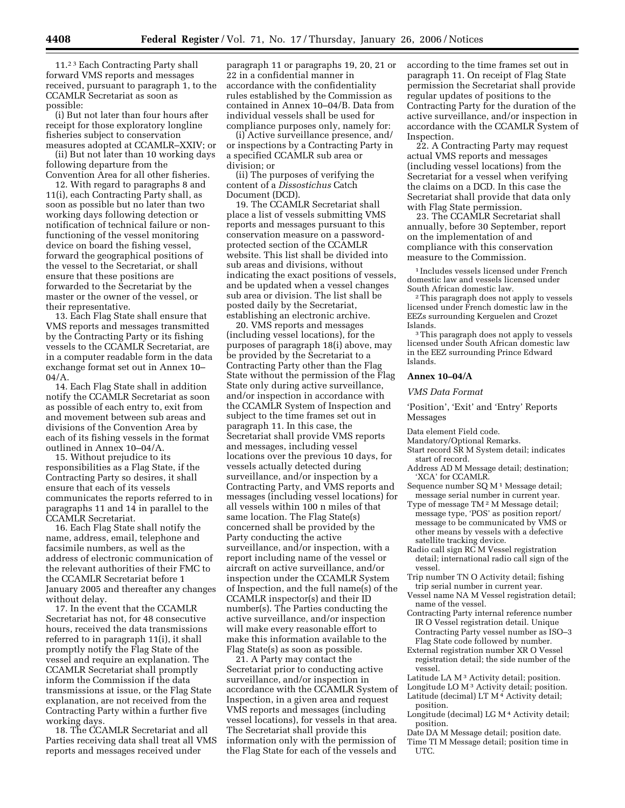11.2 3 Each Contracting Party shall forward VMS reports and messages received, pursuant to paragraph 1, to the CCAMLR Secretariat as soon as possible:

(i) But not later than four hours after receipt for those exploratory longline fisheries subject to conservation measures adopted at CCAMLR–XXIV; or

(ii) But not later than 10 working days following departure from the Convention Area for all other fisheries.

12. With regard to paragraphs 8 and 11(i), each Contracting Party shall, as soon as possible but no later than two working days following detection or notification of technical failure or nonfunctioning of the vessel monitoring device on board the fishing vessel, forward the geographical positions of the vessel to the Secretariat, or shall ensure that these positions are forwarded to the Secretariat by the master or the owner of the vessel, or their representative.

13. Each Flag State shall ensure that VMS reports and messages transmitted by the Contracting Party or its fishing vessels to the CCAMLR Secretariat, are in a computer readable form in the data exchange format set out in Annex 10– 04/A.

14. Each Flag State shall in addition notify the CCAMLR Secretariat as soon as possible of each entry to, exit from and movement between sub areas and divisions of the Convention Area by each of its fishing vessels in the format outlined in Annex 10–04/A.

15. Without prejudice to its responsibilities as a Flag State, if the Contracting Party so desires, it shall ensure that each of its vessels communicates the reports referred to in paragraphs 11 and 14 in parallel to the CCAMLR Secretariat.

16. Each Flag State shall notify the name, address, email, telephone and facsimile numbers, as well as the address of electronic communication of the relevant authorities of their FMC to the CCAMLR Secretariat before 1 January 2005 and thereafter any changes without delay.

17. In the event that the CCAMLR Secretariat has not, for 48 consecutive hours, received the data transmissions referred to in paragraph 11(i), it shall promptly notify the Flag State of the vessel and require an explanation. The CCAMLR Secretariat shall promptly inform the Commission if the data transmissions at issue, or the Flag State explanation, are not received from the Contracting Party within a further five working days.

18. The CCAMLR Secretariat and all Parties receiving data shall treat all VMS reports and messages received under

paragraph 11 or paragraphs 19, 20, 21 or 22 in a confidential manner in accordance with the confidentiality rules established by the Commission as contained in Annex 10–04/B. Data from individual vessels shall be used for compliance purposes only, namely for:

(i) Active surveillance presence, and/ or inspections by a Contracting Party in a specified CCAMLR sub area or division; or

(ii) The purposes of verifying the content of a *Dissostichus* Catch Document (DCD).

19. The CCAMLR Secretariat shall place a list of vessels submitting VMS reports and messages pursuant to this conservation measure on a passwordprotected section of the CCAMLR website. This list shall be divided into sub areas and divisions, without indicating the exact positions of vessels, and be updated when a vessel changes sub area or division. The list shall be posted daily by the Secretariat, establishing an electronic archive.

20. VMS reports and messages (including vessel locations), for the purposes of paragraph 18(i) above, may be provided by the Secretariat to a Contracting Party other than the Flag State without the permission of the Flag State only during active surveillance, and/or inspection in accordance with the CCAMLR System of Inspection and subject to the time frames set out in paragraph 11. In this case, the Secretariat shall provide VMS reports and messages, including vessel locations over the previous 10 days, for vessels actually detected during surveillance, and/or inspection by a Contracting Party, and VMS reports and messages (including vessel locations) for all vessels within 100 n miles of that same location. The Flag State(s) concerned shall be provided by the Party conducting the active surveillance, and/or inspection, with a report including name of the vessel or aircraft on active surveillance, and/or inspection under the CCAMLR System of Inspection, and the full name(s) of the CCAMLR inspector(s) and their ID number(s). The Parties conducting the active surveillance, and/or inspection will make every reasonable effort to make this information available to the Flag State(s) as soon as possible.

21. A Party may contact the Secretariat prior to conducting active surveillance, and/or inspection in accordance with the CCAMLR System of Inspection, in a given area and request VMS reports and messages (including vessel locations), for vessels in that area. The Secretariat shall provide this information only with the permission of the Flag State for each of the vessels and

according to the time frames set out in paragraph 11. On receipt of Flag State permission the Secretariat shall provide regular updates of positions to the Contracting Party for the duration of the active surveillance, and/or inspection in accordance with the CCAMLR System of Inspection.

22. A Contracting Party may request actual VMS reports and messages (including vessel locations) from the Secretariat for a vessel when verifying the claims on a DCD. In this case the Secretariat shall provide that data only with Flag State permission.

23. The CCAMLR Secretariat shall annually, before 30 September, report on the implementation of and compliance with this conservation measure to the Commission.

1 Includes vessels licensed under French domestic law and vessels licensed under<br>South African domestic law.

<sup>2</sup> This paragraph does not apply to vessels licensed under French domestic law in the EEZs surrounding Kerguelen and Crozet

Islands. 3This paragraph does not apply to vessels licensed under South African domestic law in the EEZ surrounding Prince Edward Islands.

## **Annex 10–04/A**

#### *VMS Data Format*

'Position', 'Exit' and 'Entry' Reports Messages

Data element Field code.

Mandatory/Optional Remarks.

- Start record SR M System detail; indicates start of record.
- Address AD M Message detail; destination; 'XCA' for CCAMLR.
- Sequence number SQ M 1 Message detail; message serial number in current year.
- Type of message TM 2 M Message detail; message type, 'POS' as position report/ message to be communicated by VMS or other means by vessels with a defective satellite tracking device.
- Radio call sign RC M Vessel registration detail; international radio call sign of the vessel.

Trip number TN O Activity detail; fishing trip serial number in current year.

- Vessel name NA M Vessel registration detail; name of the vessel.
- Contracting Party internal reference number IR O Vessel registration detail. Unique Contracting Party vessel number as ISO–3 Flag State code followed by number.
- External registration number XR O Vessel registration detail; the side number of the vessel.

Latitude LA M<sup>3</sup> Activity detail; position. Longitude LO  $M<sup>3</sup>$  Activity detail; position. Latitude (decimal) LT  $M<sup>4</sup>$  Activity detail;

position. Longitude (decimal) LG M 4 Activity detail; position.

Date DA M Message detail; position date. Time TI M Message detail; position time in UTC.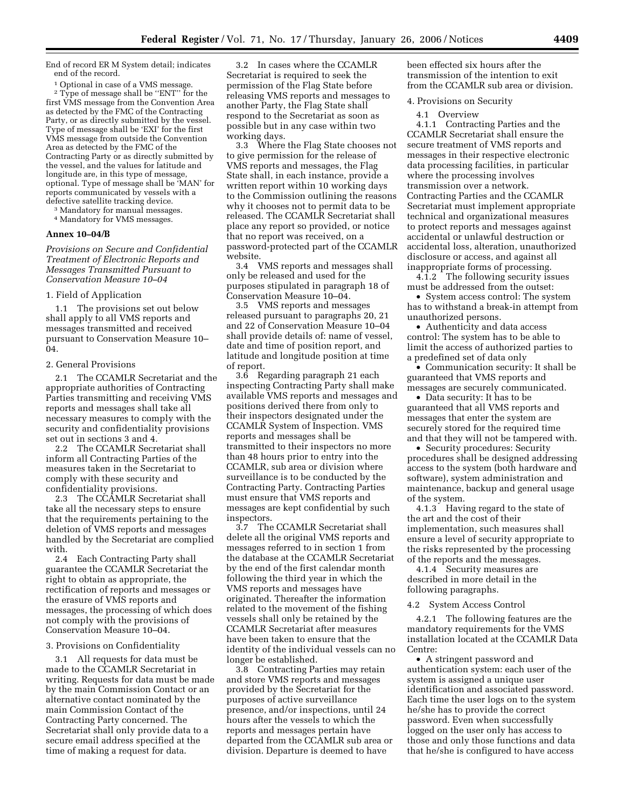End of record ER M System detail; indicates end of the record.

1 Optional in case of a VMS message.

<sup>2</sup> Type of message shall be "ENT" for the first VMS message from the Convention Area as detected by the FMC of the Contracting Party, or as directly submitted by the vessel. Type of message shall be 'EXI' for the first VMS message from outside the Convention Area as detected by the FMC of the Contracting Party or as directly submitted by the vessel, and the values for latitude and longitude are, in this type of message, optional. Type of message shall be 'MAN' for reports communicated by vessels with a defective satellite tracking device. 3 Mandatory for manual messages.

4 Mandatory for VMS messages.

## **Annex 10–04/B**

*Provisions on Secure and Confidential Treatment of Electronic Reports and Messages Transmitted Pursuant to Conservation Measure 10–04* 

#### 1. Field of Application

1.1 The provisions set out below shall apply to all VMS reports and messages transmitted and received pursuant to Conservation Measure 10– 04.

## 2. General Provisions

2.1 The CCAMLR Secretariat and the appropriate authorities of Contracting Parties transmitting and receiving VMS reports and messages shall take all necessary measures to comply with the security and confidentiality provisions set out in sections 3 and 4.

2.2 The CCAMLR Secretariat shall inform all Contracting Parties of the measures taken in the Secretariat to comply with these security and confidentiality provisions.

2.3 The CCAMLR Secretariat shall take all the necessary steps to ensure that the requirements pertaining to the deletion of VMS reports and messages handled by the Secretariat are complied with.

2.4 Each Contracting Party shall guarantee the CCAMLR Secretariat the right to obtain as appropriate, the rectification of reports and messages or the erasure of VMS reports and messages, the processing of which does not comply with the provisions of Conservation Measure 10–04.

## 3. Provisions on Confidentiality

3.1 All requests for data must be made to the CCAMLR Secretariat in writing. Requests for data must be made by the main Commission Contact or an alternative contact nominated by the main Commission Contact of the Contracting Party concerned. The Secretariat shall only provide data to a secure email address specified at the time of making a request for data.

3.2 In cases where the CCAMLR Secretariat is required to seek the permission of the Flag State before releasing VMS reports and messages to another Party, the Flag State shall respond to the Secretariat as soon as possible but in any case within two working days.

3.3 Where the Flag State chooses not to give permission for the release of VMS reports and messages, the Flag State shall, in each instance, provide a written report within 10 working days to the Commission outlining the reasons why it chooses not to permit data to be released. The CCAMLR Secretariat shall place any report so provided, or notice that no report was received, on a password-protected part of the CCAMLR website.<br>3.4

VMS reports and messages shall only be released and used for the purposes stipulated in paragraph 18 of Conservation Measure 10–04.

3.5 VMS reports and messages released pursuant to paragraphs 20, 21 and 22 of Conservation Measure 10–04 shall provide details of: name of vessel, date and time of position report, and latitude and longitude position at time of report.

3.6 Regarding paragraph 21 each inspecting Contracting Party shall make available VMS reports and messages and positions derived there from only to their inspectors designated under the CCAMLR System of Inspection. VMS reports and messages shall be transmitted to their inspectors no more than 48 hours prior to entry into the CCAMLR, sub area or division where surveillance is to be conducted by the Contracting Party. Contracting Parties must ensure that VMS reports and messages are kept confidential by such inspectors.

3.7 The CCAMLR Secretariat shall delete all the original VMS reports and messages referred to in section 1 from the database at the CCAMLR Secretariat by the end of the first calendar month following the third year in which the VMS reports and messages have originated. Thereafter the information related to the movement of the fishing vessels shall only be retained by the CCAMLR Secretariat after measures have been taken to ensure that the identity of the individual vessels can no longer be established.

3.8 Contracting Parties may retain and store VMS reports and messages provided by the Secretariat for the purposes of active surveillance presence, and/or inspections, until 24 hours after the vessels to which the reports and messages pertain have departed from the CCAMLR sub area or division. Departure is deemed to have

been effected six hours after the transmission of the intention to exit from the CCAMLR sub area or division.

#### 4. Provisions on Security

4.1 Overview

4.1.1 Contracting Parties and the CCAMLR Secretariat shall ensure the secure treatment of VMS reports and messages in their respective electronic data processing facilities, in particular where the processing involves transmission over a network. Contracting Parties and the CCAMLR Secretariat must implement appropriate technical and organizational measures to protect reports and messages against accidental or unlawful destruction or accidental loss, alteration, unauthorized disclosure or access, and against all inappropriate forms of processing.

4.1.2 The following security issues must be addressed from the outset:

• System access control: The system has to withstand a break-in attempt from unauthorized persons.

• Authenticity and data access control: The system has to be able to limit the access of authorized parties to a predefined set of data only

• Communication security: It shall be guaranteed that VMS reports and messages are securely communicated.

• Data security: It has to be guaranteed that all VMS reports and messages that enter the system are securely stored for the required time and that they will not be tampered with.

• Security procedures: Security procedures shall be designed addressing access to the system (both hardware and software), system administration and maintenance, backup and general usage of the system.

4.1.3 Having regard to the state of the art and the cost of their implementation, such measures shall ensure a level of security appropriate to the risks represented by the processing of the reports and the messages.

4.1.4 Security measures are described in more detail in the following paragraphs.

#### 4.2 System Access Control

4.2.1 The following features are the mandatory requirements for the VMS installation located at the CCAMLR Data Centre:

• A stringent password and authentication system: each user of the system is assigned a unique user identification and associated password. Each time the user logs on to the system he/she has to provide the correct password. Even when successfully logged on the user only has access to those and only those functions and data that he/she is configured to have access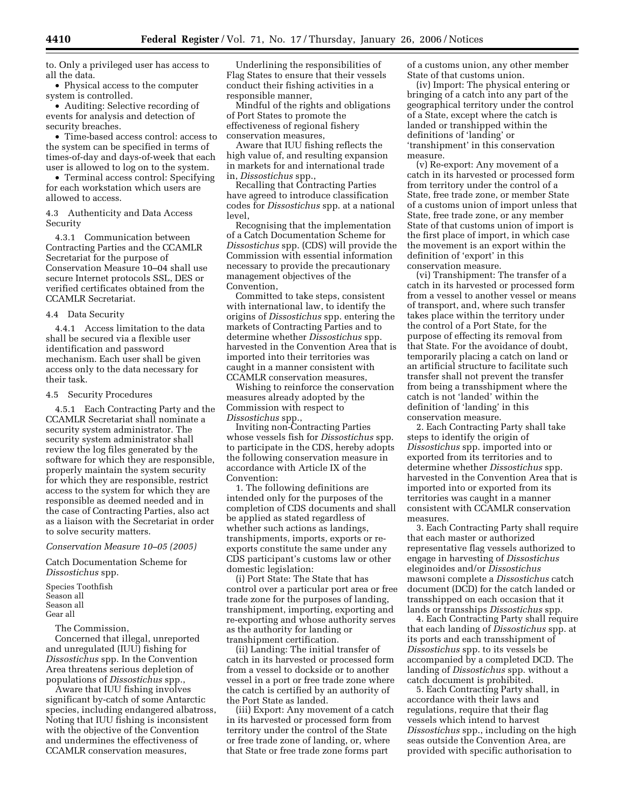to. Only a privileged user has access to all the data.

• Physical access to the computer system is controlled.

• Auditing: Selective recording of events for analysis and detection of security breaches.

• Time-based access control: access to the system can be specified in terms of times-of-day and days-of-week that each user is allowed to log on to the system.

• Terminal access control: Specifying for each workstation which users are allowed to access.

4.3 Authenticity and Data Access Security

4.3.1 Communication between Contracting Parties and the CCAMLR Secretariat for the purpose of Conservation Measure 10–04 shall use secure Internet protocols SSL, DES or verified certificates obtained from the CCAMLR Secretariat.

#### 4.4 Data Security

4.4.1 Access limitation to the data shall be secured via a flexible user identification and password mechanism. Each user shall be given access only to the data necessary for their task.

4.5 Security Procedures

4.5.1 Each Contracting Party and the CCAMLR Secretariat shall nominate a security system administrator. The security system administrator shall review the log files generated by the software for which they are responsible, properly maintain the system security for which they are responsible, restrict access to the system for which they are responsible as deemed needed and in the case of Contracting Parties, also act as a liaison with the Secretariat in order to solve security matters.

#### *Conservation Measure 10–05 (2005)*

Catch Documentation Scheme for *Dissostichus* spp.

Species Toothfish Season all Season all Gear all

The Commission,

Concerned that illegal, unreported and unregulated (IUU) fishing for *Dissostichus* spp. In the Convention Area threatens serious depletion of populations of *Dissostichus* spp.,

Aware that IUU fishing involves significant by-catch of some Antarctic species, including endangered albatross, Noting that IUU fishing is inconsistent with the objective of the Convention and undermines the effectiveness of CCAMLR conservation measures,

Underlining the responsibilities of Flag States to ensure that their vessels conduct their fishing activities in a responsible manner,

Mindful of the rights and obligations of Port States to promote the effectiveness of regional fishery conservation measures,

Aware that IUU fishing reflects the high value of, and resulting expansion in markets for and international trade in, *Dissostichus* spp.,

Recalling that Contracting Parties have agreed to introduce classification codes for *Dissostichus* spp. at a national level,

Recognising that the implementation of a Catch Documentation Scheme for *Dissostichus* spp. (CDS) will provide the Commission with essential information necessary to provide the precautionary management objectives of the Convention,

Committed to take steps, consistent with international law, to identify the origins of *Dissostichus* spp. entering the markets of Contracting Parties and to determine whether *Dissostichus* spp. harvested in the Convention Area that is imported into their territories was caught in a manner consistent with CCAMLR conservation measures,

Wishing to reinforce the conservation measures already adopted by the Commission with respect to *Dissostichus* spp.,

Inviting non-Contracting Parties whose vessels fish for *Dissostichus* spp. to participate in the CDS, hereby adopts the following conservation measure in accordance with Article IX of the Convention:

1. The following definitions are intended only for the purposes of the completion of CDS documents and shall be applied as stated regardless of whether such actions as landings, transhipments, imports, exports or reexports constitute the same under any CDS participant's customs law or other domestic legislation:

(i) Port State: The State that has control over a particular port area or free trade zone for the purposes of landing, transhipment, importing, exporting and re-exporting and whose authority serves as the authority for landing or transhipment certification.

(ii) Landing: The initial transfer of catch in its harvested or processed form from a vessel to dockside or to another vessel in a port or free trade zone where the catch is certified by an authority of the Port State as landed.

(iii) Export: Any movement of a catch in its harvested or processed form from territory under the control of the State or free trade zone of landing, or, where that State or free trade zone forms part

of a customs union, any other member State of that customs union.

(iv) Import: The physical entering or bringing of a catch into any part of the geographical territory under the control of a State, except where the catch is landed or transhipped within the definitions of 'landing' or 'transhipment' in this conservation measure.

(v) Re-export: Any movement of a catch in its harvested or processed form from territory under the control of a State, free trade zone, or member State of a customs union of import unless that State, free trade zone, or any member State of that customs union of import is the first place of import, in which case the movement is an export within the definition of 'export' in this conservation measure.

(vi) Transhipment: The transfer of a catch in its harvested or processed form from a vessel to another vessel or means of transport, and, where such transfer takes place within the territory under the control of a Port State, for the purpose of effecting its removal from that State. For the avoidance of doubt, temporarily placing a catch on land or an artificial structure to facilitate such transfer shall not prevent the transfer from being a transshipment where the catch is not 'landed' within the definition of 'landing' in this conservation measure.

2. Each Contracting Party shall take steps to identify the origin of *Dissostichus* spp. imported into or exported from its territories and to determine whether *Dissostichus* spp. harvested in the Convention Area that is imported into or exported from its territories was caught in a manner consistent with CCAMLR conservation measures.

3. Each Contracting Party shall require that each master or authorized representative flag vessels authorized to engage in harvesting of *Dissostichus*  eleginoides and/or *Dissostichus*  mawsoni complete a *Dissostichus* catch document (DCD) for the catch landed or transshipped on each occasion that it lands or transships *Dissostichus* spp.

4. Each Contracting Party shall require that each landing of *Dissostichus* spp. at its ports and each transshipment of *Dissostichus* spp. to its vessels be accompanied by a completed DCD. The landing of *Dissostichus* spp. without a catch document is prohibited.

5. Each Contracting Party shall, in accordance with their laws and regulations, require that their flag vessels which intend to harvest *Dissostichus* spp., including on the high seas outside the Convention Area, are provided with specific authorisation to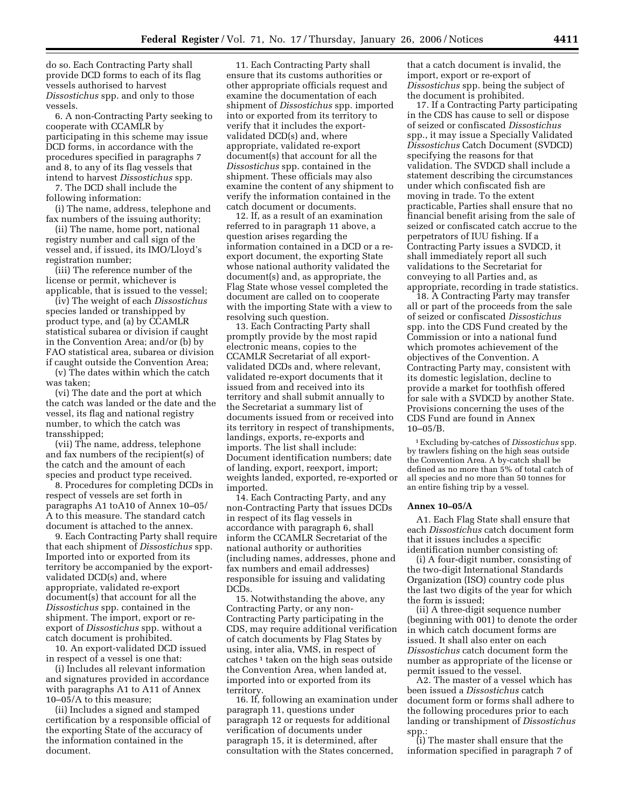do so. Each Contracting Party shall provide DCD forms to each of its flag vessels authorised to harvest *Dissostichus* spp. and only to those vessels.

6. A non-Contracting Party seeking to cooperate with CCAMLR by participating in this scheme may issue DCD forms, in accordance with the procedures specified in paragraphs 7 and 8, to any of its flag vessels that intend to harvest *Dissostichus* spp.

7. The DCD shall include the following information:

(i) The name, address, telephone and fax numbers of the issuing authority;

(ii) The name, home port, national registry number and call sign of the vessel and, if issued, its IMO/Lloyd's registration number;

(iii) The reference number of the license or permit, whichever is applicable, that is issued to the vessel;

(iv) The weight of each *Dissostichus*  species landed or transhipped by product type, and (a) by CCAMLR statistical subarea or division if caught in the Convention Area; and/or (b) by FAO statistical area, subarea or division if caught outside the Convention Area;

(v) The dates within which the catch was taken;

(vi) The date and the port at which the catch was landed or the date and the vessel, its flag and national registry number, to which the catch was transshipped;

(vii) The name, address, telephone and fax numbers of the recipient(s) of the catch and the amount of each species and product type received.

8. Procedures for completing DCDs in respect of vessels are set forth in paragraphs A1 toA10 of Annex 10–05/ A to this measure. The standard catch document is attached to the annex.

9. Each Contracting Party shall require that each shipment of *Dissostichus* spp. Imported into or exported from its territory be accompanied by the exportvalidated DCD(s) and, where appropriate, validated re-export document(s) that account for all the *Dissostichus* spp. contained in the shipment. The import, export or reexport of *Dissostichus* spp. without a catch document is prohibited.

10. An export-validated DCD issued in respect of a vessel is one that:

(i) Includes all relevant information and signatures provided in accordance with paragraphs A1 to A11 of Annex 10–05/A to this measure;

(ii) Includes a signed and stamped certification by a responsible official of the exporting State of the accuracy of the information contained in the document.

11. Each Contracting Party shall ensure that its customs authorities or other appropriate officials request and examine the documentation of each shipment of *Dissostichus* spp. imported into or exported from its territory to verify that it includes the exportvalidated DCD(s) and, where appropriate, validated re-export document(s) that account for all the *Dissostichus* spp. contained in the shipment. These officials may also examine the content of any shipment to verify the information contained in the catch document or documents.

12. If, as a result of an examination referred to in paragraph 11 above, a question arises regarding the information contained in a DCD or a reexport document, the exporting State whose national authority validated the document(s) and, as appropriate, the Flag State whose vessel completed the document are called on to cooperate with the importing State with a view to resolving such question.

13. Each Contracting Party shall promptly provide by the most rapid electronic means, copies to the CCAMLR Secretariat of all exportvalidated DCDs and, where relevant, validated re-export documents that it issued from and received into its territory and shall submit annually to the Secretariat a summary list of documents issued from or received into its territory in respect of transhipments, landings, exports, re-exports and imports. The list shall include: Document identification numbers; date of landing, export, reexport, import; weights landed, exported, re-exported or imported.

14. Each Contracting Party, and any non-Contracting Party that issues DCDs in respect of its flag vessels in accordance with paragraph 6, shall inform the CCAMLR Secretariat of the national authority or authorities (including names, addresses, phone and fax numbers and email addresses) responsible for issuing and validating DCDs.

15. Notwithstanding the above, any Contracting Party, or any non-Contracting Party participating in the CDS, may require additional verification of catch documents by Flag States by using, inter alia, VMS, in respect of catches 1 taken on the high seas outside the Convention Area, when landed at, imported into or exported from its territory.

16. If, following an examination under paragraph 11, questions under paragraph 12 or requests for additional verification of documents under paragraph 15, it is determined, after consultation with the States concerned,

that a catch document is invalid, the import, export or re-export of *Dissostichus* spp. being the subject of the document is prohibited.

17. If a Contracting Party participating in the CDS has cause to sell or dispose of seized or confiscated *Dissostichus*  spp., it may issue a Specially Validated *Dissostichus* Catch Document (SVDCD) specifying the reasons for that validation. The SVDCD shall include a statement describing the circumstances under which confiscated fish are moving in trade. To the extent practicable, Parties shall ensure that no financial benefit arising from the sale of seized or confiscated catch accrue to the perpetrators of IUU fishing. If a Contracting Party issues a SVDCD, it shall immediately report all such validations to the Secretariat for conveying to all Parties and, as appropriate, recording in trade statistics.

18. A Contracting Party may transfer all or part of the proceeds from the sale of seized or confiscated *Dissostichus*  spp. into the CDS Fund created by the Commission or into a national fund which promotes achievement of the objectives of the Convention. A Contracting Party may, consistent with its domestic legislation, decline to provide a market for toothfish offered for sale with a SVDCD by another State. Provisions concerning the uses of the CDS Fund are found in Annex 10–05/B.

1Excluding by-catches of *Dissostichus* spp. by trawlers fishing on the high seas outside the Convention Area. A by-catch shall be defined as no more than 5% of total catch of all species and no more than 50 tonnes for an entire fishing trip by a vessel.

## **Annex 10–05/A**

A1. Each Flag State shall ensure that each *Dissostichus* catch document form that it issues includes a specific identification number consisting of:

(i) A four-digit number, consisting of the two-digit International Standards Organization (ISO) country code plus the last two digits of the year for which the form is issued;

(ii) A three-digit sequence number (beginning with 001) to denote the order in which catch document forms are issued. It shall also enter on each *Dissostichus* catch document form the number as appropriate of the license or permit issued to the vessel.

A2. The master of a vessel which has been issued a *Dissostichus* catch document form or forms shall adhere to the following procedures prior to each landing or transhipment of *Dissostichus*  spp.:

(i) The master shall ensure that the information specified in paragraph 7 of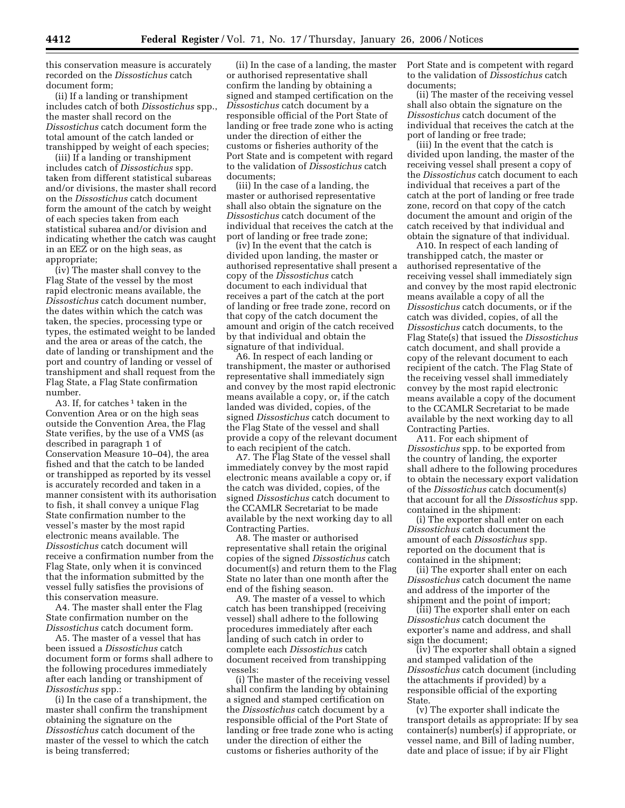this conservation measure is accurately recorded on the *Dissostichus* catch document form;

(ii) If a landing or transhipment includes catch of both *Dissostichus* spp., the master shall record on the *Dissostichus* catch document form the total amount of the catch landed or transhipped by weight of each species;

(iii) If a landing or transhipment includes catch of *Dissostichus* spp. taken from different statistical subareas and/or divisions, the master shall record on the *Dissostichus* catch document form the amount of the catch by weight of each species taken from each statistical subarea and/or division and indicating whether the catch was caught in an EEZ or on the high seas, as appropriate;

(iv) The master shall convey to the Flag State of the vessel by the most rapid electronic means available, the *Dissostichus* catch document number, the dates within which the catch was taken, the species, processing type or types, the estimated weight to be landed and the area or areas of the catch, the date of landing or transhipment and the port and country of landing or vessel of transhipment and shall request from the Flag State, a Flag State confirmation number.

A3. If, for catches<sup>1</sup> taken in the Convention Area or on the high seas outside the Convention Area, the Flag State verifies, by the use of a VMS (as described in paragraph 1 of Conservation Measure 10–04), the area fished and that the catch to be landed or transhipped as reported by its vessel is accurately recorded and taken in a manner consistent with its authorisation to fish, it shall convey a unique Flag State confirmation number to the vessel's master by the most rapid electronic means available. The *Dissostichus* catch document will receive a confirmation number from the Flag State, only when it is convinced that the information submitted by the vessel fully satisfies the provisions of this conservation measure.

A4. The master shall enter the Flag State confirmation number on the *Dissostichus* catch document form.

A5. The master of a vessel that has been issued a *Dissostichus* catch document form or forms shall adhere to the following procedures immediately after each landing or transhipment of *Dissostichus* spp.:

(i) In the case of a transhipment, the master shall confirm the transhipment obtaining the signature on the *Dissostichus* catch document of the master of the vessel to which the catch is being transferred;

(ii) In the case of a landing, the master or authorised representative shall confirm the landing by obtaining a signed and stamped certification on the *Dissostichus* catch document by a responsible official of the Port State of landing or free trade zone who is acting under the direction of either the customs or fisheries authority of the Port State and is competent with regard to the validation of *Dissostichus* catch documents;

(iii) In the case of a landing, the master or authorised representative shall also obtain the signature on the *Dissostichus* catch document of the individual that receives the catch at the port of landing or free trade zone;

(iv) In the event that the catch is divided upon landing, the master or authorised representative shall present a copy of the *Dissostichus* catch document to each individual that receives a part of the catch at the port of landing or free trade zone, record on that copy of the catch document the amount and origin of the catch received by that individual and obtain the signature of that individual.

A6. In respect of each landing or transhipment, the master or authorised representative shall immediately sign and convey by the most rapid electronic means available a copy, or, if the catch landed was divided, copies, of the signed *Dissostichus* catch document to the Flag State of the vessel and shall provide a copy of the relevant document to each recipient of the catch.

A7. The Flag State of the vessel shall immediately convey by the most rapid electronic means available a copy or, if the catch was divided, copies, of the signed *Dissostichus* catch document to the CCAMLR Secretariat to be made available by the next working day to all Contracting Parties.

A8. The master or authorised representative shall retain the original copies of the signed *Dissostichus* catch document(s) and return them to the Flag State no later than one month after the end of the fishing season.

A9. The master of a vessel to which catch has been transhipped (receiving vessel) shall adhere to the following procedures immediately after each landing of such catch in order to complete each *Dissostichus* catch document received from transhipping vessels:

(i) The master of the receiving vessel shall confirm the landing by obtaining a signed and stamped certification on the *Dissostichus* catch document by a responsible official of the Port State of landing or free trade zone who is acting under the direction of either the customs or fisheries authority of the

Port State and is competent with regard to the validation of *Dissostichus* catch documents;

(ii) The master of the receiving vessel shall also obtain the signature on the *Dissostichus* catch document of the individual that receives the catch at the port of landing or free trade;

(iii) In the event that the catch is divided upon landing, the master of the receiving vessel shall present a copy of the *Dissostichus* catch document to each individual that receives a part of the catch at the port of landing or free trade zone, record on that copy of the catch document the amount and origin of the catch received by that individual and obtain the signature of that individual.

A10. In respect of each landing of transhipped catch, the master or authorised representative of the receiving vessel shall immediately sign and convey by the most rapid electronic means available a copy of all the *Dissostichus* catch documents, or if the catch was divided, copies, of all the *Dissostichus* catch documents, to the Flag State(s) that issued the *Dissostichus*  catch document, and shall provide a copy of the relevant document to each recipient of the catch. The Flag State of the receiving vessel shall immediately convey by the most rapid electronic means available a copy of the document to the CCAMLR Secretariat to be made available by the next working day to all Contracting Parties.

A11. For each shipment of *Dissostichus* spp. to be exported from the country of landing, the exporter shall adhere to the following procedures to obtain the necessary export validation of the *Dissostichus* catch document(s) that account for all the *Dissostichus* spp. contained in the shipment:

(i) The exporter shall enter on each *Dissostichus* catch document the amount of each *Dissostichus* spp. reported on the document that is contained in the shipment;

(ii) The exporter shall enter on each *Dissostichus* catch document the name and address of the importer of the shipment and the point of import;

(iii) The exporter shall enter on each *Dissostichus* catch document the exporter's name and address, and shall sign the document;

(iv) The exporter shall obtain a signed and stamped validation of the *Dissostichus* catch document (including the attachments if provided) by a responsible official of the exporting State.

(v) The exporter shall indicate the transport details as appropriate: If by sea container(s) number(s) if appropriate, or vessel name, and Bill of lading number, date and place of issue; if by air Flight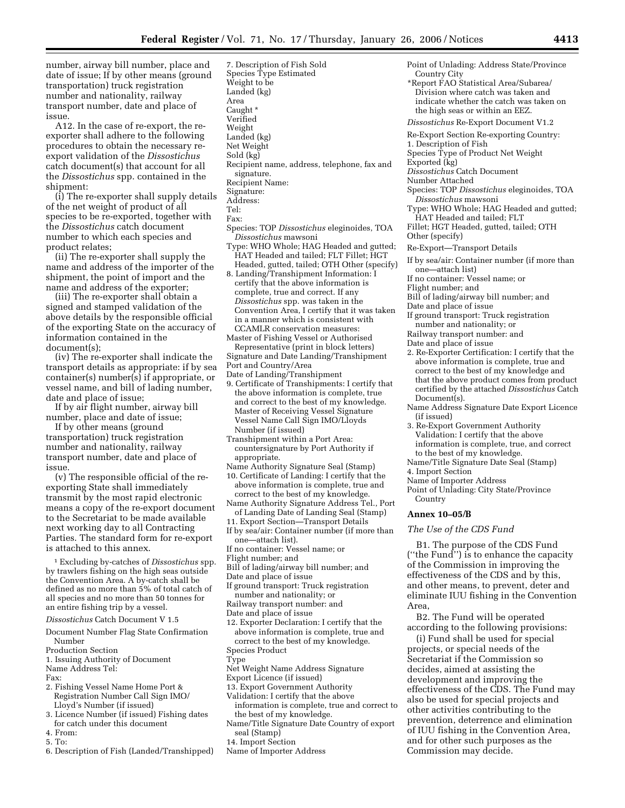number, airway bill number, place and date of issue; If by other means (ground transportation) truck registration number and nationality, railway transport number, date and place of issue.

A12. In the case of re-export, the reexporter shall adhere to the following procedures to obtain the necessary reexport validation of the *Dissostichus*  catch document(s) that account for all the *Dissostichus* spp. contained in the shipment:

(i) The re-exporter shall supply details of the net weight of product of all species to be re-exported, together with the *Dissostichus* catch document number to which each species and product relates;

(ii) The re-exporter shall supply the name and address of the importer of the shipment, the point of import and the name and address of the exporter;

(iii) The re-exporter shall obtain a signed and stamped validation of the above details by the responsible official of the exporting State on the accuracy of information contained in the document(s);

(iv) The re-exporter shall indicate the transport details as appropriate: if by sea container(s) number(s) if appropriate, or vessel name, and bill of lading number, date and place of issue;

If by air flight number, airway bill number, place and date of issue;

If by other means (ground transportation) truck registration number and nationality, railway transport number, date and place of issue.

(v) The responsible official of the reexporting State shall immediately transmit by the most rapid electronic means a copy of the re-export document to the Secretariat to be made available next working day to all Contracting Parties. The standard form for re-export is attached to this annex.

1 Excluding by-catches of *Dissostichus* spp. by trawlers fishing on the high seas outside the Convention Area. A by-catch shall be defined as no more than 5% of total catch of all species and no more than 50 tonnes for an entire fishing trip by a vessel.

*Dissostichus* Catch Document V 1.5

- Document Number Flag State Confirmation Number
- Production Section
- 1. Issuing Authority of Document
- Name Address Tel:
- Fax:
- 2. Fishing Vessel Name Home Port & Registration Number Call Sign IMO/ Lloyd's Number (if issued)
- 3. Licence Number (if issued) Fishing dates for catch under this document
- 4. From:
- 5. To:
- 6. Description of Fish (Landed/Transhipped)

7. Description of Fish Sold Species Type Estimated Weight to be Landed (kg) Area Caught \* Verified Weight Landed (kg) Net Weight Sold (kg) Recipient name, address, telephone, fax and signature. Recipient Name: Signature: Address:

Tel:

Fax:

- Species: TOP *Dissostichus* eleginoides, TOA *Dissostichus* mawsoni
- Type: WHO Whole; HAG Headed and gutted; HAT Headed and tailed; FLT Fillet; HGT Headed, gutted, tailed; OTH Other (specify)
- 8. Landing/Transhipment Information: I certify that the above information is complete, true and correct. If any *Dissostichus* spp. was taken in the Convention Area, I certify that it was taken in a manner which is consistent with CCAMLR conservation measures:
- Master of Fishing Vessel or Authorised

Representative (print in block letters) Signature and Date Landing/Transhipment Port and Country/Area

- Date of Landing/Transhipment
- 9. Certificate of Transhipments: I certify that the above information is complete, true and correct to the best of my knowledge. Master of Receiving Vessel Signature Vessel Name Call Sign IMO/Lloyds Number (if issued)
- Transhipment within a Port Area: countersignature by Port Authority if appropriate.
- Name Authority Signature Seal (Stamp) 10. Certificate of Landing: I certify that the above information is complete, true and
- correct to the best of my knowledge. Name Authority Signature Address Tel., Port
- of Landing Date of Landing Seal (Stamp) 11. Export Section—Transport Details
- If by sea/air: Container number (if more than one—attach list).
- If no container: Vessel name; or
- Flight number; and
- Bill of lading/airway bill number; and
- Date and place of issue
- If ground transport: Truck registration number and nationality; or
- Railway transport number: and
- Date and place of issue
- 12. Exporter Declaration: I certify that the above information is complete, true and correct to the best of my knowledge.
- Species Product
- Type
- Net Weight Name Address Signature
- Export Licence (if issued)
- 13. Export Government Authority
- Validation: I certify that the above information is complete, true and correct to
- the best of my knowledge. Name/Title Signature Date Country of export seal (Stamp)
- 14. Import Section
- Name of Importer Address
- Point of Unlading: Address State/Province Country City
- \*Report FAO Statistical Area/Subarea/ Division where catch was taken and indicate whether the catch was taken on the high seas or within an EEZ.
- *Dissostichus* Re-Export Document V1.2
- Re-Export Section Re-exporting Country:
- 1. Description of Fish
- Species Type of Product Net Weight
- Exported (kg)
- *Dissostichus* Catch Document
- Number Attached
- Species: TOP *Dissostichus* eleginoides, TOA *Dissostichus* mawsoni
- Type: WHO Whole; HAG Headed and gutted; HAT Headed and tailed; FLT
- Fillet; HGT Headed, gutted, tailed; OTH Other (specify)
- Re-Export—Transport Details
- If by sea/air: Container number (if more than one—attach list)
- If no container: Vessel name; or
- Flight number; and
- Bill of lading/airway bill number; and
- Date and place of issue
- If ground transport: Truck registration number and nationality; or
- Railway transport number: and
- Date and place of issue
- 2. Re-Exporter Certification: I certify that the above information is complete, true and correct to the best of my knowledge and that the above product comes from product certified by the attached *Dissostichus* Catch Document(s).
- Name Address Signature Date Export Licence (if issued)
- 3. Re-Export Government Authority Validation: I certify that the above information is complete, true, and correct to the best of my knowledge.
- Name/Title Signature Date Seal (Stamp)
- 4. Import Section
- Name of Importer Address
- Point of Unlading: City State/Province Country

#### **Annex 10–05/B**

#### *The Use of the CDS Fund*

B1. The purpose of the CDS Fund (''the Fund'') is to enhance the capacity of the Commission in improving the effectiveness of the CDS and by this, and other means, to prevent, deter and eliminate IUU fishing in the Convention Area,

B2. The Fund will be operated according to the following provisions:

(i) Fund shall be used for special projects, or special needs of the Secretariat if the Commission so decides, aimed at assisting the development and improving the effectiveness of the CDS. The Fund may also be used for special projects and other activities contributing to the prevention, deterrence and elimination of IUU fishing in the Convention Area, and for other such purposes as the Commission may decide.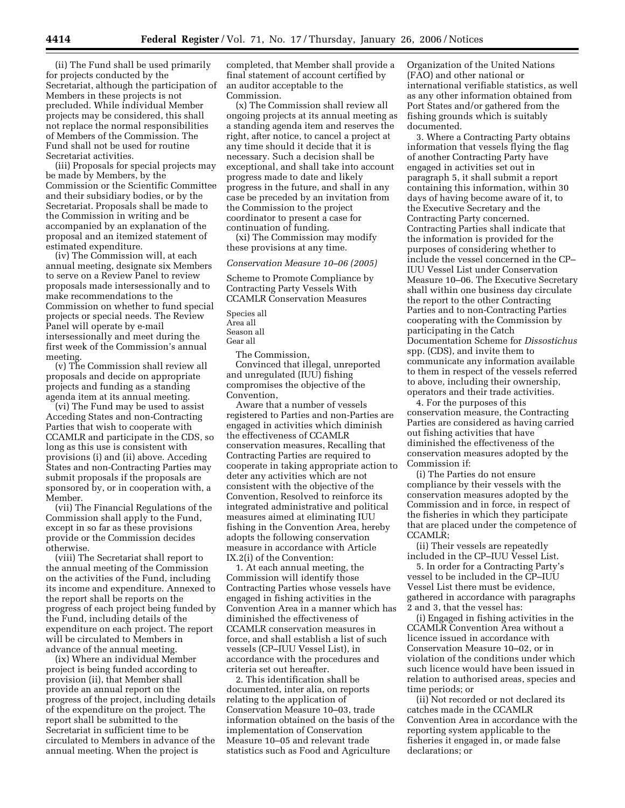(ii) The Fund shall be used primarily for projects conducted by the Secretariat, although the participation of Members in these projects is not precluded. While individual Member projects may be considered, this shall not replace the normal responsibilities of Members of the Commission. The Fund shall not be used for routine Secretariat activities.

(iii) Proposals for special projects may be made by Members, by the Commission or the Scientific Committee and their subsidiary bodies, or by the Secretariat. Proposals shall be made to the Commission in writing and be accompanied by an explanation of the proposal and an itemized statement of estimated expenditure.

(iv) The Commission will, at each annual meeting, designate six Members to serve on a Review Panel to review proposals made intersessionally and to make recommendations to the Commission on whether to fund special projects or special needs. The Review Panel will operate by e-mail intersessionally and meet during the first week of the Commission's annual meeting.

(v) The Commission shall review all proposals and decide on appropriate projects and funding as a standing agenda item at its annual meeting.

(vi) The Fund may be used to assist Acceding States and non-Contracting Parties that wish to cooperate with CCAMLR and participate in the CDS, so long as this use is consistent with provisions (i) and (ii) above. Acceding States and non-Contracting Parties may submit proposals if the proposals are sponsored by, or in cooperation with, a Member.

(vii) The Financial Regulations of the Commission shall apply to the Fund, except in so far as these provisions provide or the Commission decides otherwise.

(viii) The Secretariat shall report to the annual meeting of the Commission on the activities of the Fund, including its income and expenditure. Annexed to the report shall be reports on the progress of each project being funded by the Fund, including details of the expenditure on each project. The report will be circulated to Members in advance of the annual meeting.

(ix) Where an individual Member project is being funded according to provision (ii), that Member shall provide an annual report on the progress of the project, including details of the expenditure on the project. The report shall be submitted to the Secretariat in sufficient time to be circulated to Members in advance of the annual meeting. When the project is

completed, that Member shall provide a final statement of account certified by an auditor acceptable to the Commission.

(x) The Commission shall review all ongoing projects at its annual meeting as a standing agenda item and reserves the right, after notice, to cancel a project at any time should it decide that it is necessary. Such a decision shall be exceptional, and shall take into account progress made to date and likely progress in the future, and shall in any case be preceded by an invitation from the Commission to the project coordinator to present a case for continuation of funding.

(xi) The Commission may modify these provisions at any time.

*Conservation Measure 10–06 (2005)* 

Scheme to Promote Compliance by Contracting Party Vessels With CCAMLR Conservation Measures

Species all Area all Season all Gear all

The Commission, Convinced that illegal, unreported

and unregulated (IUU) fishing compromises the objective of the Convention, Aware that a number of vessels

registered to Parties and non-Parties are engaged in activities which diminish the effectiveness of CCAMLR conservation measures, Recalling that Contracting Parties are required to cooperate in taking appropriate action to deter any activities which are not consistent with the objective of the Convention, Resolved to reinforce its integrated administrative and political measures aimed at eliminating IUU fishing in the Convention Area, hereby adopts the following conservation measure in accordance with Article IX.2(i) of the Convention:

1. At each annual meeting, the Commission will identify those Contracting Parties whose vessels have engaged in fishing activities in the Convention Area in a manner which has diminished the effectiveness of CCAMLR conservation measures in force, and shall establish a list of such vessels (CP–IUU Vessel List), in accordance with the procedures and criteria set out hereafter.

2. This identification shall be documented, inter alia, on reports relating to the application of Conservation Measure 10–03, trade information obtained on the basis of the implementation of Conservation Measure 10–05 and relevant trade statistics such as Food and Agriculture

Organization of the United Nations (FAO) and other national or international verifiable statistics, as well as any other information obtained from Port States and/or gathered from the fishing grounds which is suitably documented.

3. Where a Contracting Party obtains information that vessels flying the flag of another Contracting Party have engaged in activities set out in paragraph 5, it shall submit a report containing this information, within 30 days of having become aware of it, to the Executive Secretary and the Contracting Party concerned. Contracting Parties shall indicate that the information is provided for the purposes of considering whether to include the vessel concerned in the CP– IUU Vessel List under Conservation Measure 10–06. The Executive Secretary shall within one business day circulate the report to the other Contracting Parties and to non-Contracting Parties cooperating with the Commission by participating in the Catch Documentation Scheme for *Dissostichus*  spp. (CDS), and invite them to communicate any information available to them in respect of the vessels referred to above, including their ownership, operators and their trade activities.

4. For the purposes of this conservation measure, the Contracting Parties are considered as having carried out fishing activities that have diminished the effectiveness of the conservation measures adopted by the Commission if:

(i) The Parties do not ensure compliance by their vessels with the conservation measures adopted by the Commission and in force, in respect of the fisheries in which they participate that are placed under the competence of CCAMLR;

(ii) Their vessels are repeatedly included in the CP–IUU Vessel List.

5. In order for a Contracting Party's vessel to be included in the CP–IUU Vessel List there must be evidence, gathered in accordance with paragraphs 2 and 3, that the vessel has:

(i) Engaged in fishing activities in the CCAMLR Convention Area without a licence issued in accordance with Conservation Measure 10–02, or in violation of the conditions under which such licence would have been issued in relation to authorised areas, species and time periods; or

(ii) Not recorded or not declared its catches made in the CCAMLR Convention Area in accordance with the reporting system applicable to the fisheries it engaged in, or made false declarations; or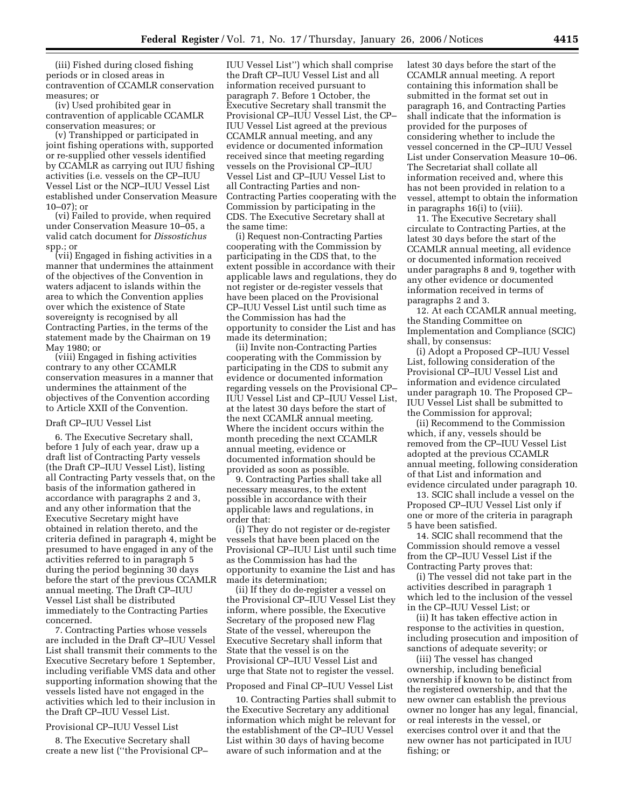(iii) Fished during closed fishing periods or in closed areas in contravention of CCAMLR conservation measures; or

(iv) Used prohibited gear in contravention of applicable CCAMLR conservation measures; or

(v) Transhipped or participated in joint fishing operations with, supported or re-supplied other vessels identified by CCAMLR as carrying out IUU fishing activities (i.e. vessels on the CP–IUU Vessel List or the NCP–IUU Vessel List established under Conservation Measure 10–07); or

(vi) Failed to provide, when required under Conservation Measure 10–05, a valid catch document for *Dissostichus*  spp.; or

(vii) Engaged in fishing activities in a manner that undermines the attainment of the objectives of the Convention in waters adjacent to islands within the area to which the Convention applies over which the existence of State sovereignty is recognised by all Contracting Parties, in the terms of the statement made by the Chairman on 19 May 1980; or

(viii) Engaged in fishing activities contrary to any other CCAMLR conservation measures in a manner that undermines the attainment of the objectives of the Convention according to Article XXII of the Convention.

## Draft CP–IUU Vessel List

6. The Executive Secretary shall, before 1 July of each year, draw up a draft list of Contracting Party vessels (the Draft CP–IUU Vessel List), listing all Contracting Party vessels that, on the basis of the information gathered in accordance with paragraphs 2 and 3, and any other information that the Executive Secretary might have obtained in relation thereto, and the criteria defined in paragraph 4, might be presumed to have engaged in any of the activities referred to in paragraph 5 during the period beginning 30 days before the start of the previous CCAMLR annual meeting. The Draft CP–IUU Vessel List shall be distributed immediately to the Contracting Parties concerned.

7. Contracting Parties whose vessels are included in the Draft CP–IUU Vessel List shall transmit their comments to the Executive Secretary before 1 September, including verifiable VMS data and other supporting information showing that the vessels listed have not engaged in the activities which led to their inclusion in the Draft CP–IUU Vessel List.

#### Provisional CP–IUU Vessel List

8. The Executive Secretary shall create a new list (''the Provisional CP–

IUU Vessel List'') which shall comprise the Draft CP–IUU Vessel List and all information received pursuant to paragraph 7. Before 1 October, the Executive Secretary shall transmit the Provisional CP–IUU Vessel List, the CP– IUU Vessel List agreed at the previous CCAMLR annual meeting, and any evidence or documented information received since that meeting regarding vessels on the Provisional CP–IUU Vessel List and CP–IUU Vessel List to all Contracting Parties and non-Contracting Parties cooperating with the Commission by participating in the CDS. The Executive Secretary shall at the same time:

(i) Request non-Contracting Parties cooperating with the Commission by participating in the CDS that, to the extent possible in accordance with their applicable laws and regulations, they do not register or de-register vessels that have been placed on the Provisional CP–IUU Vessel List until such time as the Commission has had the opportunity to consider the List and has made its determination;

(ii) Invite non-Contracting Parties cooperating with the Commission by participating in the CDS to submit any evidence or documented information regarding vessels on the Provisional CP– IUU Vessel List and CP–IUU Vessel List, at the latest 30 days before the start of the next CCAMLR annual meeting. Where the incident occurs within the month preceding the next CCAMLR annual meeting, evidence or documented information should be provided as soon as possible.

9. Contracting Parties shall take all necessary measures, to the extent possible in accordance with their applicable laws and regulations, in order that:

(i) They do not register or de-register vessels that have been placed on the Provisional CP–IUU List until such time as the Commission has had the opportunity to examine the List and has made its determination;

(ii) If they do de-register a vessel on the Provisional CP–IUU Vessel List they inform, where possible, the Executive Secretary of the proposed new Flag State of the vessel, whereupon the Executive Secretary shall inform that State that the vessel is on the Provisional CP–IUU Vessel List and urge that State not to register the vessel.

#### Proposed and Final CP–IUU Vessel List

10. Contracting Parties shall submit to the Executive Secretary any additional information which might be relevant for the establishment of the CP–IUU Vessel List within 30 days of having become aware of such information and at the

latest 30 days before the start of the CCAMLR annual meeting. A report containing this information shall be submitted in the format set out in paragraph 16, and Contracting Parties shall indicate that the information is provided for the purposes of considering whether to include the vessel concerned in the CP–IUU Vessel List under Conservation Measure 10–06. The Secretariat shall collate all information received and, where this has not been provided in relation to a vessel, attempt to obtain the information in paragraphs 16(i) to (viii).

11. The Executive Secretary shall circulate to Contracting Parties, at the latest 30 days before the start of the CCAMLR annual meeting, all evidence or documented information received under paragraphs 8 and 9, together with any other evidence or documented information received in terms of paragraphs 2 and 3.

12. At each CCAMLR annual meeting, the Standing Committee on Implementation and Compliance (SCIC) shall, by consensus:

(i) Adopt a Proposed CP–IUU Vessel List, following consideration of the Provisional CP–IUU Vessel List and information and evidence circulated under paragraph 10. The Proposed CP– IUU Vessel List shall be submitted to the Commission for approval;

(ii) Recommend to the Commission which, if any, vessels should be removed from the CP–IUU Vessel List adopted at the previous CCAMLR annual meeting, following consideration of that List and information and evidence circulated under paragraph 10.

13. SCIC shall include a vessel on the Proposed CP–IUU Vessel List only if one or more of the criteria in paragraph 5 have been satisfied.

14. SCIC shall recommend that the Commission should remove a vessel from the CP–IUU Vessel List if the Contracting Party proves that:

(i) The vessel did not take part in the activities described in paragraph 1 which led to the inclusion of the vessel in the CP–IUU Vessel List; or

(ii) It has taken effective action in response to the activities in question, including prosecution and imposition of sanctions of adequate severity; or

(iii) The vessel has changed ownership, including beneficial ownership if known to be distinct from the registered ownership, and that the new owner can establish the previous owner no longer has any legal, financial, or real interests in the vessel, or exercises control over it and that the new owner has not participated in IUU fishing; or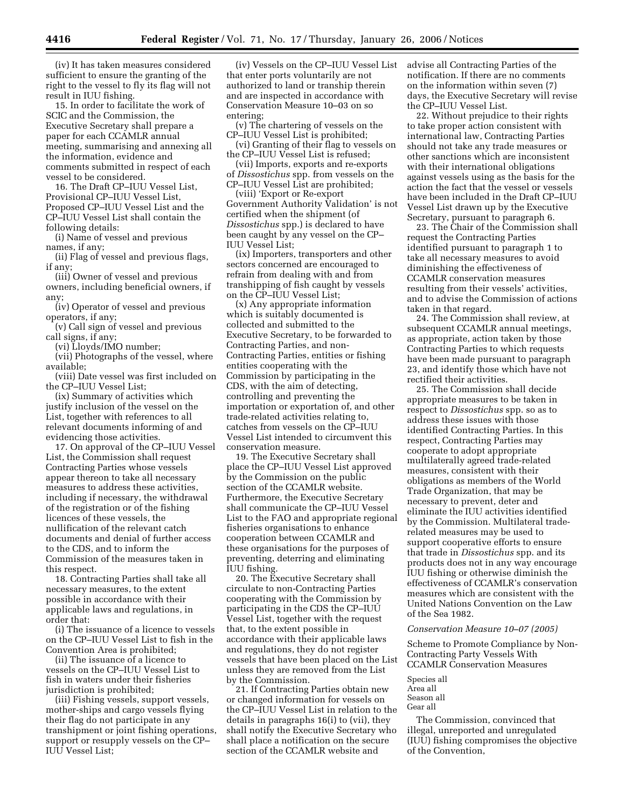(iv) It has taken measures considered sufficient to ensure the granting of the right to the vessel to fly its flag will not result in IUU fishing.

15. In order to facilitate the work of SCIC and the Commission, the Executive Secretary shall prepare a paper for each CCAMLR annual meeting, summarising and annexing all the information, evidence and comments submitted in respect of each vessel to be considered.

16. The Draft CP–IUU Vessel List, Provisional CP–IUU Vessel List, Proposed CP–IUU Vessel List and the CP–IUU Vessel List shall contain the following details:

(i) Name of vessel and previous names, if any;

(ii) Flag of vessel and previous flags, if any;

(iii) Owner of vessel and previous owners, including beneficial owners, if any;

(iv) Operator of vessel and previous operators, if any;

(v) Call sign of vessel and previous call signs, if any;

(vi) Lloyds/IMO number;

(vii) Photographs of the vessel, where available;

(viii) Date vessel was first included on the CP–IUU Vessel List;

(ix) Summary of activities which justify inclusion of the vessel on the List, together with references to all relevant documents informing of and evidencing those activities.

17. On approval of the CP–IUU Vessel List, the Commission shall request Contracting Parties whose vessels appear thereon to take all necessary measures to address these activities, including if necessary, the withdrawal of the registration or of the fishing licences of these vessels, the nullification of the relevant catch documents and denial of further access to the CDS, and to inform the Commission of the measures taken in this respect.

18. Contracting Parties shall take all necessary measures, to the extent possible in accordance with their applicable laws and regulations, in order that:

(i) The issuance of a licence to vessels on the CP–IUU Vessel List to fish in the Convention Area is prohibited;

(ii) The issuance of a licence to vessels on the CP–IUU Vessel List to fish in waters under their fisheries jurisdiction is prohibited;

(iii) Fishing vessels, support vessels, mother-ships and cargo vessels flying their flag do not participate in any transhipment or joint fishing operations, support or resupply vessels on the CP– IUU Vessel List;

(iv) Vessels on the CP–IUU Vessel List that enter ports voluntarily are not authorized to land or tranship therein and are inspected in accordance with Conservation Measure 10–03 on so entering;

(v) The chartering of vessels on the CP–IUU Vessel List is prohibited;

(vi) Granting of their flag to vessels on the CP–IUU Vessel List is refused;

(vii) Imports, exports and re-exports of *Dissostichus* spp. from vessels on the CP–IUU Vessel List are prohibited;

(viii) 'Export or Re-export Government Authority Validation' is not certified when the shipment (of *Dissostichus* spp.) is declared to have been caught by any vessel on the CP– IUU Vessel List;

(ix) Importers, transporters and other sectors concerned are encouraged to refrain from dealing with and from transhipping of fish caught by vessels on the CP–IUU Vessel List;

(x) Any appropriate information which is suitably documented is collected and submitted to the Executive Secretary, to be forwarded to Contracting Parties, and non-Contracting Parties, entities or fishing entities cooperating with the Commission by participating in the CDS, with the aim of detecting, controlling and preventing the importation or exportation of, and other trade-related activities relating to, catches from vessels on the CP–IUU Vessel List intended to circumvent this conservation measure.

19. The Executive Secretary shall place the CP–IUU Vessel List approved by the Commission on the public section of the CCAMLR website. Furthermore, the Executive Secretary shall communicate the CP–IUU Vessel List to the FAO and appropriate regional fisheries organisations to enhance cooperation between CCAMLR and these organisations for the purposes of preventing, deterring and eliminating IUU fishing.

20. The Executive Secretary shall circulate to non-Contracting Parties cooperating with the Commission by participating in the CDS the CP–IUU Vessel List, together with the request that, to the extent possible in accordance with their applicable laws and regulations, they do not register vessels that have been placed on the List unless they are removed from the List by the Commission.

21. If Contracting Parties obtain new or changed information for vessels on the CP–IUU Vessel List in relation to the details in paragraphs 16(i) to (vii), they shall notify the Executive Secretary who shall place a notification on the secure section of the CCAMLR website and

advise all Contracting Parties of the notification. If there are no comments on the information within seven (7) days, the Executive Secretary will revise the CP–IUU Vessel List.

22. Without prejudice to their rights to take proper action consistent with international law, Contracting Parties should not take any trade measures or other sanctions which are inconsistent with their international obligations against vessels using as the basis for the action the fact that the vessel or vessels have been included in the Draft CP–IUU Vessel List drawn up by the Executive Secretary, pursuant to paragraph 6.

23. The Chair of the Commission shall request the Contracting Parties identified pursuant to paragraph 1 to take all necessary measures to avoid diminishing the effectiveness of CCAMLR conservation measures resulting from their vessels' activities, and to advise the Commission of actions taken in that regard.

24. The Commission shall review, at subsequent CCAMLR annual meetings, as appropriate, action taken by those Contracting Parties to which requests have been made pursuant to paragraph 23, and identify those which have not rectified their activities.

25. The Commission shall decide appropriate measures to be taken in respect to *Dissostichus* spp. so as to address these issues with those identified Contracting Parties. In this respect, Contracting Parties may cooperate to adopt appropriate multilaterally agreed trade-related measures, consistent with their obligations as members of the World Trade Organization, that may be necessary to prevent, deter and eliminate the IUU activities identified by the Commission. Multilateral traderelated measures may be used to support cooperative efforts to ensure that trade in *Dissostichus* spp. and its products does not in any way encourage IUU fishing or otherwise diminish the effectiveness of CCAMLR's conservation measures which are consistent with the United Nations Convention on the Law of the Sea 1982.

## *Conservation Measure 10–07 (2005)*

Scheme to Promote Compliance by Non-Contracting Party Vessels With CCAMLR Conservation Measures

Species all Area all Season all Gear all

The Commission, convinced that illegal, unreported and unregulated (IUU) fishing compromises the objective of the Convention,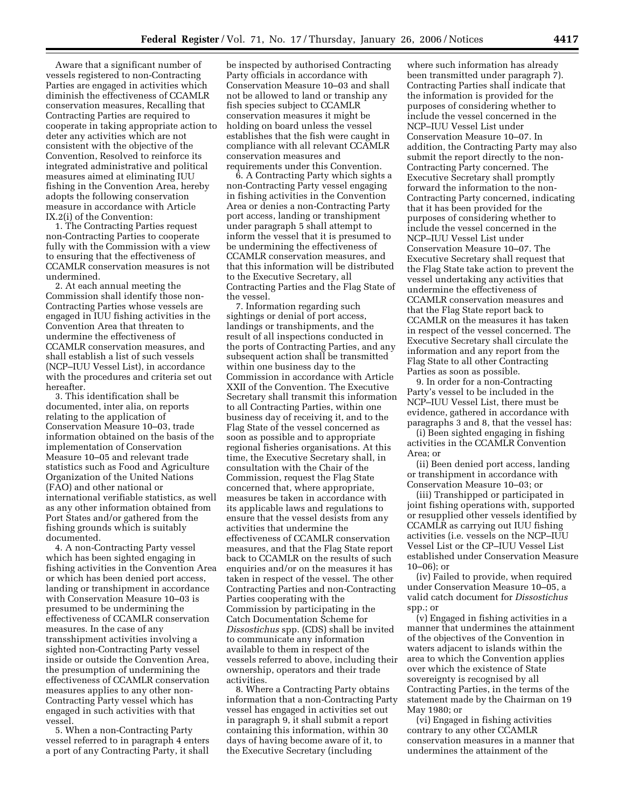Aware that a significant number of vessels registered to non-Contracting Parties are engaged in activities which diminish the effectiveness of CCAMLR conservation measures, Recalling that Contracting Parties are required to cooperate in taking appropriate action to deter any activities which are not consistent with the objective of the Convention, Resolved to reinforce its integrated administrative and political measures aimed at eliminating IUU fishing in the Convention Area, hereby adopts the following conservation measure in accordance with Article IX.2(i) of the Convention:

1. The Contracting Parties request non-Contracting Parties to cooperate fully with the Commission with a view to ensuring that the effectiveness of CCAMLR conservation measures is not undermined.

2. At each annual meeting the Commission shall identify those non-Contracting Parties whose vessels are engaged in IUU fishing activities in the Convention Area that threaten to undermine the effectiveness of CCAMLR conservation measures, and shall establish a list of such vessels (NCP–IUU Vessel List), in accordance with the procedures and criteria set out hereafter.

3. This identification shall be documented, inter alia, on reports relating to the application of Conservation Measure 10–03, trade information obtained on the basis of the implementation of Conservation Measure 10–05 and relevant trade statistics such as Food and Agriculture Organization of the United Nations (FAO) and other national or international verifiable statistics, as well as any other information obtained from Port States and/or gathered from the fishing grounds which is suitably documented.

4. A non-Contracting Party vessel which has been sighted engaging in fishing activities in the Convention Area or which has been denied port access, landing or transhipment in accordance with Conservation Measure 10–03 is presumed to be undermining the effectiveness of CCAMLR conservation measures. In the case of any transshipment activities involving a sighted non-Contracting Party vessel inside or outside the Convention Area, the presumption of undermining the effectiveness of CCAMLR conservation measures applies to any other non-Contracting Party vessel which has engaged in such activities with that vessel.

5. When a non-Contracting Party vessel referred to in paragraph 4 enters a port of any Contracting Party, it shall

be inspected by authorised Contracting Party officials in accordance with Conservation Measure 10–03 and shall not be allowed to land or tranship any fish species subject to CCAMLR conservation measures it might be holding on board unless the vessel establishes that the fish were caught in compliance with all relevant CCAMLR conservation measures and requirements under this Convention.

6. A Contracting Party which sights a non-Contracting Party vessel engaging in fishing activities in the Convention Area or denies a non-Contracting Party port access, landing or transhipment under paragraph 5 shall attempt to inform the vessel that it is presumed to be undermining the effectiveness of CCAMLR conservation measures, and that this information will be distributed to the Executive Secretary, all Contracting Parties and the Flag State of the vessel.

7. Information regarding such sightings or denial of port access, landings or transhipments, and the result of all inspections conducted in the ports of Contracting Parties, and any subsequent action shall be transmitted within one business day to the Commission in accordance with Article XXII of the Convention. The Executive Secretary shall transmit this information to all Contracting Parties, within one business day of receiving it, and to the Flag State of the vessel concerned as soon as possible and to appropriate regional fisheries organisations. At this time, the Executive Secretary shall, in consultation with the Chair of the Commission, request the Flag State concerned that, where appropriate, measures be taken in accordance with its applicable laws and regulations to ensure that the vessel desists from any activities that undermine the effectiveness of CCAMLR conservation measures, and that the Flag State report back to CCAMLR on the results of such enquiries and/or on the measures it has taken in respect of the vessel. The other Contracting Parties and non-Contracting Parties cooperating with the Commission by participating in the Catch Documentation Scheme for *Dissostichus* spp. (CDS) shall be invited to communicate any information available to them in respect of the vessels referred to above, including their ownership, operators and their trade activities.

8. Where a Contracting Party obtains information that a non-Contracting Party vessel has engaged in activities set out in paragraph 9, it shall submit a report containing this information, within 30 days of having become aware of it, to the Executive Secretary (including

where such information has already been transmitted under paragraph 7). Contracting Parties shall indicate that the information is provided for the purposes of considering whether to include the vessel concerned in the NCP–IUU Vessel List under Conservation Measure 10–07. In addition, the Contracting Party may also submit the report directly to the non-Contracting Party concerned. The Executive Secretary shall promptly forward the information to the non-Contracting Party concerned, indicating that it has been provided for the purposes of considering whether to include the vessel concerned in the NCP–IUU Vessel List under Conservation Measure 10–07. The Executive Secretary shall request that the Flag State take action to prevent the vessel undertaking any activities that undermine the effectiveness of CCAMLR conservation measures and that the Flag State report back to CCAMLR on the measures it has taken in respect of the vessel concerned. The Executive Secretary shall circulate the information and any report from the Flag State to all other Contracting Parties as soon as possible.

9. In order for a non-Contracting Party's vessel to be included in the NCP–IUU Vessel List, there must be evidence, gathered in accordance with paragraphs 3 and 8, that the vessel has:

(i) Been sighted engaging in fishing activities in the CCAMLR Convention Area; or

(ii) Been denied port access, landing or transhipment in accordance with Conservation Measure 10–03; or

(iii) Transhipped or participated in joint fishing operations with, supported or resupplied other vessels identified by CCAMLR as carrying out IUU fishing activities (i.e. vessels on the NCP–IUU Vessel List or the CP–IUU Vessel List established under Conservation Measure 10–06); or

(iv) Failed to provide, when required under Conservation Measure 10–05, a valid catch document for *Dissostichus*  spp.; or

(v) Engaged in fishing activities in a manner that undermines the attainment of the objectives of the Convention in waters adjacent to islands within the area to which the Convention applies over which the existence of State sovereignty is recognised by all Contracting Parties, in the terms of the statement made by the Chairman on 19 May 1980; or

(vi) Engaged in fishing activities contrary to any other CCAMLR conservation measures in a manner that undermines the attainment of the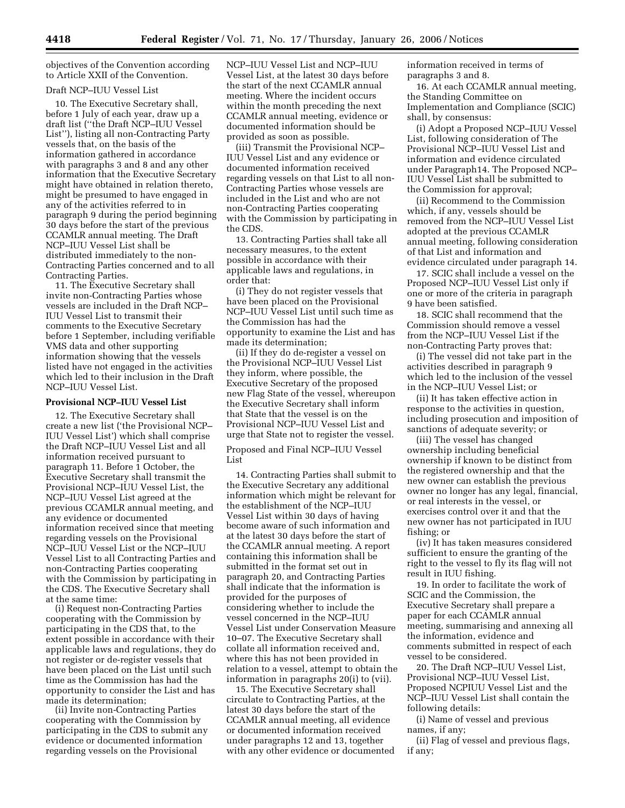objectives of the Convention according to Article XXII of the Convention.

## Draft NCP–IUU Vessel List

10. The Executive Secretary shall, before 1 July of each year, draw up a draft list (''the Draft NCP–IUU Vessel List''), listing all non-Contracting Party vessels that, on the basis of the information gathered in accordance with paragraphs 3 and 8 and any other information that the Executive Secretary might have obtained in relation thereto, might be presumed to have engaged in any of the activities referred to in paragraph 9 during the period beginning 30 days before the start of the previous CCAMLR annual meeting. The Draft NCP–IUU Vessel List shall be distributed immediately to the non-Contracting Parties concerned and to all Contracting Parties.

11. The Executive Secretary shall invite non-Contracting Parties whose vessels are included in the Draft NCP– IUU Vessel List to transmit their comments to the Executive Secretary before 1 September, including verifiable VMS data and other supporting information showing that the vessels listed have not engaged in the activities which led to their inclusion in the Draft NCP–IUU Vessel List.

## **Provisional NCP–IUU Vessel List**

12. The Executive Secretary shall create a new list ('the Provisional NCP– IUU Vessel List') which shall comprise the Draft NCP–IUU Vessel List and all information received pursuant to paragraph 11. Before 1 October, the Executive Secretary shall transmit the Provisional NCP–IUU Vessel List, the NCP–IUU Vessel List agreed at the previous CCAMLR annual meeting, and any evidence or documented information received since that meeting regarding vessels on the Provisional NCP–IUU Vessel List or the NCP–IUU Vessel List to all Contracting Parties and non-Contracting Parties cooperating with the Commission by participating in the CDS. The Executive Secretary shall at the same time:

(i) Request non-Contracting Parties cooperating with the Commission by participating in the CDS that, to the extent possible in accordance with their applicable laws and regulations, they do not register or de-register vessels that have been placed on the List until such time as the Commission has had the opportunity to consider the List and has made its determination;

(ii) Invite non-Contracting Parties cooperating with the Commission by participating in the CDS to submit any evidence or documented information regarding vessels on the Provisional

NCP–IUU Vessel List and NCP–IUU Vessel List, at the latest 30 days before the start of the next CCAMLR annual meeting. Where the incident occurs within the month preceding the next CCAMLR annual meeting, evidence or documented information should be provided as soon as possible.

(iii) Transmit the Provisional NCP– IUU Vessel List and any evidence or documented information received regarding vessels on that List to all non-Contracting Parties whose vessels are included in the List and who are not non-Contracting Parties cooperating with the Commission by participating in the CDS.

13. Contracting Parties shall take all necessary measures, to the extent possible in accordance with their applicable laws and regulations, in order that:

(i) They do not register vessels that have been placed on the Provisional NCP–IUU Vessel List until such time as the Commission has had the opportunity to examine the List and has made its determination;

(ii) If they do de-register a vessel on the Provisional NCP–IUU Vessel List they inform, where possible, the Executive Secretary of the proposed new Flag State of the vessel, whereupon the Executive Secretary shall inform that State that the vessel is on the Provisional NCP–IUU Vessel List and urge that State not to register the vessel.

Proposed and Final NCP–IUU Vessel List

14. Contracting Parties shall submit to the Executive Secretary any additional information which might be relevant for the establishment of the NCP–IUU Vessel List within 30 days of having become aware of such information and at the latest 30 days before the start of the CCAMLR annual meeting. A report containing this information shall be submitted in the format set out in paragraph 20, and Contracting Parties shall indicate that the information is provided for the purposes of considering whether to include the vessel concerned in the NCP–IUU Vessel List under Conservation Measure 10–07. The Executive Secretary shall collate all information received and, where this has not been provided in relation to a vessel, attempt to obtain the information in paragraphs 20(i) to (vii).

15. The Executive Secretary shall circulate to Contracting Parties, at the latest 30 days before the start of the CCAMLR annual meeting, all evidence or documented information received under paragraphs 12 and 13, together with any other evidence or documented information received in terms of paragraphs 3 and 8.

16. At each CCAMLR annual meeting, the Standing Committee on Implementation and Compliance (SCIC) shall, by consensus:

(i) Adopt a Proposed NCP–IUU Vessel List, following consideration of The Provisional NCP–IUU Vessel List and information and evidence circulated under Paragraph14. The Proposed NCP– IUU Vessel List shall be submitted to the Commission for approval;

(ii) Recommend to the Commission which, if any, vessels should be removed from the NCP–IUU Vessel List adopted at the previous CCAMLR annual meeting, following consideration of that List and information and evidence circulated under paragraph 14.

17. SCIC shall include a vessel on the Proposed NCP–IUU Vessel List only if one or more of the criteria in paragraph 9 have been satisfied.

18. SCIC shall recommend that the Commission should remove a vessel from the NCP–IUU Vessel List if the non-Contracting Party proves that:

(i) The vessel did not take part in the activities described in paragraph 9 which led to the inclusion of the vessel in the NCP–IUU Vessel List; or

(ii) It has taken effective action in response to the activities in question, including prosecution and imposition of sanctions of adequate severity; or

(iii) The vessel has changed ownership including beneficial ownership if known to be distinct from the registered ownership and that the new owner can establish the previous owner no longer has any legal, financial, or real interests in the vessel, or exercises control over it and that the new owner has not participated in IUU fishing; or

(iv) It has taken measures considered sufficient to ensure the granting of the right to the vessel to fly its flag will not result in IUU fishing.

19. In order to facilitate the work of SCIC and the Commission, the Executive Secretary shall prepare a paper for each CCAMLR annual meeting, summarising and annexing all the information, evidence and comments submitted in respect of each vessel to be considered.

20. The Draft NCP–IUU Vessel List, Provisional NCP–IUU Vessel List, Proposed NCPIUU Vessel List and the NCP–IUU Vessel List shall contain the following details:

(i) Name of vessel and previous names, if any;

(ii) Flag of vessel and previous flags, if any;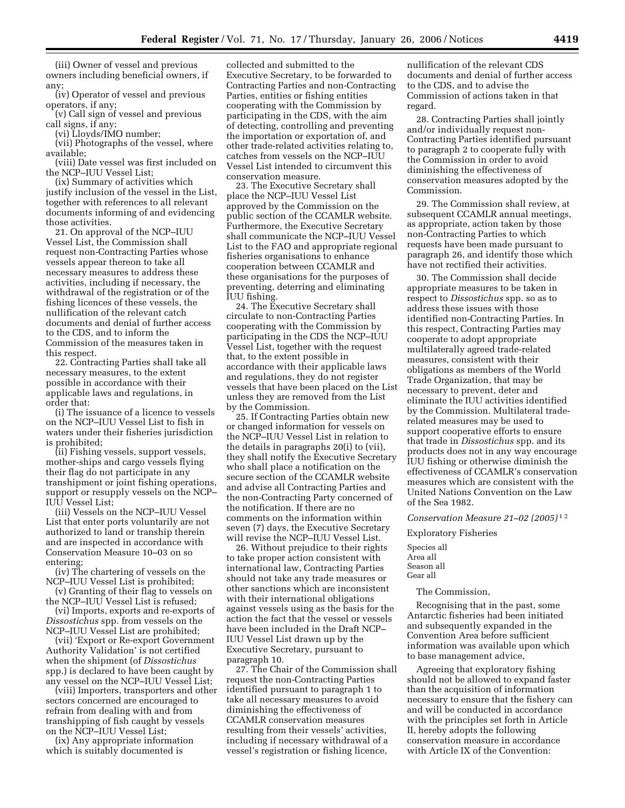(iii) Owner of vessel and previous owners including beneficial owners, if any;

(iv) Operator of vessel and previous operators, if any;

(v) Call sign of vessel and previous call signs, if any;

(vi) Lloyds/IMO number;

(vii) Photographs of the vessel, where available;

(viii) Date vessel was first included on the NCP–IUU Vessel List;

(ix) Summary of activities which justify inclusion of the vessel in the List, together with references to all relevant documents informing of and evidencing those activities.

21. On approval of the NCP–IUU Vessel List, the Commission shall request non-Contracting Parties whose vessels appear thereon to take all necessary measures to address these activities, including if necessary, the withdrawal of the registration or of the fishing licences of these vessels, the nullification of the relevant catch documents and denial of further access to the CDS, and to inform the Commission of the measures taken in this respect.

22. Contracting Parties shall take all necessary measures, to the extent possible in accordance with their applicable laws and regulations, in order that:

(i) The issuance of a licence to vessels on the NCP–IUU Vessel List to fish in waters under their fisheries jurisdiction is prohibited;

(ii) Fishing vessels, support vessels, mother-ships and cargo vessels flying their flag do not participate in any transhipment or joint fishing operations, support or resupply vessels on the NCP– IUU Vessel List;

(iii) Vessels on the NCP–IUU Vessel List that enter ports voluntarily are not authorized to land or tranship therein and are inspected in accordance with Conservation Measure 10–03 on so entering;

(iv) The chartering of vessels on the NCP–IUU Vessel List is prohibited;

(v) Granting of their flag to vessels on the NCP–IUU Vessel List is refused;

(vi) Imports, exports and re-exports of *Dissostichus* spp. from vessels on the NCP–IUU Vessel List are prohibited;

(vii) 'Export or Re-export Government Authority Validation' is not certified when the shipment (of *Dissostichus*  spp.) is declared to have been caught by any vessel on the NCP–IUU Vessel List;

(viii) Importers, transporters and other sectors concerned are encouraged to refrain from dealing with and from transhipping of fish caught by vessels on the NCP–IUU Vessel List;

(ix) Any appropriate information which is suitably documented is

collected and submitted to the Executive Secretary, to be forwarded to Contracting Parties and non-Contracting Parties, entities or fishing entities cooperating with the Commission by participating in the CDS, with the aim of detecting, controlling and preventing the importation or exportation of, and other trade-related activities relating to, catches from vessels on the NCP–IUU Vessel List intended to circumvent this conservation measure.

23. The Executive Secretary shall place the NCP–IUU Vessel List approved by the Commission on the public section of the CCAMLR website. Furthermore, the Executive Secretary shall communicate the NCP–IUU Vessel List to the FAO and appropriate regional fisheries organisations to enhance cooperation between CCAMLR and these organisations for the purposes of preventing, deterring and eliminating IUU fishing.

24. The Executive Secretary shall circulate to non-Contracting Parties cooperating with the Commission by participating in the CDS the NCP–IUU Vessel List, together with the request that, to the extent possible in accordance with their applicable laws and regulations, they do not register vessels that have been placed on the List unless they are removed from the List by the Commission.

25. If Contracting Parties obtain new or changed information for vessels on the NCP–IUU Vessel List in relation to the details in paragraphs 20(i) to (vii), they shall notify the Executive Secretary who shall place a notification on the secure section of the CCAMLR website and advise all Contracting Parties and the non-Contracting Party concerned of the notification. If there are no comments on the information within seven (7) days, the Executive Secretary will revise the NCP–IUU Vessel List.

26. Without prejudice to their rights to take proper action consistent with international law, Contracting Parties should not take any trade measures or other sanctions which are inconsistent with their international obligations against vessels using as the basis for the action the fact that the vessel or vessels have been included in the Draft NCP– IUU Vessel List drawn up by the Executive Secretary, pursuant to paragraph 10.

27. The Chair of the Commission shall request the non-Contracting Parties identified pursuant to paragraph 1 to take all necessary measures to avoid diminishing the effectiveness of CCAMLR conservation measures resulting from their vessels' activities, including if necessary withdrawal of a vessel's registration or fishing licence,

nullification of the relevant CDS documents and denial of further access to the CDS, and to advise the Commission of actions taken in that regard.

28. Contracting Parties shall jointly and/or individually request non-Contracting Parties identified pursuant to paragraph 2 to cooperate fully with the Commission in order to avoid diminishing the effectiveness of conservation measures adopted by the Commission.

29. The Commission shall review, at subsequent CCAMLR annual meetings, as appropriate, action taken by those non-Contracting Parties to which requests have been made pursuant to paragraph 26, and identify those which have not rectified their activities.

30. The Commission shall decide appropriate measures to be taken in respect to *Dissostichus* spp. so as to address these issues with those identified non-Contracting Parties. In this respect, Contracting Parties may cooperate to adopt appropriate multilaterally agreed trade-related measures, consistent with their obligations as members of the World Trade Organization, that may be necessary to prevent, deter and eliminate the IUU activities identified by the Commission. Multilateral traderelated measures may be used to support cooperative efforts to ensure that trade in *Dissostichus* spp. and its products does not in any way encourage IUU fishing or otherwise diminish the effectiveness of CCAMLR's conservation measures which are consistent with the United Nations Convention on the Law of the Sea 1982.

*Conservation Measure 21–02 (2005)* 1 2

Exploratory Fisheries

Species all Area all Season all Gear all

The Commission,

Recognising that in the past, some Antarctic fisheries had been initiated and subsequently expanded in the Convention Area before sufficient information was available upon which to base management advice,

Agreeing that exploratory fishing should not be allowed to expand faster than the acquisition of information necessary to ensure that the fishery can and will be conducted in accordance with the principles set forth in Article II, hereby adopts the following conservation measure in accordance with Article IX of the Convention: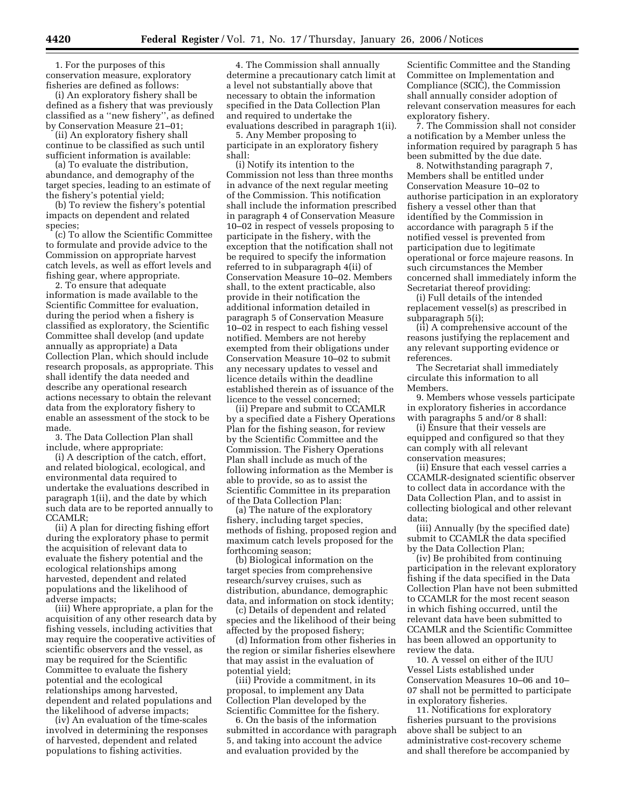1. For the purposes of this conservation measure, exploratory fisheries are defined as follows:

(i) An exploratory fishery shall be defined as a fishery that was previously classified as a ''new fishery'', as defined by Conservation Measure 21–01;

(ii) An exploratory fishery shall continue to be classified as such until sufficient information is available:

(a) To evaluate the distribution, abundance, and demography of the target species, leading to an estimate of the fishery's potential yield;

(b) To review the fishery's potential impacts on dependent and related species;

(c) To allow the Scientific Committee to formulate and provide advice to the Commission on appropriate harvest catch levels, as well as effort levels and fishing gear, where appropriate.

2. To ensure that adequate information is made available to the Scientific Committee for evaluation, during the period when a fishery is classified as exploratory, the Scientific Committee shall develop (and update annually as appropriate) a Data Collection Plan, which should include research proposals, as appropriate. This shall identify the data needed and describe any operational research actions necessary to obtain the relevant data from the exploratory fishery to enable an assessment of the stock to be made.

3. The Data Collection Plan shall include, where appropriate:

(i) A description of the catch, effort, and related biological, ecological, and environmental data required to undertake the evaluations described in paragraph 1(ii), and the date by which such data are to be reported annually to CCAMLR;

(ii) A plan for directing fishing effort during the exploratory phase to permit the acquisition of relevant data to evaluate the fishery potential and the ecological relationships among harvested, dependent and related populations and the likelihood of adverse impacts;

(iii) Where appropriate, a plan for the acquisition of any other research data by fishing vessels, including activities that may require the cooperative activities of scientific observers and the vessel, as may be required for the Scientific Committee to evaluate the fishery potential and the ecological relationships among harvested, dependent and related populations and the likelihood of adverse impacts;

(iv) An evaluation of the time-scales involved in determining the responses of harvested, dependent and related populations to fishing activities.

4. The Commission shall annually determine a precautionary catch limit at a level not substantially above that necessary to obtain the information specified in the Data Collection Plan and required to undertake the evaluations described in paragraph 1(ii).

5. Any Member proposing to participate in an exploratory fishery shall:

(i) Notify its intention to the Commission not less than three months in advance of the next regular meeting of the Commission. This notification shall include the information prescribed in paragraph 4 of Conservation Measure 10–02 in respect of vessels proposing to participate in the fishery, with the exception that the notification shall not be required to specify the information referred to in subparagraph 4(ii) of Conservation Measure 10–02. Members shall, to the extent practicable, also provide in their notification the additional information detailed in paragraph 5 of Conservation Measure 10–02 in respect to each fishing vessel notified. Members are not hereby exempted from their obligations under Conservation Measure 10–02 to submit any necessary updates to vessel and licence details within the deadline established therein as of issuance of the licence to the vessel concerned;

(ii) Prepare and submit to CCAMLR by a specified date a Fishery Operations Plan for the fishing season, for review by the Scientific Committee and the Commission. The Fishery Operations Plan shall include as much of the following information as the Member is able to provide, so as to assist the Scientific Committee in its preparation of the Data Collection Plan:

(a) The nature of the exploratory fishery, including target species, methods of fishing, proposed region and maximum catch levels proposed for the forthcoming season;

(b) Biological information on the target species from comprehensive research/survey cruises, such as distribution, abundance, demographic data, and information on stock identity;

(c) Details of dependent and related species and the likelihood of their being affected by the proposed fishery;

(d) Information from other fisheries in the region or similar fisheries elsewhere that may assist in the evaluation of potential yield;

(iii) Provide a commitment, in its proposal, to implement any Data Collection Plan developed by the Scientific Committee for the fishery.

6. On the basis of the information submitted in accordance with paragraph 5, and taking into account the advice and evaluation provided by the

Scientific Committee and the Standing Committee on Implementation and Compliance (SCIC), the Commission shall annually consider adoption of relevant conservation measures for each exploratory fishery.

7. The Commission shall not consider a notification by a Member unless the information required by paragraph 5 has been submitted by the due date.

8. Notwithstanding paragraph 7, Members shall be entitled under Conservation Measure 10–02 to authorise participation in an exploratory fishery a vessel other than that identified by the Commission in accordance with paragraph 5 if the notified vessel is prevented from participation due to legitimate operational or force majeure reasons. In such circumstances the Member concerned shall immediately inform the Secretariat thereof providing:

(i) Full details of the intended replacement vessel(s) as prescribed in subparagraph 5(i);

(ii) A comprehensive account of the reasons justifying the replacement and any relevant supporting evidence or references.

The Secretariat shall immediately circulate this information to all Members.

9. Members whose vessels participate in exploratory fisheries in accordance with paragraphs 5 and/or 8 shall:

(i) Ensure that their vessels are equipped and configured so that they can comply with all relevant conservation measures;

(ii) Ensure that each vessel carries a CCAMLR-designated scientific observer to collect data in accordance with the Data Collection Plan, and to assist in collecting biological and other relevant data;

(iii) Annually (by the specified date) submit to CCAMLR the data specified by the Data Collection Plan;

(iv) Be prohibited from continuing participation in the relevant exploratory fishing if the data specified in the Data Collection Plan have not been submitted to CCAMLR for the most recent season in which fishing occurred, until the relevant data have been submitted to CCAMLR and the Scientific Committee has been allowed an opportunity to review the data.

10. A vessel on either of the IUU Vessel Lists established under Conservation Measures 10–06 and 10– 07 shall not be permitted to participate in exploratory fisheries.

11. Notifications for exploratory fisheries pursuant to the provisions above shall be subject to an administrative cost-recovery scheme and shall therefore be accompanied by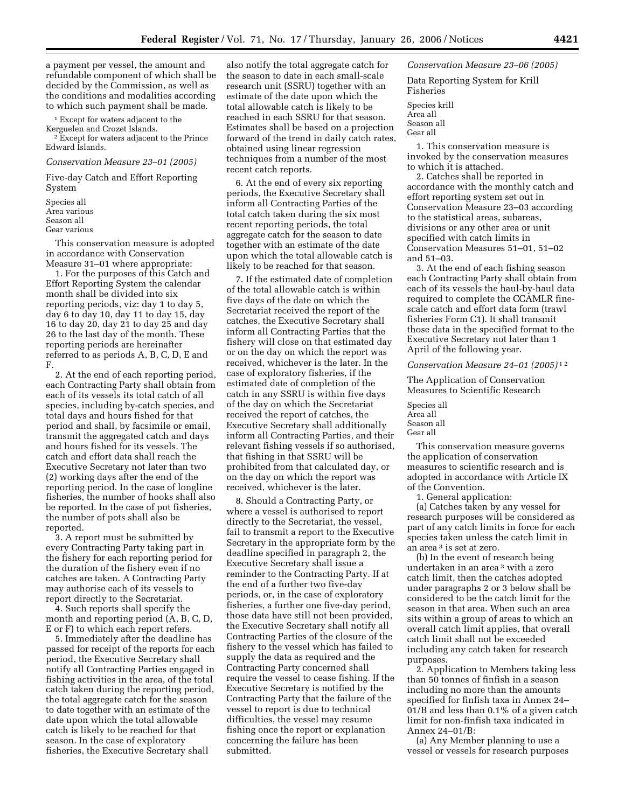a payment per vessel, the amount and refundable component of which shall be decided by the Commission, as well as the conditions and modalities according to which such payment shall be made.

<sup>1</sup> Except for waters adjacent to the Kerguelen and Crozet Islands.

<sup>2</sup> Except for waters adjacent to the Prince

Edward Islands.

## *Conservation Measure 23–01 (2005)*

Five-day Catch and Effort Reporting System

- Species all Area various
- Season all Gear various

This conservation measure is adopted in accordance with Conservation Measure 31–01 where appropriate:

1. For the purposes of this Catch and Effort Reporting System the calendar month shall be divided into six reporting periods, viz: day 1 to day 5, day 6 to day 10, day 11 to day 15, day 16 to day 20, day 21 to day 25 and day 26 to the last day of the month. These reporting periods are hereinafter referred to as periods A, B, C, D, E and F.

2. At the end of each reporting period, each Contracting Party shall obtain from each of its vessels its total catch of all species, including by-catch species, and total days and hours fished for that period and shall, by facsimile or email, transmit the aggregated catch and days and hours fished for its vessels. The catch and effort data shall reach the Executive Secretary not later than two (2) working days after the end of the reporting period. In the case of longline fisheries, the number of hooks shall also be reported. In the case of pot fisheries, the number of pots shall also be reported.

3. A report must be submitted by every Contracting Party taking part in the fishery for each reporting period for the duration of the fishery even if no catches are taken. A Contracting Party may authorise each of its vessels to report directly to the Secretariat.

4. Such reports shall specify the month and reporting period (A, B, C, D, E or F) to which each report refers.

5. Immediately after the deadline has passed for receipt of the reports for each period, the Executive Secretary shall notify all Contracting Parties engaged in fishing activities in the area, of the total catch taken during the reporting period, the total aggregate catch for the season to date together with an estimate of the date upon which the total allowable catch is likely to be reached for that season. In the case of exploratory fisheries, the Executive Secretary shall

also notify the total aggregate catch for the season to date in each small-scale research unit (SSRU) together with an estimate of the date upon which the total allowable catch is likely to be reached in each SSRU for that season. Estimates shall be based on a projection forward of the trend in daily catch rates, obtained using linear regression techniques from a number of the most recent catch reports.

6. At the end of every six reporting periods, the Executive Secretary shall inform all Contracting Parties of the total catch taken during the six most recent reporting periods, the total aggregate catch for the season to date together with an estimate of the date upon which the total allowable catch is likely to be reached for that season.

7. If the estimated date of completion of the total allowable catch is within five days of the date on which the Secretariat received the report of the catches, the Executive Secretary shall inform all Contracting Parties that the fishery will close on that estimated day or on the day on which the report was received, whichever is the later. In the case of exploratory fisheries, if the estimated date of completion of the catch in any SSRU is within five days of the day on which the Secretariat received the report of catches, the Executive Secretary shall additionally inform all Contracting Parties, and their relevant fishing vessels if so authorised, that fishing in that SSRU will be prohibited from that calculated day, or on the day on which the report was received, whichever is the later.

8. Should a Contracting Party, or where a vessel is authorised to report directly to the Secretariat, the vessel, fail to transmit a report to the Executive Secretary in the appropriate form by the deadline specified in paragraph 2, the Executive Secretary shall issue a reminder to the Contracting Party. If at the end of a further two five-day periods, or, in the case of exploratory fisheries, a further one five-day period, those data have still not been provided, the Executive Secretary shall notify all Contracting Parties of the closure of the fishery to the vessel which has failed to supply the data as required and the Contracting Party concerned shall require the vessel to cease fishing. If the Executive Secretary is notified by the Contracting Party that the failure of the vessel to report is due to technical difficulties, the vessel may resume fishing once the report or explanation concerning the failure has been submitted.

#### *Conservation Measure 23–06 (2005)*

Data Reporting System for Krill Fisheries

Species krill Area all Season all Gear all

1. This conservation measure is invoked by the conservation measures to which it is attached.

2. Catches shall be reported in accordance with the monthly catch and effort reporting system set out in Conservation Measure 23–03 according to the statistical areas, subareas, divisions or any other area or unit specified with catch limits in Conservation Measures 51–01, 51–02 and 51–03.

3. At the end of each fishing season each Contracting Party shall obtain from each of its vessels the haul-by-haul data required to complete the CCAMLR finescale catch and effort data form (trawl fisheries Form C1). It shall transmit those data in the specified format to the Executive Secretary not later than 1 April of the following year.

*Conservation Measure 24–01 (2005)* 1 2

The Application of Conservation Measures to Scientific Research

Species all Area all Season all Gear all

This conservation measure governs the application of conservation measures to scientific research and is adopted in accordance with Article IX of the Convention.

1. General application:

(a) Catches taken by any vessel for research purposes will be considered as part of any catch limits in force for each species taken unless the catch limit in an area 3 is set at zero.

(b) In the event of research being undertaken in an area 3 with a zero catch limit, then the catches adopted under paragraphs 2 or 3 below shall be considered to be the catch limit for the season in that area. When such an area sits within a group of areas to which an overall catch limit applies, that overall catch limit shall not be exceeded including any catch taken for research purposes.

2. Application to Members taking less than 50 tonnes of finfish in a season including no more than the amounts specified for finfish taxa in Annex 24– 01/B and less than 0.1% of a given catch limit for non-finfish taxa indicated in Annex 24–01/B:

(a) Any Member planning to use a vessel or vessels for research purposes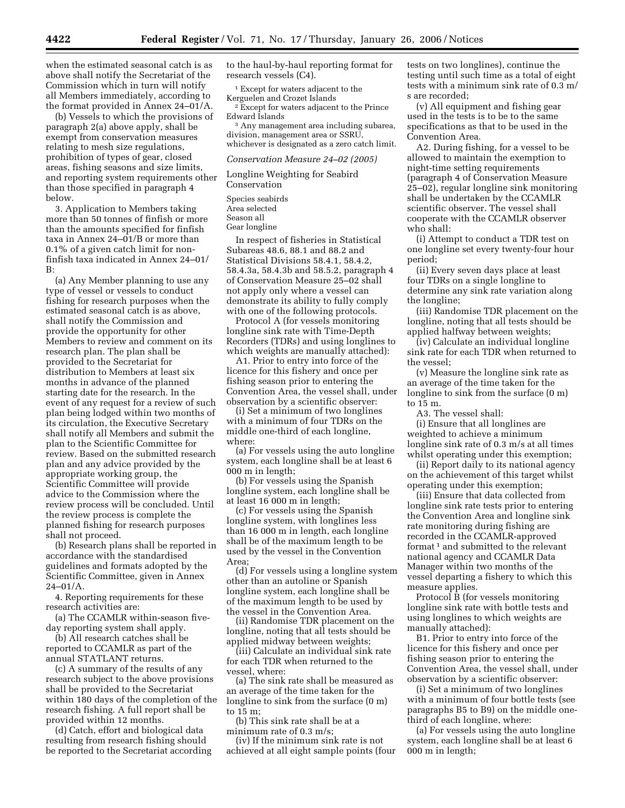when the estimated seasonal catch is as above shall notify the Secretariat of the Commission which in turn will notify all Members immediately, according to the format provided in Annex 24–01/A.

(b) Vessels to which the provisions of paragraph 2(a) above apply, shall be exempt from conservation measures relating to mesh size regulations, prohibition of types of gear, closed areas, fishing seasons and size limits, and reporting system requirements other than those specified in paragraph 4 below.

3. Application to Members taking more than 50 tonnes of finfish or more than the amounts specified for finfish taxa in Annex 24–01/B or more than 0.1% of a given catch limit for nonfinfish taxa indicated in Annex 24–01/ B:

(a) Any Member planning to use any type of vessel or vessels to conduct fishing for research purposes when the estimated seasonal catch is as above, shall notify the Commission and provide the opportunity for other Members to review and comment on its research plan. The plan shall be provided to the Secretariat for distribution to Members at least six months in advance of the planned starting date for the research. In the event of any request for a review of such plan being lodged within two months of its circulation, the Executive Secretary shall notify all Members and submit the plan to the Scientific Committee for review. Based on the submitted research plan and any advice provided by the appropriate working group, the Scientific Committee will provide advice to the Commission where the review process will be concluded. Until the review process is complete the planned fishing for research purposes shall not proceed.

(b) Research plans shall be reported in accordance with the standardised guidelines and formats adopted by the Scientific Committee, given in Annex  $24 - 01/A$ .

4. Reporting requirements for these research activities are:

(a) The CCAMLR within-season fiveday reporting system shall apply.

(b) All research catches shall be reported to CCAMLR as part of the annual STATLANT returns.

(c) A summary of the results of any research subject to the above provisions shall be provided to the Secretariat within 180 days of the completion of the research fishing. A full report shall be provided within 12 months.

(d) Catch, effort and biological data resulting from research fishing should be reported to the Secretariat according

to the haul-by-haul reporting format for research vessels (C4).

1 Except for waters adjacent to the

Kerguelen and Crozet Islands<br><sup>2</sup> Except for waters adjacent to the Prince<br>Edward Islands

<sup>3</sup> Any management area including subarea, division, management area or SSRU, whichever is designated as a zero catch limit.

## *Conservation Measure 24–02 (2005)*

Longline Weighting for Seabird Conservation

| Species seabirds |
|------------------|
| Area selected    |
| Season all       |
| Gear longline    |

In respect of fisheries in Statistical Subareas 48.6, 88.1 and 88.2 and Statistical Divisions 58.4.1, 58.4.2, 58.4.3a, 58.4.3b and 58.5.2, paragraph 4 of Conservation Measure 25–02 shall not apply only where a vessel can demonstrate its ability to fully comply with one of the following protocols.

Protocol A (for vessels monitoring longline sink rate with Time-Depth Recorders (TDRs) and using longlines to which weights are manually attached):

A1. Prior to entry into force of the licence for this fishery and once per fishing season prior to entering the Convention Area, the vessel shall, under observation by a scientific observer:

(i) Set a minimum of two longlines with a minimum of four TDRs on the middle one-third of each longline, where:

(a) For vessels using the auto longline system, each longline shall be at least 6 000 m in length;

(b) For vessels using the Spanish longline system, each longline shall be at least 16 000 m in length;

(c) For vessels using the Spanish longline system, with longlines less than 16 000 m in length, each longline shall be of the maximum length to be used by the vessel in the Convention Area;

(d) For vessels using a longline system other than an autoline or Spanish longline system, each longline shall be of the maximum length to be used by the vessel in the Convention Area.

(ii) Randomise TDR placement on the longline, noting that all tests should be applied midway between weights;

(iii) Calculate an individual sink rate for each TDR when returned to the vessel, where:

(a) The sink rate shall be measured as an average of the time taken for the longline to sink from the surface (0 m) to 15 m;

(b) This sink rate shall be at a minimum rate of 0.3 m/s;

(iv) If the minimum sink rate is not achieved at all eight sample points (four

tests on two longlines), continue the testing until such time as a total of eight tests with a minimum sink rate of 0.3 m/ s are recorded;

(v) All equipment and fishing gear used in the tests is to be to the same specifications as that to be used in the Convention Area.

A2. During fishing, for a vessel to be allowed to maintain the exemption to night-time setting requirements (paragraph 4 of Conservation Measure 25–02), regular longline sink monitoring shall be undertaken by the CCAMLR scientific observer. The vessel shall cooperate with the CCAMLR observer who shall:

(i) Attempt to conduct a TDR test on one longline set every twenty-four hour period;

(ii) Every seven days place at least four TDRs on a single longline to determine any sink rate variation along the longline;

(iii) Randomise TDR placement on the longline, noting that all tests should be applied halfway between weights;

(iv) Calculate an individual longline sink rate for each TDR when returned to the vessel;

(v) Measure the longline sink rate as an average of the time taken for the longline to sink from the surface (0 m) to 15 m.

A3. The vessel shall:

(i) Ensure that all longlines are weighted to achieve a minimum longline sink rate of 0.3 m/s at all times whilst operating under this exemption;

(ii) Report daily to its national agency on the achievement of this target whilst operating under this exemption;

(iii) Ensure that data collected from longline sink rate tests prior to entering the Convention Area and longline sink rate monitoring during fishing are recorded in the CCAMLR-approved format<sup>1</sup> and submitted to the relevant national agency and CCAMLR Data Manager within two months of the vessel departing a fishery to which this measure applies.

Protocol B (for vessels monitoring longline sink rate with bottle tests and using longlines to which weights are manually attached):

B1. Prior to entry into force of the licence for this fishery and once per fishing season prior to entering the Convention Area, the vessel shall, under observation by a scientific observer:

(i) Set a minimum of two longlines with a minimum of four bottle tests (see paragraphs B5 to B9) on the middle onethird of each longline, where:

(a) For vessels using the auto longline system, each longline shall be at least 6 000 m in length;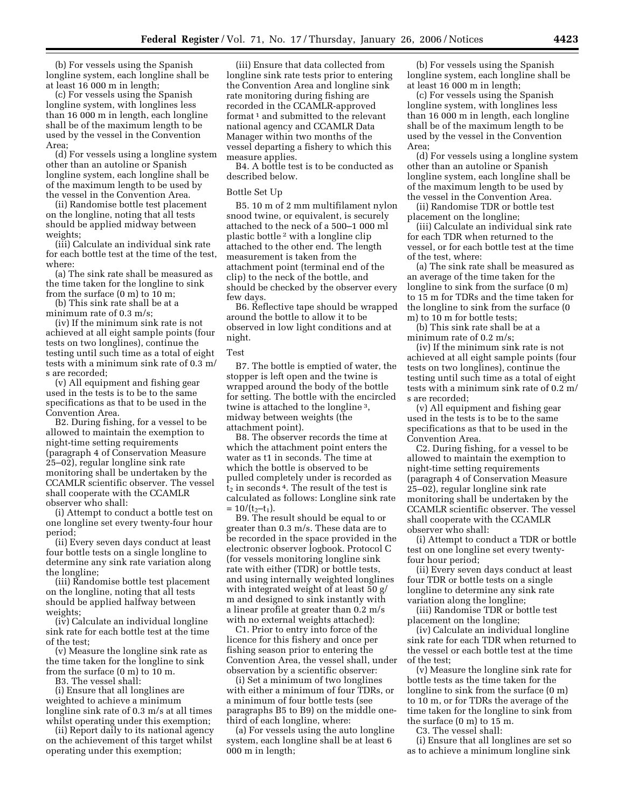(b) For vessels using the Spanish longline system, each longline shall be at least 16 000 m in length;

(c) For vessels using the Spanish longline system, with longlines less than 16 000 m in length, each longline shall be of the maximum length to be used by the vessel in the Convention Area;

(d) For vessels using a longline system other than an autoline or Spanish longline system, each longline shall be of the maximum length to be used by the vessel in the Convention Area.

(ii) Randomise bottle test placement on the longline, noting that all tests should be applied midway between weights;

(iii) Calculate an individual sink rate for each bottle test at the time of the test, where:

(a) The sink rate shall be measured as the time taken for the longline to sink from the surface (0 m) to 10 m;

(b) This sink rate shall be at a minimum rate of 0.3 m/s;

(iv) If the minimum sink rate is not achieved at all eight sample points (four tests on two longlines), continue the testing until such time as a total of eight tests with a minimum sink rate of 0.3 m/ s are recorded;

(v) All equipment and fishing gear used in the tests is to be to the same specifications as that to be used in the Convention Area.

B2. During fishing, for a vessel to be allowed to maintain the exemption to night-time setting requirements (paragraph 4 of Conservation Measure 25–02), regular longline sink rate monitoring shall be undertaken by the CCAMLR scientific observer. The vessel shall cooperate with the CCAMLR observer who shall:

(i) Attempt to conduct a bottle test on one longline set every twenty-four hour period;

(ii) Every seven days conduct at least four bottle tests on a single longline to determine any sink rate variation along the longline;

(iii) Randomise bottle test placement on the longline, noting that all tests should be applied halfway between weights;

(iv) Calculate an individual longline sink rate for each bottle test at the time of the test;

(v) Measure the longline sink rate as the time taken for the longline to sink from the surface (0 m) to 10 m.

B3. The vessel shall:

(i) Ensure that all longlines are weighted to achieve a minimum longline sink rate of 0.3 m/s at all times whilst operating under this exemption;

(ii) Report daily to its national agency on the achievement of this target whilst operating under this exemption;

(iii) Ensure that data collected from longline sink rate tests prior to entering the Convention Area and longline sink rate monitoring during fishing are recorded in the CCAMLR-approved format<sup>1</sup> and submitted to the relevant national agency and CCAMLR Data Manager within two months of the vessel departing a fishery to which this measure applies.

B4. A bottle test is to be conducted as described below.

#### Bottle Set Up

B5. 10 m of 2 mm multifilament nylon snood twine, or equivalent, is securely attached to the neck of a 500–1 000 ml plastic bottle 2 with a longline clip attached to the other end. The length measurement is taken from the attachment point (terminal end of the clip) to the neck of the bottle, and should be checked by the observer every few days.

B6. Reflective tape should be wrapped around the bottle to allow it to be observed in low light conditions and at night.

## Test

B7. The bottle is emptied of water, the stopper is left open and the twine is wrapped around the body of the bottle for setting. The bottle with the encircled twine is attached to the longline 3, midway between weights (the attachment point).

B8. The observer records the time at which the attachment point enters the water as t1 in seconds. The time at which the bottle is observed to be pulled completely under is recorded as  $t_2$  in seconds<sup>4</sup>. The result of the test is calculated as follows: Longline sink rate  $= 10/(t_2-t_1).$ 

B9. The result should be equal to or greater than 0.3 m/s. These data are to be recorded in the space provided in the electronic observer logbook. Protocol C (for vessels monitoring longline sink rate with either (TDR) or bottle tests, and using internally weighted longlines with integrated weight of at least 50 g/ m and designed to sink instantly with a linear profile at greater than 0.2 m/s with no external weights attached):

C1. Prior to entry into force of the licence for this fishery and once per fishing season prior to entering the Convention Area, the vessel shall, under observation by a scientific observer:

(i) Set a minimum of two longlines with either a minimum of four TDRs, or a minimum of four bottle tests (see paragraphs B5 to B9) on the middle onethird of each longline, where:

(a) For vessels using the auto longline system, each longline shall be at least 6 000 m in length;

(b) For vessels using the Spanish longline system, each longline shall be at least 16 000 m in length;

(c) For vessels using the Spanish longline system, with longlines less than 16 000 m in length, each longline shall be of the maximum length to be used by the vessel in the Convention Area;

(d) For vessels using a longline system other than an autoline or Spanish longline system, each longline shall be of the maximum length to be used by the vessel in the Convention Area.

(ii) Randomise TDR or bottle test placement on the longline;

(iii) Calculate an individual sink rate for each TDR when returned to the vessel, or for each bottle test at the time of the test, where:

(a) The sink rate shall be measured as an average of the time taken for the longline to sink from the surface (0 m) to 15 m for TDRs and the time taken for the longline to sink from the surface (0 m) to 10 m for bottle tests;

(b) This sink rate shall be at a minimum rate of 0.2 m/s;

(iv) If the minimum sink rate is not achieved at all eight sample points (four tests on two longlines), continue the testing until such time as a total of eight tests with a minimum sink rate of 0.2 m/ s are recorded;

(v) All equipment and fishing gear used in the tests is to be to the same specifications as that to be used in the Convention Area.

C2. During fishing, for a vessel to be allowed to maintain the exemption to night-time setting requirements (paragraph 4 of Conservation Measure 25–02), regular longline sink rate monitoring shall be undertaken by the CCAMLR scientific observer. The vessel shall cooperate with the CCAMLR observer who shall:

(i) Attempt to conduct a TDR or bottle test on one longline set every twentyfour hour period;

(ii) Every seven days conduct at least four TDR or bottle tests on a single longline to determine any sink rate variation along the longline;

(iii) Randomise TDR or bottle test placement on the longline;

(iv) Calculate an individual longline sink rate for each TDR when returned to the vessel or each bottle test at the time of the test;

(v) Measure the longline sink rate for bottle tests as the time taken for the longline to sink from the surface (0 m) to 10 m, or for TDRs the average of the time taken for the longline to sink from the surface (0 m) to 15 m.

C3. The vessel shall:

(i) Ensure that all longlines are set so as to achieve a minimum longline sink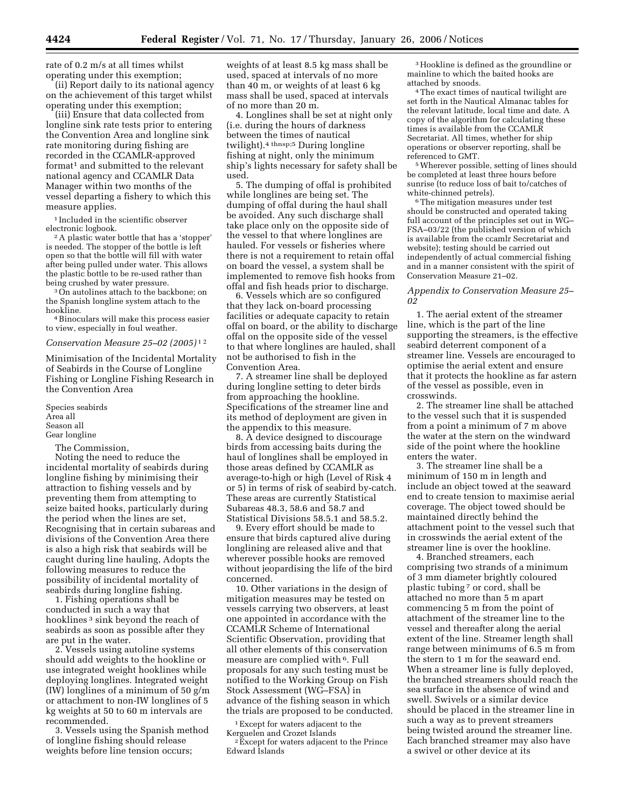rate of 0.2 m/s at all times whilst operating under this exemption;

(ii) Report daily to its national agency on the achievement of this target whilst operating under this exemption;

(iii) Ensure that data collected from longline sink rate tests prior to entering the Convention Area and longline sink rate monitoring during fishing are recorded in the CCAMLR-approved format<sup>1</sup> and submitted to the relevant national agency and CCAMLR Data Manager within two months of the vessel departing a fishery to which this measure applies.

<sup>1</sup> Included in the scientific observer<br>electronic logbook.

<sup>2</sup> A plastic water bottle that has a 'stopper' is needed. The stopper of the bottle is left open so that the bottle will fill with water after being pulled under water. This allows the plastic bottle to be re-used rather than<br>being crushed by water pressure.

 $^{\rm 3}$  On autolines attach to the backbone; on the Spanish longline system attach to the hookline. 4Binoculars will make this process easier

to view, especially in foul weather.

#### *Conservation Measure 25–02 (2005)* 1 2

Minimisation of the Incidental Mortality of Seabirds in the Course of Longline Fishing or Longline Fishing Research in the Convention Area

Species seabirds Area all Season all Gear longline

#### The Commission,

Noting the need to reduce the incidental mortality of seabirds during longline fishing by minimising their attraction to fishing vessels and by preventing them from attempting to seize baited hooks, particularly during the period when the lines are set, Recognising that in certain subareas and divisions of the Convention Area there is also a high risk that seabirds will be caught during line hauling, Adopts the following measures to reduce the possibility of incidental mortality of seabirds during longline fishing.

1. Fishing operations shall be conducted in such a way that hooklines<sup>3</sup> sink beyond the reach of seabirds as soon as possible after they are put in the water.

2. Vessels using autoline systems should add weights to the hookline or use integrated weight hooklines while deploying longlines. Integrated weight (IW) longlines of a minimum of 50 g/m or attachment to non-IW longlines of 5 kg weights at 50 to 60 m intervals are recommended.

3. Vessels using the Spanish method of longline fishing should release weights before line tension occurs;

weights of at least 8.5 kg mass shall be used, spaced at intervals of no more than 40 m, or weights of at least 6 kg mass shall be used, spaced at intervals of no more than 20 m.

4. Longlines shall be set at night only (i.e. during the hours of darkness between the times of nautical twilight).4 thnsp;5 During longline fishing at night, only the minimum ship's lights necessary for safety shall be used.

5. The dumping of offal is prohibited while longlines are being set. The dumping of offal during the haul shall be avoided. Any such discharge shall take place only on the opposite side of the vessel to that where longlines are hauled. For vessels or fisheries where there is not a requirement to retain offal on board the vessel, a system shall be implemented to remove fish hooks from offal and fish heads prior to discharge.

6. Vessels which are so configured that they lack on-board processing facilities or adequate capacity to retain offal on board, or the ability to discharge offal on the opposite side of the vessel to that where longlines are hauled, shall not be authorised to fish in the Convention Area.

7. A streamer line shall be deployed during longline setting to deter birds from approaching the hookline. Specifications of the streamer line and its method of deployment are given in the appendix to this measure.

8. A device designed to discourage birds from accessing baits during the haul of longlines shall be employed in those areas defined by CCAMLR as average-to-high or high (Level of Risk 4 or 5) in terms of risk of seabird by-catch. These areas are currently Statistical Subareas 48.3, 58.6 and 58.7 and Statistical Divisions 58.5.1 and 58.5.2.

9. Every effort should be made to ensure that birds captured alive during longlining are released alive and that wherever possible hooks are removed without jeopardising the life of the bird concerned.

10. Other variations in the design of mitigation measures may be tested on vessels carrying two observers, at least one appointed in accordance with the CCAMLR Scheme of International Scientific Observation, providing that all other elements of this conservation measure are complied with <sup>6</sup>. Full proposals for any such testing must be notified to the Working Group on Fish Stock Assessment (WG–FSA) in advance of the fishing season in which the trials are proposed to be conducted.

<sup>1</sup> Except for waters adjacent to the<br>Kerguelen and Crozet Islands <sup>2</sup> Except for waters adjacent to the Prince Edward Islands

3Hookline is defined as the groundline or mainline to which the baited hooks are<br>attached by snoods.

<sup>4</sup> The exact times of nautical twilight are set forth in the Nautical Almanac tables for the relevant latitude, local time and date. A copy of the algorithm for calculating these times is available from the CCAMLR Secretariat. All times, whether for ship operations or observer reporting, shall be

<sup>5</sup> Wherever possible, setting of lines should be completed at least three hours before sunrise (to reduce loss of bait to/catches of white-chinned petrels).<br><sup>6</sup>The mitigation measures under test

should be constructed and operated taking full account of the principles set out in WG– FSA–03/22 (the published version of which is available from the ccamlr Secretariat and website); testing should be carried out independently of actual commercial fishing and in a manner consistent with the spirit of Conservation Measure 21–02.

## *Appendix to Conservation Measure 25– 02*

1. The aerial extent of the streamer line, which is the part of the line supporting the streamers, is the effective seabird deterrent component of a streamer line. Vessels are encouraged to optimise the aerial extent and ensure that it protects the hookline as far astern of the vessel as possible, even in crosswinds.

2. The streamer line shall be attached to the vessel such that it is suspended from a point a minimum of 7 m above the water at the stern on the windward side of the point where the hookline enters the water.

3. The streamer line shall be a minimum of 150 m in length and include an object towed at the seaward end to create tension to maximise aerial coverage. The object towed should be maintained directly behind the attachment point to the vessel such that in crosswinds the aerial extent of the streamer line is over the hookline.

4. Branched streamers, each comprising two strands of a minimum of 3 mm diameter brightly coloured plastic tubing 7 or cord, shall be attached no more than 5 m apart commencing 5 m from the point of attachment of the streamer line to the vessel and thereafter along the aerial extent of the line. Streamer length shall range between minimums of 6.5 m from the stern to 1 m for the seaward end. When a streamer line is fully deployed, the branched streamers should reach the sea surface in the absence of wind and swell. Swivels or a similar device should be placed in the streamer line in such a way as to prevent streamers being twisted around the streamer line. Each branched streamer may also have a swivel or other device at its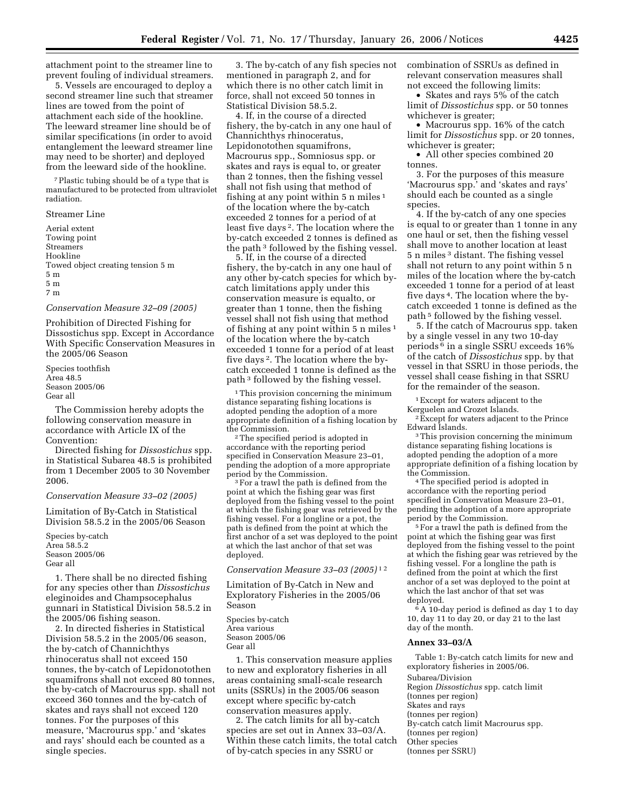attachment point to the streamer line to prevent fouling of individual streamers.

5. Vessels are encouraged to deploy a second streamer line such that streamer lines are towed from the point of attachment each side of the hookline. The leeward streamer line should be of similar specifications (in order to avoid entanglement the leeward streamer line may need to be shorter) and deployed from the leeward side of the hookline.

7Plastic tubing should be of a type that is manufactured to be protected from ultraviolet radiation.

#### Streamer Line

Aerial extent Towing point Streamers Hookline Towed object creating tension 5 m 5 m 5 m 7 m

## *Conservation Measure 32–09 (2005)*

Prohibition of Directed Fishing for Dissostichus spp. Except in Accordance With Specific Conservation Measures in the 2005/06 Season

Species toothfish Area 48.5 Season 2005/06 Gear all

The Commission hereby adopts the following conservation measure in accordance with Article IX of the Convention:

Directed fishing for *Dissostichus* spp. in Statistical Subarea 48.5 is prohibited from 1 December 2005 to 30 November 2006.

*Conservation Measure 33–02 (2005)* 

Limitation of By-Catch in Statistical Division 58.5.2 in the 2005/06 Season

Species by-catch Area 58.5.2 Season 2005/06 Gear all

1. There shall be no directed fishing for any species other than *Dissostichus*  eleginoides and Champsocephalus gunnari in Statistical Division 58.5.2 in the 2005/06 fishing season.

2. In directed fisheries in Statistical Division 58.5.2 in the 2005/06 season, the by-catch of Channichthys rhinoceratus shall not exceed 150 tonnes, the by-catch of Lepidonotothen squamifrons shall not exceed 80 tonnes, the by-catch of Macrourus spp. shall not exceed 360 tonnes and the by-catch of skates and rays shall not exceed 120 tonnes. For the purposes of this measure, 'Macrourus spp.' and 'skates and rays' should each be counted as a single species.

3. The by-catch of any fish species not mentioned in paragraph 2, and for which there is no other catch limit in force, shall not exceed 50 tonnes in Statistical Division 58.5.2.

4. If, in the course of a directed fishery, the by-catch in any one haul of Channichthys rhinoceratus, Lepidonotothen squamifrons, Macrourus spp., Somniosus spp. or skates and rays is equal to, or greater than 2 tonnes, then the fishing vessel shall not fish using that method of fishing at any point within 5 n miles 1 of the location where the by-catch exceeded 2 tonnes for a period of at least five days 2. The location where the by-catch exceeded 2 tonnes is defined as the path 3 followed by the fishing vessel.

5. If, in the course of a directed fishery, the by-catch in any one haul of any other by-catch species for which bycatch limitations apply under this conservation measure is equalto, or greater than 1 tonne, then the fishing vessel shall not fish using that method of fishing at any point within 5 n miles 1 of the location where the by-catch exceeded 1 tonne for a period of at least five days 2. The location where the bycatch exceeded 1 tonne is defined as the path 3 followed by the fishing vessel.

1This provision concerning the minimum distance separating fishing locations is adopted pending the adoption of a more appropriate definition of a fishing location by the Commission.<br><sup>2</sup>The specified period is adopted in

accordance with the reporting period specified in Conservation Measure 23–01, pending the adoption of a more appropriate

<sup>3</sup> For a trawl the path is defined from the point at which the fishing gear was first deployed from the fishing vessel to the point at which the fishing gear was retrieved by the fishing vessel. For a longline or a pot, the path is defined from the point at which the first anchor of a set was deployed to the point at which the last anchor of that set was deployed.

## *Conservation Measure 33–03 (2005)* 1 2

Limitation of By-Catch in New and Exploratory Fisheries in the 2005/06 Season

Species by-catch Area various Season 2005/06 Gear all

1. This conservation measure applies to new and exploratory fisheries in all areas containing small-scale research units (SSRUs) in the 2005/06 season except where specific by-catch conservation measures apply.

2. The catch limits for all by-catch species are set out in Annex 33–03/A. Within these catch limits, the total catch of by-catch species in any SSRU or

combination of SSRUs as defined in relevant conservation measures shall not exceed the following limits:

• Skates and rays 5% of the catch limit of *Dissostichus* spp. or 50 tonnes whichever is greater;

• Macrourus spp. 16% of the catch limit for *Dissostichus* spp. or 20 tonnes, whichever is greater;

• All other species combined 20 tonnes.

3. For the purposes of this measure 'Macrourus spp.' and 'skates and rays' should each be counted as a single species.

4. If the by-catch of any one species is equal to or greater than 1 tonne in any one haul or set, then the fishing vessel shall move to another location at least 5 n miles 3 distant. The fishing vessel shall not return to any point within 5 n miles of the location where the by-catch exceeded 1 tonne for a period of at least five days 4. The location where the bycatch exceeded 1 tonne is defined as the path 5 followed by the fishing vessel.

5. If the catch of Macrourus spp. taken by a single vessel in any two 10-day periods 6 in a single SSRU exceeds 16% of the catch of *Dissostichus* spp. by that vessel in that SSRU in those periods, the vessel shall cease fishing in that SSRU for the remainder of the season.

<sup>1</sup> Except for waters adjacent to the<br>Kerguelen and Crozet Islands.

 $2$  Except for waters adjacent to the Prince Edward Islands.

<sup>3</sup>This provision concerning the minimum distance separating fishing locations is adopted pending the adoption of a more appropriate definition of a fishing location by

the Commission. 4The specified period is adopted in accordance with the reporting period specified in Conservation Measure 23–01, pending the adoption of a more appropriate

period by the Commission.<br><sup>5</sup> For a trawl the path is defined from the point at which the fishing gear was first deployed from the fishing vessel to the point at which the fishing gear was retrieved by the fishing vessel. For a longline the path is defined from the point at which the first anchor of a set was deployed to the point at which the last anchor of that set was

deployed.<br> $6A$  10-day period is defined as day 1 to day 10, day 11 to day 20, or day 21 to the last day of the month.

#### **Annex 33–03/A**

Table 1: By-catch catch limits for new and exploratory fisheries in 2005/06. Subarea/Division Region *Dissostichus* spp. catch limit (tonnes per region) Skates and rays (tonnes per region) By-catch catch limit Macrourus spp. (tonnes per region) Other species (tonnes per SSRU)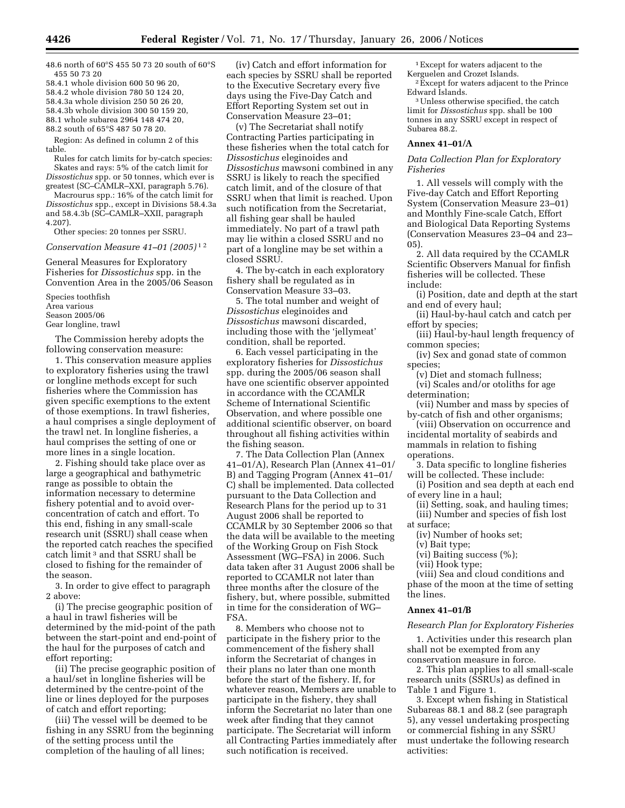48.6 north of 60°S 455 50 73 20 south of 60°S 455 50 73 20

58.4.1 whole division 600 50 96 20,

58.4.2 whole division 780 50 124 20,

58.4.3a whole division 250 50 26 20,

58.4.3b whole division 300 50 159 20, 88.1 whole subarea 2964 148 474 20,

88.2 south of 65°S 487 50 78 20.

Region: As defined in column 2 of this table.

Rules for catch limits for by-catch species: Skates and rays: 5% of the catch limit for *Dissostichus* spp. or 50 tonnes, which ever is greatest (SC–CAMLR–XXI, paragraph 5.76).

Macrourus spp.: 16% of the catch limit for *Dissostichus* spp., except in Divisions 58.4.3a and 58.4.3b (SC–CAMLR–XXII, paragraph 4.207).

Other species: 20 tonnes per SSRU.

#### *Conservation Measure 41–01 (2005)* 1 2

General Measures for Exploratory Fisheries for *Dissostichus* spp. in the Convention Area in the 2005/06 Season

Species toothfish Area various Season 2005/06 Gear longline, trawl

The Commission hereby adopts the following conservation measure:

1. This conservation measure applies to exploratory fisheries using the trawl or longline methods except for such fisheries where the Commission has given specific exemptions to the extent of those exemptions. In trawl fisheries, a haul comprises a single deployment of the trawl net. In longline fisheries, a haul comprises the setting of one or more lines in a single location.

2. Fishing should take place over as large a geographical and bathymetric range as possible to obtain the information necessary to determine fishery potential and to avoid overconcentration of catch and effort. To this end, fishing in any small-scale research unit (SSRU) shall cease when the reported catch reaches the specified catch limit 3 and that SSRU shall be closed to fishing for the remainder of the season.

3. In order to give effect to paragraph 2 above:

(i) The precise geographic position of a haul in trawl fisheries will be determined by the mid-point of the path between the start-point and end-point of the haul for the purposes of catch and effort reporting;

(ii) The precise geographic position of a haul/set in longline fisheries will be determined by the centre-point of the line or lines deployed for the purposes of catch and effort reporting;

(iii) The vessel will be deemed to be fishing in any SSRU from the beginning of the setting process until the completion of the hauling of all lines;

(iv) Catch and effort information for each species by SSRU shall be reported to the Executive Secretary every five days using the Five-Day Catch and Effort Reporting System set out in Conservation Measure 23–01;

(v) The Secretariat shall notify Contracting Parties participating in these fisheries when the total catch for *Dissostichus* eleginoides and *Dissostichus* mawsoni combined in any SSRU is likely to reach the specified catch limit, and of the closure of that SSRU when that limit is reached. Upon such notification from the Secretariat, all fishing gear shall be hauled immediately. No part of a trawl path may lie within a closed SSRU and no part of a longline may be set within a closed SSRU.

4. The by-catch in each exploratory fishery shall be regulated as in Conservation Measure 33–03.

5. The total number and weight of *Dissostichus* eleginoides and *Dissostichus* mawsoni discarded, including those with the 'jellymeat' condition, shall be reported.

6. Each vessel participating in the exploratory fisheries for *Dissostichus*  spp. during the 2005/06 season shall have one scientific observer appointed in accordance with the CCAMLR Scheme of International Scientific Observation, and where possible one additional scientific observer, on board throughout all fishing activities within the fishing season.

7. The Data Collection Plan (Annex 41–01/A), Research Plan (Annex 41–01/ B) and Tagging Program (Annex 41–01/ C) shall be implemented. Data collected pursuant to the Data Collection and Research Plans for the period up to 31 August 2006 shall be reported to CCAMLR by 30 September 2006 so that the data will be available to the meeting of the Working Group on Fish Stock Assessment (WG–FSA) in 2006. Such data taken after 31 August 2006 shall be reported to CCAMLR not later than three months after the closure of the fishery, but, where possible, submitted in time for the consideration of WG– FSA.

8. Members who choose not to participate in the fishery prior to the commencement of the fishery shall inform the Secretariat of changes in their plans no later than one month before the start of the fishery. If, for whatever reason, Members are unable to participate in the fishery, they shall inform the Secretariat no later than one week after finding that they cannot participate. The Secretariat will inform all Contracting Parties immediately after such notification is received.

1Except for waters adjacent to the

Kerguelen and Crozet Islands.<br><sup>2</sup> Except for waters adjacent to the Prince<br>Edward Islands.

<sup>3</sup> Unless otherwise specified, the catch limit for *Dissostichus* spp. shall be 100 tonnes in any SSRU except in respect of Subarea 88.2.

## **Annex 41–01/A**

*Data Collection Plan for Exploratory Fisheries* 

1. All vessels will comply with the Five-day Catch and Effort Reporting System (Conservation Measure 23–01) and Monthly Fine-scale Catch, Effort and Biological Data Reporting Systems (Conservation Measures 23–04 and 23– 05).

2. All data required by the CCAMLR Scientific Observers Manual for finfish fisheries will be collected. These include:

(i) Position, date and depth at the start and end of every haul;

(ii) Haul-by-haul catch and catch per effort by species;

(iii) Haul-by-haul length frequency of common species;

(iv) Sex and gonad state of common species;

(v) Diet and stomach fullness;

(vi) Scales and/or otoliths for age determination;

(vii) Number and mass by species of by-catch of fish and other organisms;

(viii) Observation on occurrence and incidental mortality of seabirds and mammals in relation to fishing operations.

3. Data specific to longline fisheries will be collected. These include:

(i) Position and sea depth at each end of every line in a haul;

(ii) Setting, soak, and hauling times;

(iii) Number and species of fish lost at surface;

(iv) Number of hooks set;

(v) Bait type;

(vi) Baiting success (%);

(vii) Hook type;

(viii) Sea and cloud conditions and phase of the moon at the time of setting the lines.

## **Annex 41–01/B**

## *Research Plan for Exploratory Fisheries*

1. Activities under this research plan shall not be exempted from any conservation measure in force.

2. This plan applies to all small-scale research units (SSRUs) as defined in Table 1 and Figure 1.

3. Except when fishing in Statistical Subareas 88.1 and 88.2 (see paragraph 5), any vessel undertaking prospecting or commercial fishing in any SSRU must undertake the following research activities: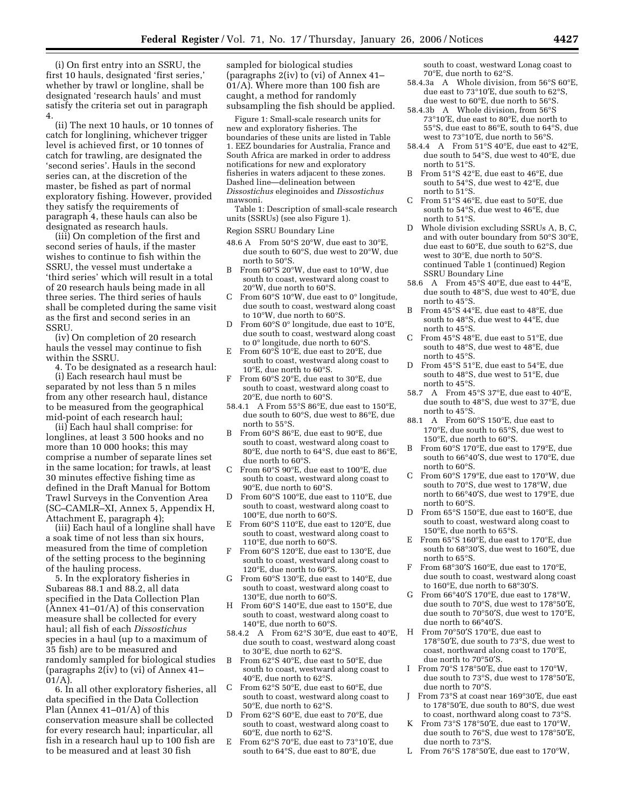(i) On first entry into an SSRU, the first 10 hauls, designated 'first series,' whether by trawl or longline, shall be designated 'research hauls' and must satisfy the criteria set out in paragraph 4.

(ii) The next 10 hauls, or 10 tonnes of catch for longlining, whichever trigger level is achieved first, or 10 tonnes of catch for trawling, are designated the 'second series'. Hauls in the second series can, at the discretion of the master, be fished as part of normal exploratory fishing. However, provided they satisfy the requirements of paragraph 4, these hauls can also be designated as research hauls.

(iii) On completion of the first and second series of hauls, if the master wishes to continue to fish within the SSRU, the vessel must undertake a 'third series' which will result in a total of 20 research hauls being made in all three series. The third series of hauls shall be completed during the same visit as the first and second series in an SSRU.

(iv) On completion of 20 research hauls the vessel may continue to fish within the SSRU.

4. To be designated as a research haul: (i) Each research haul must be separated by not less than 5 n miles from any other research haul, distance to be measured from the geographical mid-point of each research haul;

(ii) Each haul shall comprise: for longlines, at least 3 500 hooks and no more than 10 000 hooks; this may comprise a number of separate lines set in the same location; for trawls, at least 30 minutes effective fishing time as defined in the Draft Manual for Bottom Trawl Surveys in the Convention Area (SC–CAMLR–XI, Annex 5, Appendix H, Attachment E, paragraph 4);

(iii) Each haul of a longline shall have a soak time of not less than six hours, measured from the time of completion of the setting process to the beginning of the hauling process.

5. In the exploratory fisheries in Subareas 88.1 and 88.2, all data specified in the Data Collection Plan (Annex 41–01/A) of this conservation measure shall be collected for every haul; all fish of each *Dissostichus*  species in a haul (up to a maximum of 35 fish) are to be measured and randomly sampled for biological studies (paragraphs 2(iv) to (vi) of Annex 41–  $01/A$ ).

6. In all other exploratory fisheries, all data specified in the Data Collection Plan (Annex 41–01/A) of this conservation measure shall be collected for every research haul; inparticular, all fish in a research haul up to 100 fish are to be measured and at least 30 fish

sampled for biological studies (paragraphs 2(iv) to (vi) of Annex 41– 01/A). Where more than 100 fish are caught, a method for randomly subsampling the fish should be applied.

Figure 1: Small-scale research units for new and exploratory fisheries. The boundaries of these units are listed in Table 1. EEZ boundaries for Australia, France and South Africa are marked in order to address notifications for new and exploratory fisheries in waters adjacent to these zones. Dashed line—delineation between *Dissostichus* eleginoides and *Dissostichus*  mawsoni.

Table 1: Description of small-scale research units (SSRUs) (see also Figure 1).

Region SSRU Boundary Line

- 48.6 A From 50°S 20°W, due east to 30°E, due south to 60°S, due west to 20°W, due north to 50°S.
- B From 60°S 20°W, due east to 10°W, due south to coast, westward along coast to 20°W, due north to 60°S.
- C From  $60^{\circ}S$  10°W, due east to  $0^{\circ}$  longitude, due south to coast, westward along coast to 10°W, due north to 60°S.
- D From 60°S 0° longitude, due east to 10°E, due south to coast, westward along coast to 0° longitude, due north to 60°S.
- E From 60°S 10°E, due east to 20°E, due south to coast, westward along coast to 10°E, due north to 60°S.
- F From 60°S 20°E, due east to 30°E, due south to coast, westward along coast to 20°E, due north to 60°S.
- 58.4.1 A From 55°S 86°E, due east to 150°E, due south to 60°S, due west to 86°E, due north to 55°S.
- B From 60°S 86°E, due east to 90°E, due south to coast, westward along coast to 80°E, due north to 64°S, due east to 86°E, due north to 60°S.
- C From 60°S 90°E, due east to 100°E, due south to coast, westward along coast to 90°E, due north to 60°S.
- D From 60°S 100°E, due east to 110°E, due south to coast, westward along coast to 100°E, due north to 60°S.
- E From 60°S 110°E, due east to 120°E, due south to coast, westward along coast to 110°E, due north to 60°S.
- F From 60°S 120°E, due east to 130°E, due south to coast, westward along coast to 120°E, due north to 60°S.
- G From 60°S 130°E, due east to 140°E, due south to coast, westward along coast to 130°E, due north to 60°S.
- H From 60°S 140°E, due east to 150°E, due south to coast, westward along coast to 140°E, due north to 60°S.
- 58.4.2 A From 62°S 30°E, due east to 40°E, due south to coast, westward along coast to 30°E, due north to 62°S.
- B From 62°S 40°E, due east to 50°E, due south to coast, westward along coast to 40°E, due north to 62°S.
- C From 62°S 50°E, due east to 60°E, due south to coast, westward along coast to 50°E, due north to 62°S.
- D From 62°S 60°E, due east to 70°E, due south to coast, westward along coast to 60°E, due north to 62°S.
- E From 62°S 70°E, due east to 73°10'E, due south to 64°S, due east to 80°E, due

south to coast, westward Lonag coast to 70°E, due north to 62°S.

- 58.4.3a A Whole division, from 56°S 60°E, due east to 73°10′E, due south to 62°S, due west to 60°E, due north to 56°S.
- 58.4.3b A Whole division, from 56°S 73°10′E, due east to 80°E, due north to 55°S, due east to 86°E, south to 64°S, due west to 73°10′E, due north to 56°S.
- 58.4.4 A From 51°S 40°E, due east to 42°E, due south to 54°S, due west to 40°E, due north to 51°S.
- B From 51°S 42°E, due east to 46°E, due south to 54°S, due west to 42°E, due north to 51°S.
- C From 51°S 46°E, due east to 50°E, due south to 54°S, due west to 46°E, due north to 51°S.
- D Whole division excluding SSRUs A, B, C, and with outer boundary from 50°S 30°E, due east to 60°E, due south to 62°S, due west to 30°E, due north to 50°S. continued Table 1 (continued) Region SSRU Boundary Line
- 58.6 A From  $45^{\circ}$ S  $40^{\circ}$ E, due east to  $44^{\circ}$ E, due south to 48°S, due west to 40°E, due north to 45°S.
- B From 45°S 44°E, due east to 48°E, due south to 48°S, due west to 44°E, due north to 45°S.
- C From 45°S 48°E, due east to 51°E, due south to 48°S, due west to 48°E, due north to 45°S.
- D From 45°S 51°E, due east to 54°E, due south to 48°S, due west to 51°E, due north to 45°S.
- 58.7 A From  $45^{\circ}$ S 37°E, due east to  $40^{\circ}$ E, due south to 48°S, due west to 37°E, due north to 45°S.
- 88.1 A From 60°S 150°E, due east to 170°E, due south to 65°S, due west to 150°E, due north to 60°S.
- B From 60°S 170°E, due east to 179°E, due south to 66°40′S, due west to 170°E, due north to 60°S.
- C From 60°S 179°E, due east to 170°W, due south to 70°S, due west to 178°W, due north to 66°40′S, due west to 179°E, due north to 60°S.
- D From 65°S 150°E, due east to 160°E, due south to coast, westward along coast to 150°E, due north to 65°S.
- E From 65°S 160°E, due east to 170°E, due south to 68°30′S, due west to 160°E, due north to 65°S.
- F From 68°30′S 160°E, due east to 170°E, due south to coast, westward along coast to 160°E, due north to 68°30′S.
- G From  $66^{\circ}40^{\prime}S$  170°E, due east to 178°W, due south to 70°S, due west to 178°50′E, due south to 70°50′S, due west to 170°E, due north to 66°40′S.
- H From 70°50′S 170°E, due east to 178°50′E, due south to 73°S, due west to coast, northward along coast to 170°E, due north to 70°50′S.
- I From 70°S 178°50′E, due east to 170°W, due south to 73°S, due west to 178°50′E, due north to 70°S.
- J From 73°S at coast near 169°30′E, due east to 178°50′E, due south to 80°S, due west to coast, northward along coast to 73°S.
- K From 73°S 178°50′E, due east to 170°W, due south to 76°S, due west to 178°50′E, due north to 73°S.
- L From 76°S 178°50′E, due east to 170°W,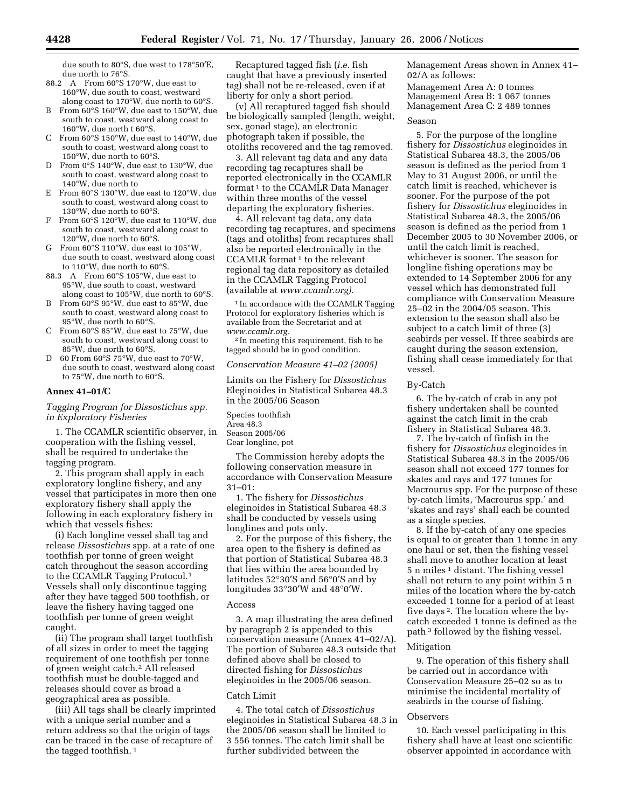due south to 80°S, due west to 178°50′E, due north to 76°S.

- 88.2 A From 60°S 170°W, due east to 160°W, due south to coast, westward along coast to 170°W, due north to 60°S. B From 60°S 160°W, due east to 150°W, due
- south to coast, westward along coast to 160°W, due north t 60°S. C From 60°S 150°W, due east to 140°W, due
- south to coast, westward along coast to 150°W, due north to 60°S. D From 0°S 140°W, due east to 130°W, due south to coast, westward along coast to
- 140°W, due north to E From 60°S 130°W, due east to 120°W, due south to coast, westward along coast to
- 130°W, due north to 60°S. F From 60°S 120°W, due east to 110°W, due south to coast, westward along coast to 120°W, due north to 60°S.
- G From 60°S 110°W, due east to 105°W, due south to coast, westward along coast to 110°W, due north to 60°S.
- 88.3 A From 60°S 105°W, due east to 95°W, due south to coast, westward along coast to 105°W, due north to 60°S.
- B From 60°S 95°W, due east to 85°W, due south to coast, westward along coast to 95°W, due north to 60°S.
- C From 60°S 85°W, due east to 75°W, due south to coast, westward along coast to 85°W, due north to 60°S.
- 60 From 60 $\mathrm{°S}$  75 $\mathrm{°W}$ , due east to 70 $\mathrm{°W}$ , due south to coast, westward along coast to 75°W, due north to 60°S.

#### **Annex 41–01/C**

## *Tagging Program for Dissostichus spp. in Exploratory Fisheries*

1. The CCAMLR scientific observer, in cooperation with the fishing vessel, shall be required to undertake the tagging program.

2. This program shall apply in each exploratory longline fishery, and any vessel that participates in more then one exploratory fishery shall apply the following in each exploratory fishery in which that vessels fishes:

(i) Each longline vessel shall tag and release *Dissostichus* spp. at a rate of one toothfish per tonne of green weight catch throughout the season according to the CCAMLR Tagging Protocol.1 Vessels shall only discontinue tagging after they have tagged 500 toothfish, or leave the fishery having tagged one toothfish per tonne of green weight caught.

(ii) The program shall target toothfish of all sizes in order to meet the tagging requirement of one toothfish per tonne of green weight catch.2 All released toothfish must be double-tagged and releases should cover as broad a geographical area as possible.

(iii) All tags shall be clearly imprinted with a unique serial number and a return address so that the origin of tags can be traced in the case of recapture of the tagged toothfish.<sup>1</sup>

Recaptured tagged fish (*i.e.* fish caught that have a previously inserted tag) shall not be re-released, even if at liberty for only a short period.

(v) All recaptured tagged fish should be biologically sampled (length, weight, sex, gonad stage), an electronic photograph taken if possible, the otoliths recovered and the tag removed.

3. All relevant tag data and any data recording tag recaptures shall be reported electronically in the CCAMLR format 1 to the CCAMLR Data Manager within three months of the vessel departing the exploratory fisheries.

4. All relevant tag data, any data recording tag recaptures, and specimens (tags and otoliths) from recaptures shall also be reported electronically in the CCAMLR format<sup>1</sup> to the relevant regional tag data repository as detailed in the CCAMLR Tagging Protocol (available at *www.ccamlr.org).* 

1 In accordance with the CCAMLR Tagging Protocol for exploratory fisheries which is available from the Secretariat and at *www.ccamlr.org.* 

2 In meeting this requirement, fish to be tagged should be in good condition.

#### *Conservation Measure 41–02 (2005)*

Limits on the Fishery for *Dissostichus*  Eleginoides in Statistical Subarea 48.3 in the 2005/06 Season

Species toothfish Area 48.3 Season 2005/06 Gear longline, pot

The Commission hereby adopts the following conservation measure in accordance with Conservation Measure 31–01:

1. The fishery for *Dissostichus*  eleginoides in Statistical Subarea 48.3 shall be conducted by vessels using longlines and pots only.

2. For the purpose of this fishery, the area open to the fishery is defined as that portion of Statistical Subarea 48.3 that lies within the area bounded by latitudes 52°30′S and 56°0′S and by longitudes 33°30′W and 48°0′W.

#### Access

3. A map illustrating the area defined by paragraph 2 is appended to this conservation measure (Annex 41–02/A). The portion of Subarea 48.3 outside that defined above shall be closed to directed fishing for *Dissostichus*  eleginoides in the 2005/06 season.

## Catch Limit

4. The total catch of *Dissostichus*  eleginoides in Statistical Subarea 48.3 in the 2005/06 season shall be limited to 3 556 tonnes. The catch limit shall be further subdivided between the

Management Areas shown in Annex 41– 02/A as follows:

Management Area A: 0 tonnes Management Area B: 1 067 tonnes Management Area C: 2 489 tonnes

## Season

5. For the purpose of the longline fishery for *Dissostichus* eleginoides in Statistical Subarea 48.3, the 2005/06 season is defined as the period from 1 May to 31 August 2006, or until the catch limit is reached, whichever is sooner. For the purpose of the pot fishery for *Dissostichus* eleginoides in Statistical Subarea 48.3, the 2005/06 season is defined as the period from 1 December 2005 to 30 November 2006, or until the catch limit is reached, whichever is sooner. The season for longline fishing operations may be extended to 14 September 2006 for any vessel which has demonstrated full compliance with Conservation Measure 25–02 in the 2004/05 season. This extension to the season shall also be subject to a catch limit of three (3) seabirds per vessel. If three seabirds are caught during the season extension, fishing shall cease immediately for that vessel.

#### By-Catch

6. The by-catch of crab in any pot fishery undertaken shall be counted against the catch limit in the crab fishery in Statistical Subarea 48.3.

7. The by-catch of finfish in the fishery for *Dissostichus* eleginoides in Statistical Subarea 48.3 in the 2005/06 season shall not exceed 177 tonnes for skates and rays and 177 tonnes for Macrourus spp. For the purpose of these by-catch limits, 'Macrourus spp.' and 'skates and rays' shall each be counted as a single species.

8. If the by-catch of any one species is equal to or greater than 1 tonne in any one haul or set, then the fishing vessel shall move to another location at least 5 n miles 1 distant. The fishing vessel shall not return to any point within 5 n miles of the location where the by-catch exceeded 1 tonne for a period of at least five days 2. The location where the bycatch exceeded 1 tonne is defined as the path 3 followed by the fishing vessel.

## Mitigation

9. The operation of this fishery shall be carried out in accordance with Conservation Measure 25–02 so as to minimise the incidental mortality of seabirds in the course of fishing.

#### **Observers**

10. Each vessel participating in this fishery shall have at least one scientific observer appointed in accordance with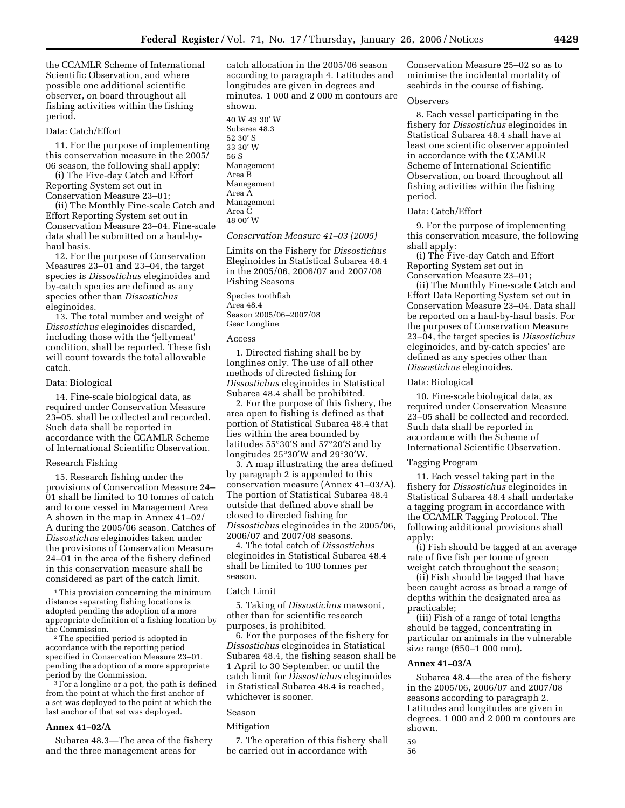the CCAMLR Scheme of International Scientific Observation, and where possible one additional scientific observer, on board throughout all fishing activities within the fishing period.

## Data: Catch/Effort

11. For the purpose of implementing this conservation measure in the 2005/ 06 season, the following shall apply:

(i) The Five-day Catch and Effort Reporting System set out in Conservation Measure 23–01;

(ii) The Monthly Fine-scale Catch and Effort Reporting System set out in Conservation Measure 23–04. Fine-scale data shall be submitted on a haul-byhaul basis.

12. For the purpose of Conservation Measures 23–01 and 23–04, the target species is *Dissostichus* eleginoides and by-catch species are defined as any species other than *Dissostichus*  eleginoides.

13. The total number and weight of *Dissostichus* eleginoides discarded, including those with the 'jellymeat' condition, shall be reported. These fish will count towards the total allowable catch.

#### Data: Biological

14. Fine-scale biological data, as required under Conservation Measure 23–05, shall be collected and recorded. Such data shall be reported in accordance with the CCAMLR Scheme of International Scientific Observation.

#### Research Fishing

15. Research fishing under the provisions of Conservation Measure 24– 01 shall be limited to 10 tonnes of catch and to one vessel in Management Area A shown in the map in Annex 41–02/ A during the 2005/06 season. Catches of *Dissostichus* eleginoides taken under the provisions of Conservation Measure 24–01 in the area of the fishery defined in this conservation measure shall be considered as part of the catch limit.

1This provision concerning the minimum distance separating fishing locations is adopted pending the adoption of a more appropriate definition of a fishing location by the Commission.<br><sup>2</sup>The specified period is adopted in

accordance with the reporting period specified in Conservation Measure 23–01, pending the adoption of a more appropriate

<sup>3</sup> For a longline or a pot, the path is defined from the point at which the first anchor of a set was deployed to the point at which the last anchor of that set was deployed.

## **Annex 41–02/A**

Subarea 48.3—The area of the fishery and the three management areas for

catch allocation in the 2005/06 season according to paragraph 4. Latitudes and longitudes are given in degrees and minutes. 1 000 and 2 000 m contours are shown.

40 W 43 30′ W Subarea 48.3 52 30′ S 33 30′ W 56 S Management Area B Management Area A Management Area C 48 00′ W

*Conservation Measure 41–03 (2005)* 

Limits on the Fishery for *Dissostichus*  Eleginoides in Statistical Subarea 48.4 in the 2005/06, 2006/07 and 2007/08 Fishing Seasons

Species toothfish Area 48.4 Season 2005/06–2007/08 Gear Longline

#### Access

1. Directed fishing shall be by longlines only. The use of all other methods of directed fishing for *Dissostichus* eleginoides in Statistical Subarea 48.4 shall be prohibited.

2. For the purpose of this fishery, the area open to fishing is defined as that portion of Statistical Subarea 48.4 that lies within the area bounded by latitudes 55°30′S and 57°20′S and by longitudes 25°30′W and 29°30′W.

3. A map illustrating the area defined by paragraph 2 is appended to this conservation measure (Annex 41–03/A). The portion of Statistical Subarea 48.4 outside that defined above shall be closed to directed fishing for *Dissostichus* eleginoides in the 2005/06, 2006/07 and 2007/08 seasons.

4. The total catch of *Dissostichus*  eleginoides in Statistical Subarea 48.4 shall be limited to 100 tonnes per season.

#### Catch Limit

5. Taking of *Dissostichus* mawsoni, other than for scientific research purposes, is prohibited.

6. For the purposes of the fishery for *Dissostichus* eleginoides in Statistical Subarea 48.4, the fishing season shall be 1 April to 30 September, or until the catch limit for *Dissostichus* eleginoides in Statistical Subarea 48.4 is reached, whichever is sooner.

#### Season

#### Mitigation

7. The operation of this fishery shall be carried out in accordance with

Conservation Measure 25–02 so as to minimise the incidental mortality of seabirds in the course of fishing.

## Observers

8. Each vessel participating in the fishery for *Dissostichus* eleginoides in Statistical Subarea 48.4 shall have at least one scientific observer appointed in accordance with the CCAMLR Scheme of International Scientific Observation, on board throughout all fishing activities within the fishing period.

## Data: Catch/Effort

9. For the purpose of implementing this conservation measure, the following shall apply:

(i) The Five-day Catch and Effort Reporting System set out in Conservation Measure 23–01;

(ii) The Monthly Fine-scale Catch and Effort Data Reporting System set out in Conservation Measure 23–04. Data shall be reported on a haul-by-haul basis. For the purposes of Conservation Measure 23–04, the target species is *Dissostichus*  eleginoides, and by-catch species' are defined as any species other than *Dissostichus* eleginoides.

## Data: Biological

10. Fine-scale biological data, as required under Conservation Measure 23–05 shall be collected and recorded. Such data shall be reported in accordance with the Scheme of International Scientific Observation.

#### Tagging Program

11. Each vessel taking part in the fishery for *Dissostichus* eleginoides in Statistical Subarea 48.4 shall undertake a tagging program in accordance with the CCAMLR Tagging Protocol. The following additional provisions shall apply:

(i) Fish should be tagged at an average rate of five fish per tonne of green weight catch throughout the season;

(ii) Fish should be tagged that have been caught across as broad a range of depths within the designated area as practicable;

(iii) Fish of a range of total lengths should be tagged, concentrating in particular on animals in the vulnerable size range (650–1 000 mm).

## **Annex 41–03/A**

Subarea 48.4—the area of the fishery in the 2005/06, 2006/07 and 2007/08 seasons according to paragraph 2. Latitudes and longitudes are given in degrees. 1 000 and 2 000 m contours are shown.

59 56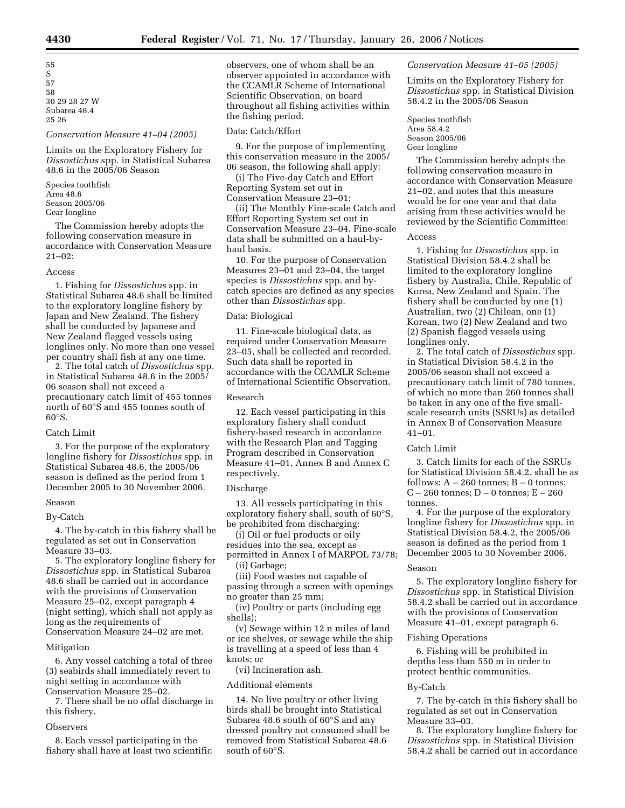## *Conservation Measure 41–04 (2005)*

Limits on the Exploratory Fishery for *Dissostichus* spp. in Statistical Subarea 48.6 in the 2005/06 Season

Species toothfish Area 48.6 Season 2005/06 Gear longline

The Commission hereby adopts the following conservation measure in accordance with Conservation Measure 21–02:

#### Access

1. Fishing for *Dissostichus* spp. in Statistical Subarea 48.6 shall be limited to the exploratory longline fishery by Japan and New Zealand. The fishery shall be conducted by Japanese and New Zealand flagged vessels using longlines only. No more than one vessel per country shall fish at any one time.

2. The total catch of *Dissostichus* spp. in Statistical Subarea 48.6 in the 2005/ 06 season shall not exceed a precautionary catch limit of 455 tonnes north of 60°S and 455 tonnes south of 60°S.

## Catch Limit

3. For the purpose of the exploratory longline fishery for *Dissostichus* spp. in Statistical Subarea 48.6, the 2005/06 season is defined as the period from 1 December 2005 to 30 November 2006.

#### Season

#### By-Catch

4. The by-catch in this fishery shall be regulated as set out in Conservation Measure 33–03.

5. The exploratory longline fishery for *Dissostichus* spp. in Statistical Subarea 48.6 shall be carried out in accordance with the provisions of Conservation Measure 25–02, except paragraph 4 (night setting), which shall not apply as long as the requirements of Conservation Measure 24–02 are met.

#### Mitigation

6. Any vessel catching a total of three (3) seabirds shall immediately revert to night setting in accordance with Conservation Measure 25–02.

7. There shall be no offal discharge in this fishery.

#### Observers

8. Each vessel participating in the fishery shall have at least two scientific

observers, one of whom shall be an observer appointed in accordance with the CCAMLR Scheme of International Scientific Observation, on board throughout all fishing activities within the fishing period.

#### Data: Catch/Effort

9. For the purpose of implementing this conservation measure in the 2005/ 06 season, the following shall apply:

(i) The Five-day Catch and Effort Reporting System set out in Conservation Measure 23–01;

(ii) The Monthly Fine-scale Catch and Effort Reporting System set out in Conservation Measure 23–04. Fine-scale data shall be submitted on a haul-byhaul basis.

10. For the purpose of Conservation Measures 23–01 and 23–04, the target species is *Dissostichus* spp. and bycatch species are defined as any species other than *Dissostichus* spp.

#### Data: Biological

11. Fine-scale biological data, as required under Conservation Measure 23–05, shall be collected and recorded. Such data shall be reported in accordance with the CCAMLR Scheme of International Scientific Observation.

#### Research

12. Each vessel participating in this exploratory fishery shall conduct fishery-based research in accordance with the Research Plan and Tagging Program described in Conservation Measure 41–01, Annex B and Annex C respectively.

#### Discharge

13. All vessels participating in this exploratory fishery shall, south of 60°S, be prohibited from discharging:

(i) Oil or fuel products or oily residues into the sea, except as permitted in Annex I of MARPOL 73/78; (ii) Garbage;

(iii) Food wastes not capable of passing through a screen with openings no greater than 25 mm;

(iv) Poultry or parts (including egg shells);

(v) Sewage within 12 n miles of land or ice shelves, or sewage while the ship is travelling at a speed of less than 4 knots; or

(vi) Incineration ash.

## Additional elements

14. No live poultry or other living birds shall be brought into Statistical Subarea 48.6 south of 60°S and any dressed poultry not consumed shall be removed from Statistical Subarea 48.6 south of 60°S.

#### *Conservation Measure 41–05 (2005)*

Limits on the Exploratory Fishery for *Dissostichus* spp. in Statistical Division 58.4.2 in the 2005/06 Season

Species toothfish Area 58.4.2 Season 2005/06 Gear longline

The Commission hereby adopts the following conservation measure in accordance with Conservation Measure 21–02, and notes that this measure would be for one year and that data arising from these activities would be reviewed by the Scientific Committee:

#### Access

1. Fishing for *Dissostichus* spp. in Statistical Division 58.4.2 shall be limited to the exploratory longline fishery by Australia, Chile, Republic of Korea, New Zealand and Spain. The fishery shall be conducted by one (1) Australian, two (2) Chilean, one (1) Korean, two (2) New Zealand and two (2) Spanish flagged vessels using longlines only.

2. The total catch of *Dissostichus* spp. in Statistical Division 58.4.2 in the 2005/06 season shall not exceed a precautionary catch limit of 780 tonnes, of which no more than 260 tonnes shall be taken in any one of the five smallscale research units (SSRUs) as detailed in Annex B of Conservation Measure 41–01.

## Catch Limit

3. Catch limits for each of the SSRUs for Statistical Division 58.4.2, shall be as follows:  $A - 260$  tonnes;  $B - 0$  tonnes;  $C - 260$  tonnes;  $D - 0$  tonnes;  $E - 260$ tonnes.

4. For the purpose of the exploratory longline fishery for *Dissostichus* spp. in Statistical Division 58.4.2, the 2005/06 season is defined as the period from 1 December 2005 to 30 November 2006.

#### Season

5. The exploratory longline fishery for *Dissostichus* spp. in Statistical Division 58.4.2 shall be carried out in accordance with the provisions of Conservation Measure 41–01, except paragraph 6.

## Fishing Operations

6. Fishing will be prohibited in depths less than 550 m in order to protect benthic communities.

#### By-Catch

7. The by-catch in this fishery shall be regulated as set out in Conservation Measure 33–03.

8. The exploratory longline fishery for *Dissostichus* spp. in Statistical Division 58.4.2 shall be carried out in accordance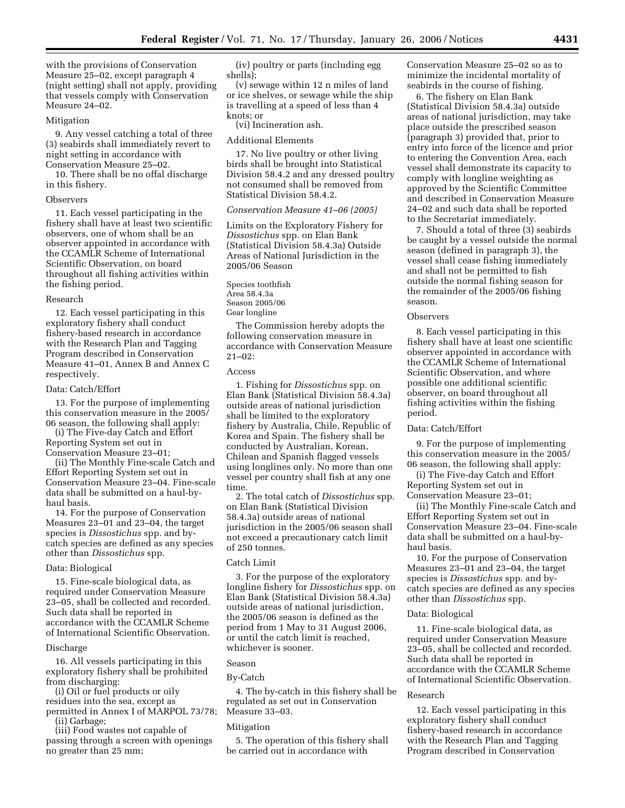with the provisions of Conservation Measure 25–02, except paragraph 4 (night setting) shall not apply, providing that vessels comply with Conservation Measure 24–02.

#### Mitigation

9. Any vessel catching a total of three (3) seabirds shall immediately revert to night setting in accordance with Conservation Measure 25–02.

10. There shall be no offal discharge in this fishery.

## **Observers**

11. Each vessel participating in the fishery shall have at least two scientific observers, one of whom shall be an observer appointed in accordance with the CCAMLR Scheme of International Scientific Observation, on board throughout all fishing activities within the fishing period.

#### Research

12. Each vessel participating in this exploratory fishery shall conduct fishery-based research in accordance with the Research Plan and Tagging Program described in Conservation Measure 41–01, Annex B and Annex C respectively.

#### Data: Catch/Effort

13. For the purpose of implementing this conservation measure in the 2005/ 06 season, the following shall apply:

(i) The Five-day Catch and Effort Reporting System set out in Conservation Measure 23–01;

(ii) The Monthly Fine-scale Catch and Effort Reporting System set out in Conservation Measure 23–04. Fine-scale data shall be submitted on a haul-byhaul basis.

14. For the purpose of Conservation Measures 23–01 and 23–04, the target species is *Dissostichus* spp. and bycatch species are defined as any species other than *Dissostichus* spp.

## Data: Biological

15. Fine-scale biological data, as required under Conservation Measure 23–05, shall be collected and recorded. Such data shall be reported in accordance with the CCAMLR Scheme of International Scientific Observation.

#### Discharge

16. All vessels participating in this exploratory fishery shall be prohibited from discharging:

(i) Oil or fuel products or oily residues into the sea, except as permitted in Annex I of MARPOL 73/78; (ii) Garbage;

(iii) Food wastes not capable of passing through a screen with openings no greater than 25 mm;

(iv) poultry or parts (including egg shells);

(v) sewage within 12 n miles of land or ice shelves, or sewage while the ship is travelling at a speed of less than 4 knots; or

(vi) Incineration ash.

## Additional Elements

17. No live poultry or other living birds shall be brought into Statistical Division 58.4.2 and any dressed poultry not consumed shall be removed from Statistical Division 58.4.2.

#### *Conservation Measure 41–06 (2005)*

Limits on the Exploratory Fishery for *Dissostichus* spp. on Elan Bank (Statistical Division 58.4.3a) Outside Areas of National Jurisdiction in the 2005/06 Season

Species toothfish Area 58.4.3a Season 2005/06 Gear longline

The Commission hereby adopts the following conservation measure in accordance with Conservation Measure 21–02:

#### Access

1. Fishing for *Dissostichus* spp. on Elan Bank (Statistical Division 58.4.3a) outside areas of national jurisdiction shall be limited to the exploratory fishery by Australia, Chile, Republic of Korea and Spain. The fishery shall be conducted by Australian, Korean, Chilean and Spanish flagged vessels using longlines only. No more than one vessel per country shall fish at any one time.

2. The total catch of *Dissostichus* spp. on Elan Bank (Statistical Division 58.4.3a) outside areas of national jurisdiction in the 2005/06 season shall not exceed a precautionary catch limit of 250 tonnes.

#### Catch Limit

3. For the purpose of the exploratory longline fishery for *Dissostichus* spp. on Elan Bank (Statistical Division 58.4.3a) outside areas of national jurisdiction, the 2005/06 season is defined as the period from 1 May to 31 August 2006, or until the catch limit is reached, whichever is sooner.

#### Season

## By-Catch

4. The by-catch in this fishery shall be regulated as set out in Conservation Measure 33–03.

#### Mitigation

5. The operation of this fishery shall be carried out in accordance with

Conservation Measure 25–02 so as to minimize the incidental mortality of seabirds in the course of fishing.

6. The fishery on Elan Bank (Statistical Division 58.4.3a) outside areas of national jurisdiction, may take place outside the prescribed season (paragraph 3) provided that, prior to entry into force of the licence and prior to entering the Convention Area, each vessel shall demonstrate its capacity to comply with longline weighting as approved by the Scientific Committee and described in Conservation Measure 24–02 and such data shall be reported to the Secretariat immediately.

7. Should a total of three (3) seabirds be caught by a vessel outside the normal season (defined in paragraph 3), the vessel shall cease fishing immediately and shall not be permitted to fish outside the normal fishing season for the remainder of the 2005/06 fishing season.

#### **Observers**

8. Each vessel participating in this fishery shall have at least one scientific observer appointed in accordance with the CCAMLR Scheme of International Scientific Observation, and where possible one additional scientific observer, on board throughout all fishing activities within the fishing period.

#### Data: Catch/Effort

9. For the purpose of implementing this conservation measure in the 2005/ 06 season, the following shall apply:

(i) The Five-day Catch and Effort Reporting System set out in Conservation Measure 23–01;

(ii) The Monthly Fine-scale Catch and Effort Reporting System set out in Conservation Measure 23–04. Fine-scale data shall be submitted on a haul-byhaul basis.

10. For the purpose of Conservation Measures 23–01 and 23–04, the target species is *Dissostichus* spp. and bycatch species are defined as any species other than *Dissostichus* spp.

## Data: Biological

11. Fine-scale biological data, as required under Conservation Measure 23–05, shall be collected and recorded. Such data shall be reported in accordance with the CCAMLR Scheme of International Scientific Observation.

## Research

12. Each vessel participating in this exploratory fishery shall conduct fishery-based research in accordance with the Research Plan and Tagging Program described in Conservation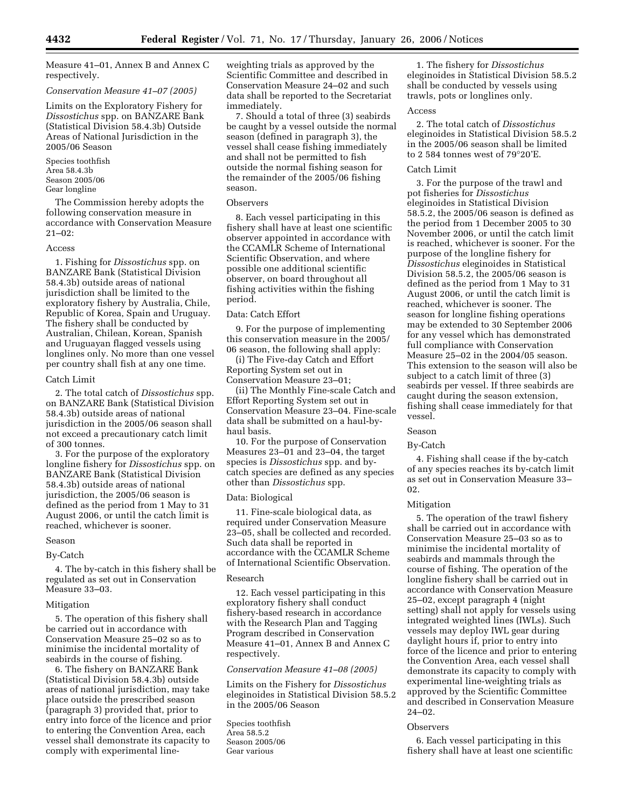Measure 41–01, Annex B and Annex C respectively.

#### *Conservation Measure 41–07 (2005)*

Limits on the Exploratory Fishery for *Dissostichus* spp. on BANZARE Bank (Statistical Division 58.4.3b) Outside Areas of National Jurisdiction in the 2005/06 Season

Species toothfish Area 58.4.3b Season 2005/06 Gear longline

The Commission hereby adopts the following conservation measure in accordance with Conservation Measure 21–02:

#### Access

1. Fishing for *Dissostichus* spp. on BANZARE Bank (Statistical Division 58.4.3b) outside areas of national jurisdiction shall be limited to the exploratory fishery by Australia, Chile, Republic of Korea, Spain and Uruguay. The fishery shall be conducted by Australian, Chilean, Korean, Spanish and Uruguayan flagged vessels using longlines only. No more than one vessel per country shall fish at any one time.

## Catch Limit

2. The total catch of *Dissostichus* spp. on BANZARE Bank (Statistical Division 58.4.3b) outside areas of national jurisdiction in the 2005/06 season shall not exceed a precautionary catch limit of 300 tonnes.

3. For the purpose of the exploratory longline fishery for *Dissostichus* spp. on BANZARE Bank (Statistical Division 58.4.3b) outside areas of national jurisdiction, the 2005/06 season is defined as the period from 1 May to 31 August 2006, or until the catch limit is reached, whichever is sooner.

## Season

## By-Catch

4. The by-catch in this fishery shall be regulated as set out in Conservation Measure 33–03.

#### Mitigation

5. The operation of this fishery shall be carried out in accordance with Conservation Measure 25–02 so as to minimise the incidental mortality of seabirds in the course of fishing.

6. The fishery on BANZARE Bank (Statistical Division 58.4.3b) outside areas of national jurisdiction, may take place outside the prescribed season (paragraph 3) provided that, prior to entry into force of the licence and prior to entering the Convention Area, each vessel shall demonstrate its capacity to comply with experimental line-

weighting trials as approved by the Scientific Committee and described in Conservation Measure 24–02 and such data shall be reported to the Secretariat immediately.

7. Should a total of three (3) seabirds be caught by a vessel outside the normal season (defined in paragraph 3), the vessel shall cease fishing immediately and shall not be permitted to fish outside the normal fishing season for the remainder of the 2005/06 fishing season.

#### Observers

8. Each vessel participating in this fishery shall have at least one scientific observer appointed in accordance with the CCAMLR Scheme of International Scientific Observation, and where possible one additional scientific observer, on board throughout all fishing activities within the fishing period.

## Data: Catch Effort

9. For the purpose of implementing this conservation measure in the 2005/ 06 season, the following shall apply:

(i) The Five-day Catch and Effort Reporting System set out in Conservation Measure 23–01;

(ii) The Monthly Fine-scale Catch and Effort Reporting System set out in Conservation Measure 23–04. Fine-scale data shall be submitted on a haul-byhaul basis.

10. For the purpose of Conservation Measures 23–01 and 23–04, the target species is *Dissostichus* spp. and bycatch species are defined as any species other than *Dissostichus* spp.

#### Data: Biological

11. Fine-scale biological data, as required under Conservation Measure 23–05, shall be collected and recorded. Such data shall be reported in accordance with the CCAMLR Scheme of International Scientific Observation.

#### Research

12. Each vessel participating in this exploratory fishery shall conduct fishery-based research in accordance with the Research Plan and Tagging Program described in Conservation Measure 41–01, Annex B and Annex C respectively.

## *Conservation Measure 41–08 (2005)*

Limits on the Fishery for *Dissostichus*  eleginoides in Statistical Division 58.5.2 in the 2005/06 Season

Species toothfish Area 58.5.2 Season 2005/06 Gear various

1. The fishery for *Dissostichus*  eleginoides in Statistical Division 58.5.2 shall be conducted by vessels using trawls, pots or longlines only.

#### Access

2. The total catch of *Dissostichus*  eleginoides in Statistical Division 58.5.2 in the 2005/06 season shall be limited to 2 584 tonnes west of 79°20'E.

## Catch Limit

3. For the purpose of the trawl and pot fisheries for *Dissostichus*  eleginoides in Statistical Division 58.5.2, the 2005/06 season is defined as the period from 1 December 2005 to 30 November 2006, or until the catch limit is reached, whichever is sooner. For the purpose of the longline fishery for *Dissostichus* eleginoides in Statistical Division 58.5.2, the 2005/06 season is defined as the period from 1 May to 31 August 2006, or until the catch limit is reached, whichever is sooner. The season for longline fishing operations may be extended to 30 September 2006 for any vessel which has demonstrated full compliance with Conservation Measure 25–02 in the 2004/05 season. This extension to the season will also be subject to a catch limit of three (3) seabirds per vessel. If three seabirds are caught during the season extension, fishing shall cease immediately for that vessel.

## Season

## By-Catch

4. Fishing shall cease if the by-catch of any species reaches its by-catch limit as set out in Conservation Measure 33– 02.

## Mitigation

5. The operation of the trawl fishery shall be carried out in accordance with Conservation Measure 25–03 so as to minimise the incidental mortality of seabirds and mammals through the course of fishing. The operation of the longline fishery shall be carried out in accordance with Conservation Measure 25–02, except paragraph 4 (night setting) shall not apply for vessels using integrated weighted lines (IWLs). Such vessels may deploy IWL gear during daylight hours if, prior to entry into force of the licence and prior to entering the Convention Area, each vessel shall demonstrate its capacity to comply with experimental line-weighting trials as approved by the Scientific Committee and described in Conservation Measure 24–02.

#### **Observers**

6. Each vessel participating in this fishery shall have at least one scientific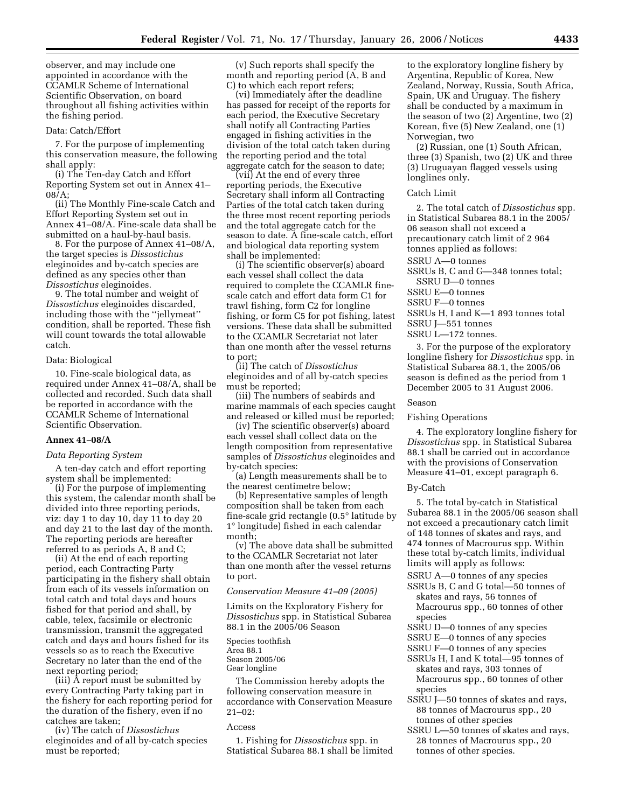observer, and may include one appointed in accordance with the CCAMLR Scheme of International Scientific Observation, on board throughout all fishing activities within the fishing period.

#### Data: Catch/Effort

7. For the purpose of implementing this conservation measure, the following shall apply:

(i) The Ten-day Catch and Effort Reporting System set out in Annex 41– 08/A;

(ii) The Monthly Fine-scale Catch and Effort Reporting System set out in Annex 41–08/A. Fine-scale data shall be submitted on a haul-by-haul basis.

8. For the purpose of Annex 41–08/A, the target species is *Dissostichus*  eleginoides and by-catch species are defined as any species other than *Dissostichus* eleginoides.

9. The total number and weight of *Dissostichus* eleginoides discarded, including those with the ''jellymeat'' condition, shall be reported. These fish will count towards the total allowable catch.

## Data: Biological

10. Fine-scale biological data, as required under Annex 41–08/A, shall be collected and recorded. Such data shall be reported in accordance with the CCAMLR Scheme of International Scientific Observation.

## **Annex 41–08/A**

## *Data Reporting System*

A ten-day catch and effort reporting system shall be implemented:

(i) For the purpose of implementing this system, the calendar month shall be divided into three reporting periods, viz: day 1 to day 10, day 11 to day 20 and day 21 to the last day of the month. The reporting periods are hereafter referred to as periods A, B and C;

(ii) At the end of each reporting period, each Contracting Party participating in the fishery shall obtain from each of its vessels information on total catch and total days and hours fished for that period and shall, by cable, telex, facsimile or electronic transmission, transmit the aggregated catch and days and hours fished for its vessels so as to reach the Executive Secretary no later than the end of the next reporting period;

(iii) A report must be submitted by every Contracting Party taking part in the fishery for each reporting period for the duration of the fishery, even if no catches are taken;

(iv) The catch of *Dissostichus*  eleginoides and of all by-catch species must be reported;

(v) Such reports shall specify the month and reporting period (A, B and C) to which each report refers;

(vi) Immediately after the deadline has passed for receipt of the reports for each period, the Executive Secretary shall notify all Contracting Parties engaged in fishing activities in the division of the total catch taken during the reporting period and the total aggregate catch for the season to date;

(vii) At the end of every three reporting periods, the Executive Secretary shall inform all Contracting Parties of the total catch taken during the three most recent reporting periods and the total aggregate catch for the season to date. A fine-scale catch, effort and biological data reporting system shall be implemented:

(i) The scientific observer(s) aboard each vessel shall collect the data required to complete the CCAMLR finescale catch and effort data form C1 for trawl fishing, form C2 for longline fishing, or form C5 for pot fishing, latest versions. These data shall be submitted to the CCAMLR Secretariat not later than one month after the vessel returns to port;

(ii) The catch of *Dissostichus*  eleginoides and of all by-catch species must be reported;

(iii) The numbers of seabirds and marine mammals of each species caught and released or killed must be reported;

(iv) The scientific observer(s) aboard each vessel shall collect data on the length composition from representative samples of *Dissostichus* eleginoides and by-catch species:

(a) Length measurements shall be to the nearest centimetre below;

(b) Representative samples of length composition shall be taken from each fine-scale grid rectangle (0.5° latitude by 1° longitude) fished in each calendar month;

(v) The above data shall be submitted to the CCAMLR Secretariat not later than one month after the vessel returns to port.

#### *Conservation Measure 41–09 (2005)*

Limits on the Exploratory Fishery for *Dissostichus* spp. in Statistical Subarea 88.1 in the 2005/06 Season

Species toothfish Area 88.1 Season 2005/06 Gear longline

The Commission hereby adopts the following conservation measure in accordance with Conservation Measure 21–02:

#### Access

1. Fishing for *Dissostichus* spp. in Statistical Subarea 88.1 shall be limited to the exploratory longline fishery by Argentina, Republic of Korea, New Zealand, Norway, Russia, South Africa, Spain, UK and Uruguay. The fishery shall be conducted by a maximum in the season of two (2) Argentine, two (2) Korean, five (5) New Zealand, one (1) Norwegian, two

(2) Russian, one (1) South African, three (3) Spanish, two (2) UK and three (3) Uruguayan flagged vessels using longlines only.

#### Catch Limit

2. The total catch of *Dissostichus* spp. in Statistical Subarea 88.1 in the 2005/ 06 season shall not exceed a precautionary catch limit of 2 964 tonnes applied as follows:

## SSRU A—0 tonnes

SSRUs B, C and G—348 tonnes total; SSRU D—0 tonnes

SSRU E—0 tonnes

SSRU F—0 tonnes

- SSRUs H, I and K—1 893 tonnes total
- SSRU J—551 tonnes

SSRU L—172 tonnes.

3. For the purpose of the exploratory longline fishery for *Dissostichus* spp. in Statistical Subarea 88.1, the 2005/06 season is defined as the period from 1 December 2005 to 31 August 2006.

## Season

## Fishing Operations

4. The exploratory longline fishery for *Dissostichus* spp. in Statistical Subarea 88.1 shall be carried out in accordance with the provisions of Conservation Measure 41–01, except paragraph 6.

#### By-Catch

5. The total by-catch in Statistical Subarea 88.1 in the 2005/06 season shall not exceed a precautionary catch limit of 148 tonnes of skates and rays, and 474 tonnes of Macrourus spp. Within these total by-catch limits, individual limits will apply as follows:

SSRU A—0 tonnes of any species

- SSRUs B, C and G total—50 tonnes of skates and rays, 56 tonnes of Macrourus spp., 60 tonnes of other species
- SSRU D—0 tonnes of any species
- SSRU E—0 tonnes of any species
- SSRU F—0 tonnes of any species
- SSRUs H, I and K total—95 tonnes of skates and rays, 303 tonnes of Macrourus spp., 60 tonnes of other species
- SSRU J—50 tonnes of skates and rays, 88 tonnes of Macrourus spp., 20 tonnes of other species
- SSRU L—50 tonnes of skates and rays, 28 tonnes of Macrourus spp., 20 tonnes of other species.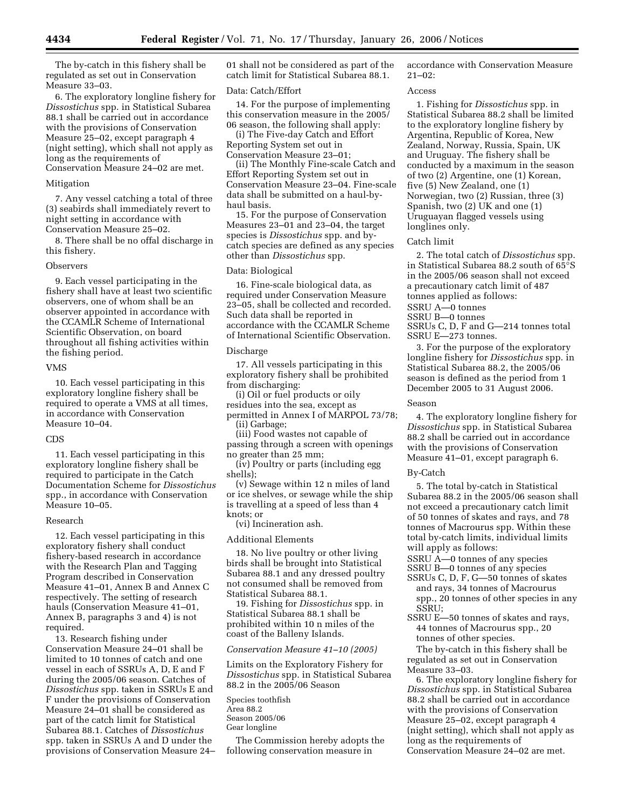The by-catch in this fishery shall be regulated as set out in Conservation Measure 33–03.

6. The exploratory longline fishery for *Dissostichus* spp. in Statistical Subarea 88.1 shall be carried out in accordance with the provisions of Conservation Measure 25–02, except paragraph 4 (night setting), which shall not apply as long as the requirements of Conservation Measure 24–02 are met.

## Mitigation

7. Any vessel catching a total of three (3) seabirds shall immediately revert to night setting in accordance with Conservation Measure 25–02.

8. There shall be no offal discharge in this fishery.

#### Observers

9. Each vessel participating in the fishery shall have at least two scientific observers, one of whom shall be an observer appointed in accordance with the CCAMLR Scheme of International Scientific Observation, on board throughout all fishing activities within the fishing period.

#### VMS

10. Each vessel participating in this exploratory longline fishery shall be required to operate a VMS at all times, in accordance with Conservation Measure 10–04.

## CDS

11. Each vessel participating in this exploratory longline fishery shall be required to participate in the Catch Documentation Scheme for *Dissostichus*  spp., in accordance with Conservation Measure 10–05.

#### Research

12. Each vessel participating in this exploratory fishery shall conduct fishery-based research in accordance with the Research Plan and Tagging Program described in Conservation Measure 41–01, Annex B and Annex C respectively. The setting of research hauls (Conservation Measure 41–01, Annex B, paragraphs 3 and 4) is not required.

13. Research fishing under Conservation Measure 24–01 shall be limited to 10 tonnes of catch and one vessel in each of SSRUs A, D, E and F during the 2005/06 season. Catches of *Dissostichus* spp. taken in SSRUs E and F under the provisions of Conservation Measure 24–01 shall be considered as part of the catch limit for Statistical Subarea 88.1. Catches of *Dissostichus*  spp. taken in SSRUs A and D under the provisions of Conservation Measure 24– 01 shall not be considered as part of the catch limit for Statistical Subarea 88.1.

## Data: Catch/Effort

14. For the purpose of implementing this conservation measure in the 2005/ 06 season, the following shall apply:

(i) The Five-day Catch and Effort Reporting System set out in Conservation Measure 23–01;

(ii) The Monthly Fine-scale Catch and Effort Reporting System set out in Conservation Measure 23–04. Fine-scale data shall be submitted on a haul-byhaul basis.

15. For the purpose of Conservation Measures 23–01 and 23–04, the target species is *Dissostichus* spp. and bycatch species are defined as any species other than *Dissostichus* spp.

#### Data: Biological

16. Fine-scale biological data, as required under Conservation Measure 23–05, shall be collected and recorded. Such data shall be reported in accordance with the CCAMLR Scheme of International Scientific Observation.

#### Discharge

17. All vessels participating in this exploratory fishery shall be prohibited from discharging:

(i) Oil or fuel products or oily residues into the sea, except as permitted in Annex I of MARPOL 73/78;

(ii) Garbage;

(iii) Food wastes not capable of passing through a screen with openings no greater than 25 mm;

(iv) Poultry or parts (including egg shells);

(v) Sewage within 12 n miles of land or ice shelves, or sewage while the ship is travelling at a speed of less than 4 knots; or

(vi) Incineration ash.

#### Additional Elements

18. No live poultry or other living birds shall be brought into Statistical Subarea 88.1 and any dressed poultry not consumed shall be removed from Statistical Subarea 88.1.

19. Fishing for *Dissostichus* spp. in Statistical Subarea 88.1 shall be prohibited within 10 n miles of the coast of the Balleny Islands.

## *Conservation Measure 41–10 (2005)*

Limits on the Exploratory Fishery for *Dissostichus* spp. in Statistical Subarea 88.2 in the 2005/06 Season

Species toothfish Area 88.2 Season 2005/06 Gear longline

The Commission hereby adopts the following conservation measure in

accordance with Conservation Measure 21–02:

#### Access

1. Fishing for *Dissostichus* spp. in Statistical Subarea 88.2 shall be limited to the exploratory longline fishery by Argentina, Republic of Korea, New Zealand, Norway, Russia, Spain, UK and Uruguay. The fishery shall be conducted by a maximum in the season of two (2) Argentine, one (1) Korean, five (5) New Zealand, one (1) Norwegian, two (2) Russian, three (3) Spanish, two (2) UK and one (1) Uruguayan flagged vessels using longlines only.

## Catch limit

2. The total catch of *Dissostichus* spp. in Statistical Subarea 88.2 south of 65°S in the 2005/06 season shall not exceed a precautionary catch limit of 487 tonnes applied as follows: SSRU A—0 tonnes

SSRU B—0 tonnes

SSRUs C, D, F and G—214 tonnes total SSRU E—273 tonnes.

3. For the purpose of the exploratory longline fishery for *Dissostichus* spp. in Statistical Subarea 88.2, the 2005/06 season is defined as the period from 1 December 2005 to 31 August 2006.

Season

4. The exploratory longline fishery for *Dissostichus* spp. in Statistical Subarea 88.2 shall be carried out in accordance with the provisions of Conservation Measure 41–01, except paragraph 6.

#### By-Catch

5. The total by-catch in Statistical Subarea 88.2 in the 2005/06 season shall not exceed a precautionary catch limit of 50 tonnes of skates and rays, and 78 tonnes of Macrourus spp. Within these total by-catch limits, individual limits will apply as follows:

SSRU A—0 tonnes of any species

- SSRU B—0 tonnes of any species
- SSRUs C, D, F, G—50 tonnes of skates and rays, 34 tonnes of Macrourus spp., 20 tonnes of other species in any SSRU;

SSRU E—50 tonnes of skates and rays, 44 tonnes of Macrourus spp., 20 tonnes of other species.

The by-catch in this fishery shall be regulated as set out in Conservation Measure 33–03.

6. The exploratory longline fishery for *Dissostichus* spp. in Statistical Subarea 88.2 shall be carried out in accordance with the provisions of Conservation Measure 25–02, except paragraph 4 (night setting), which shall not apply as long as the requirements of Conservation Measure 24–02 are met.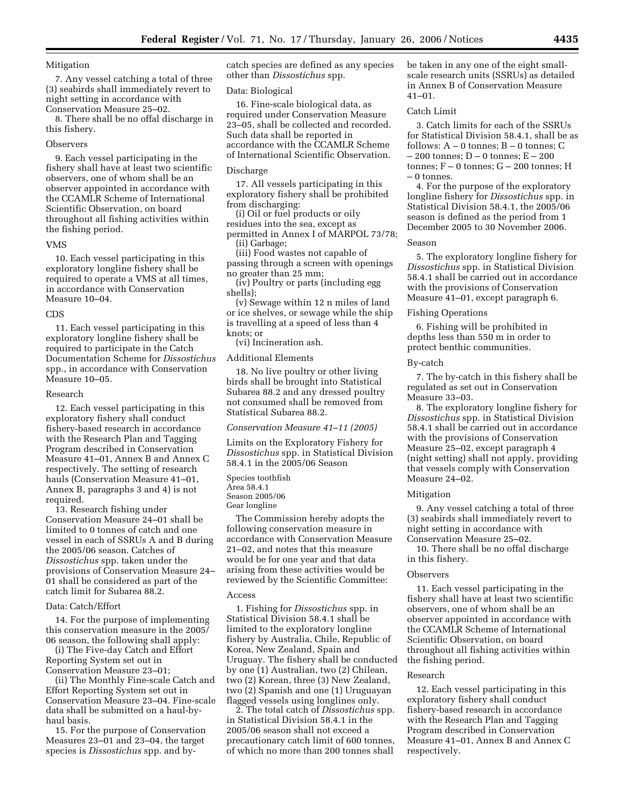## Mitigation

7. Any vessel catching a total of three (3) seabirds shall immediately revert to night setting in accordance with Conservation Measure 25–02.

8. There shall be no offal discharge in this fishery.

## **Observers**

9. Each vessel participating in the fishery shall have at least two scientific observers, one of whom shall be an observer appointed in accordance with the CCAMLR Scheme of International Scientific Observation, on board throughout all fishing activities within the fishing period.

#### VMS

10. Each vessel participating in this exploratory longline fishery shall be required to operate a VMS at all times, in accordance with Conservation Measure 10–04.

#### CDS

11. Each vessel participating in this exploratory longline fishery shall be required to participate in the Catch Documentation Scheme for *Dissostichus*  spp., in accordance with Conservation Measure 10–05.

#### Research

12. Each vessel participating in this exploratory fishery shall conduct fishery-based research in accordance with the Research Plan and Tagging Program described in Conservation Measure 41–01, Annex B and Annex C respectively. The setting of research hauls (Conservation Measure 41–01, Annex B, paragraphs 3 and 4) is not required.

13. Research fishing under Conservation Measure 24–01 shall be limited to 0 tonnes of catch and one vessel in each of SSRUs A and B during the 2005/06 season. Catches of *Dissostichus* spp. taken under the provisions of Conservation Measure 24– 01 shall be considered as part of the catch limit for Subarea 88.2.

#### Data: Catch/Effort

14. For the purpose of implementing this conservation measure in the 2005/ 06 season, the following shall apply:

(i) The Five-day Catch and Effort Reporting System set out in Conservation Measure 23–01;

(ii) The Monthly Fine-scale Catch and Effort Reporting System set out in Conservation Measure 23–04. Fine-scale data shall be submitted on a haul-byhaul basis.

15. For the purpose of Conservation Measures 23–01 and 23–04, the target species is *Dissostichus* spp. and bycatch species are defined as any species other than *Dissostichus* spp.

## Data: Biological

16. Fine-scale biological data, as required under Conservation Measure 23–05, shall be collected and recorded. Such data shall be reported in accordance with the CCAMLR Scheme of International Scientific Observation.

#### Discharge

17. All vessels participating in this exploratory fishery shall be prohibited from discharging:

(i) Oil or fuel products or oily residues into the sea, except as permitted in Annex I of MARPOL 73/78;

(ii) Garbage;

(iii) Food wastes not capable of passing through a screen with openings no greater than 25 mm;

(iv) Poultry or parts (including egg shells);

(v) Sewage within 12 n miles of land or ice shelves, or sewage while the ship is travelling at a speed of less than 4 knots; or

(vi) Incineration ash.

## Additional Elements

18. No live poultry or other living birds shall be brought into Statistical Subarea 88.2 and any dressed poultry not consumed shall be removed from Statistical Subarea 88.2.

#### *Conservation Measure 41–11 (2005)*

Limits on the Exploratory Fishery for *Dissostichus* spp. in Statistical Division 58.4.1 in the 2005/06 Season

Species toothfish Area 58.4.1 Season 2005/06 Gear longline

The Commission hereby adopts the following conservation measure in accordance with Conservation Measure 21–02, and notes that this measure would be for one year and that data arising from these activities would be reviewed by the Scientific Committee:

#### Access

1. Fishing for *Dissostichus* spp. in Statistical Division 58.4.1 shall be limited to the exploratory longline fishery by Australia, Chile, Republic of Korea, New Zealand, Spain and Uruguay. The fishery shall be conducted by one (1) Australian, two (2) Chilean, two (2) Korean, three (3) New Zealand, two (2) Spanish and one (1) Uruguayan flagged vessels using longlines only.

2. The total catch of *Dissostichus* spp. in Statistical Division 58.4.1 in the 2005/06 season shall not exceed a precautionary catch limit of 600 tonnes, of which no more than 200 tonnes shall

be taken in any one of the eight smallscale research units (SSRUs) as detailed in Annex B of Conservation Measure 41–01.

## Catch Limit

3. Catch limits for each of the SSRUs for Statistical Division 58.4.1, shall be as follows:  $A - 0$  tonnes;  $B - 0$  tonnes;  $C$ – 200 tonnes; D – 0 tonnes; E – 200 tonnes; F – 0 tonnes; G – 200 tonnes; H – 0 tonnes.

4. For the purpose of the exploratory longline fishery for *Dissostichus* spp. in Statistical Division 58.4.1, the 2005/06 season is defined as the period from 1 December 2005 to 30 November 2006.

#### Season

5. The exploratory longline fishery for *Dissostichus* spp. in Statistical Division 58.4.1 shall be carried out in accordance with the provisions of Conservation Measure 41–01, except paragraph 6.

#### Fishing Operations

6. Fishing will be prohibited in depths less than 550 m in order to protect benthic communities.

#### By-catch

7. The by-catch in this fishery shall be regulated as set out in Conservation Measure 33–03.

8. The exploratory longline fishery for *Dissostichus* spp. in Statistical Division 58.4.1 shall be carried out in accordance with the provisions of Conservation Measure 25–02, except paragraph 4 (night setting) shall not apply, providing that vessels comply with Conservation Measure 24–02.

#### Mitigation

9. Any vessel catching a total of three (3) seabirds shall immediately revert to night setting in accordance with Conservation Measure 25–02.

10. There shall be no offal discharge in this fishery.

#### **Observers**

11. Each vessel participating in the fishery shall have at least two scientific observers, one of whom shall be an observer appointed in accordance with the CCAMLR Scheme of International Scientific Observation, on board throughout all fishing activities within the fishing period.

#### Research

12. Each vessel participating in this exploratory fishery shall conduct fishery-based research in accordance with the Research Plan and Tagging Program described in Conservation Measure 41–01, Annex B and Annex C respectively.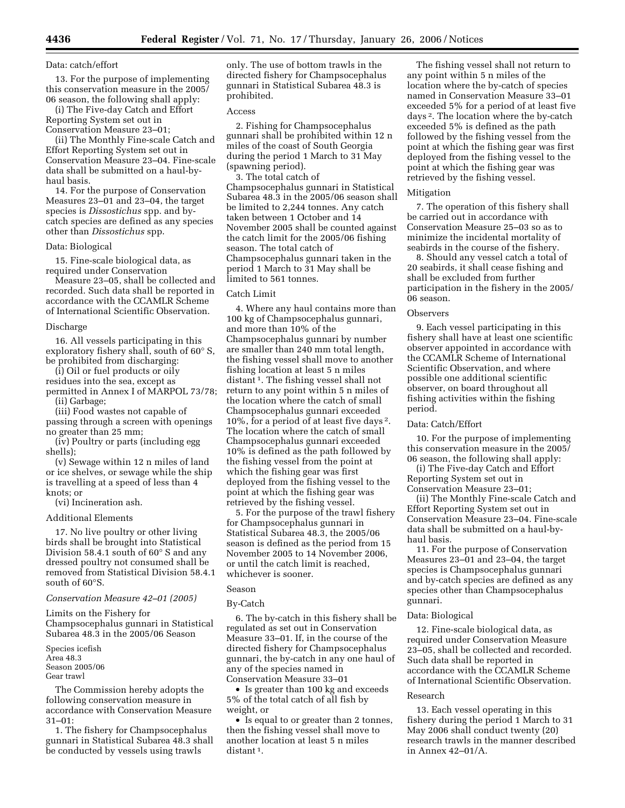## Data: catch/effort

13. For the purpose of implementing this conservation measure in the 2005/ 06 season, the following shall apply:

(i) The Five-day Catch and Effort Reporting System set out in Conservation Measure 23–01;

(ii) The Monthly Fine-scale Catch and Effort Reporting System set out in Conservation Measure 23–04. Fine-scale data shall be submitted on a haul-byhaul basis.

14. For the purpose of Conservation Measures 23–01 and 23–04, the target species is *Dissostichus* spp. and bycatch species are defined as any species other than *Dissostichus* spp.

#### Data: Biological

15. Fine-scale biological data, as required under Conservation

Measure 23–05, shall be collected and recorded. Such data shall be reported in accordance with the CCAMLR Scheme of International Scientific Observation.

#### Discharge

16. All vessels participating in this exploratory fishery shall, south of 60° S, be prohibited from discharging:

(i) Oil or fuel products or oily residues into the sea, except as permitted in Annex I of MARPOL 73/78; (ii) Garbage;

(iii) Food wastes not capable of passing through a screen with openings no greater than 25 mm;

(iv) Poultry or parts (including egg shells);

(v) Sewage within 12 n miles of land or ice shelves, or sewage while the ship is travelling at a speed of less than 4 knots; or

(vi) Incineration ash.

#### Additional Elements

17. No live poultry or other living birds shall be brought into Statistical Division 58.4.1 south of 60° S and any dressed poultry not consumed shall be removed from Statistical Division 58.4.1 south of 60°S.

#### *Conservation Measure 42–01 (2005)*

Limits on the Fishery for Champsocephalus gunnari in Statistical Subarea 48.3 in the 2005/06 Season

Species icefish Area 48.3 Season 2005/06 Gear trawl

The Commission hereby adopts the following conservation measure in accordance with Conservation Measure 31–01:

1. The fishery for Champsocephalus gunnari in Statistical Subarea 48.3 shall be conducted by vessels using trawls

only. The use of bottom trawls in the directed fishery for Champsocephalus gunnari in Statistical Subarea 48.3 is prohibited.

#### Access

2. Fishing for Champsocephalus gunnari shall be prohibited within 12 n miles of the coast of South Georgia during the period 1 March to 31 May (spawning period).

3. The total catch of Champsocephalus gunnari in Statistical Subarea 48.3 in the 2005/06 season shall be limited to 2,244 tonnes. Any catch taken between 1 October and 14 November 2005 shall be counted against the catch limit for the 2005/06 fishing season. The total catch of Champsocephalus gunnari taken in the period 1 March to 31 May shall be limited to 561 tonnes.

#### Catch Limit

4. Where any haul contains more than 100 kg of Champsocephalus gunnari, and more than 10% of the Champsocephalus gunnari by number are smaller than 240 mm total length, the fishing vessel shall move to another fishing location at least 5 n miles distant<sup>1</sup>. The fishing vessel shall not return to any point within 5 n miles of the location where the catch of small Champsocephalus gunnari exceeded 10%, for a period of at least five days 2. The location where the catch of small Champsocephalus gunnari exceeded 10% is defined as the path followed by the fishing vessel from the point at which the fishing gear was first deployed from the fishing vessel to the point at which the fishing gear was retrieved by the fishing vessel.

5. For the purpose of the trawl fishery for Champsocephalus gunnari in Statistical Subarea 48.3, the 2005/06 season is defined as the period from 15 November 2005 to 14 November 2006, or until the catch limit is reached, whichever is sooner.

## Season

## By-Catch

6. The by-catch in this fishery shall be regulated as set out in Conservation Measure 33–01. If, in the course of the directed fishery for Champsocephalus gunnari, the by-catch in any one haul of any of the species named in Conservation Measure 33–01

• Is greater than 100 kg and exceeds 5% of the total catch of all fish by weight, or

• Is equal to or greater than 2 tonnes, then the fishing vessel shall move to another location at least 5 n miles distant<sup>1</sup>.

The fishing vessel shall not return to any point within 5 n miles of the location where the by-catch of species named in Conservation Measure 33–01 exceeded 5% for a period of at least five days 2. The location where the by-catch exceeded 5% is defined as the path followed by the fishing vessel from the point at which the fishing gear was first deployed from the fishing vessel to the point at which the fishing gear was retrieved by the fishing vessel.

#### Mitigation

7. The operation of this fishery shall be carried out in accordance with Conservation Measure 25–03 so as to minimize the incidental mortality of seabirds in the course of the fishery.

8. Should any vessel catch a total of 20 seabirds, it shall cease fishing and shall be excluded from further participation in the fishery in the 2005/ 06 season.

#### **Observers**

9. Each vessel participating in this fishery shall have at least one scientific observer appointed in accordance with the CCAMLR Scheme of International Scientific Observation, and where possible one additional scientific observer, on board throughout all fishing activities within the fishing period.

#### Data: Catch/Effort

10. For the purpose of implementing this conservation measure in the 2005/ 06 season, the following shall apply:

(i) The Five-day Catch and Effort Reporting System set out in Conservation Measure 23–01;

(ii) The Monthly Fine-scale Catch and Effort Reporting System set out in Conservation Measure 23–04. Fine-scale data shall be submitted on a haul-byhaul basis.

11. For the purpose of Conservation Measures 23–01 and 23–04, the target species is Champsocephalus gunnari and by-catch species are defined as any species other than Champsocephalus gunnari.

#### Data: Biological

12. Fine-scale biological data, as required under Conservation Measure 23–05, shall be collected and recorded. Such data shall be reported in accordance with the CCAMLR Scheme of International Scientific Observation.

#### Research

13. Each vessel operating in this fishery during the period 1 March to 31 May 2006 shall conduct twenty (20) research trawls in the manner described in Annex 42–01/A.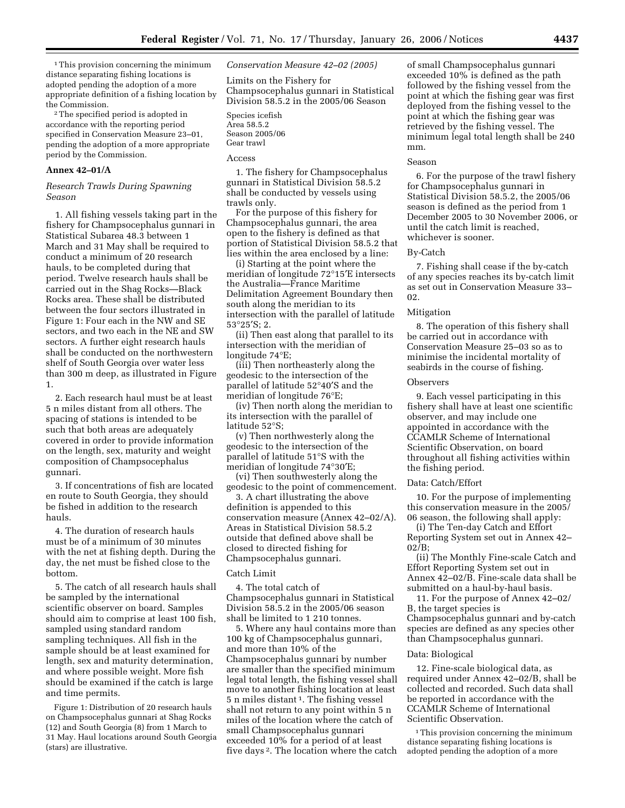1This provision concerning the minimum distance separating fishing locations is adopted pending the adoption of a more appropriate definition of a fishing location by the Commission.<br><sup>2</sup>The specified period is adopted in

accordance with the reporting period specified in Conservation Measure 23–01, pending the adoption of a more appropriate period by the Commission.

#### **Annex 42–01/A**

## *Research Trawls During Spawning Season*

1. All fishing vessels taking part in the fishery for Champsocephalus gunnari in Statistical Subarea 48.3 between 1 March and 31 May shall be required to conduct a minimum of 20 research hauls, to be completed during that period. Twelve research hauls shall be carried out in the Shag Rocks—Black Rocks area. These shall be distributed between the four sectors illustrated in Figure 1: Four each in the NW and SE sectors, and two each in the NE and SW sectors. A further eight research hauls shall be conducted on the northwestern shelf of South Georgia over water less than 300 m deep, as illustrated in Figure 1.

2. Each research haul must be at least 5 n miles distant from all others. The spacing of stations is intended to be such that both areas are adequately covered in order to provide information on the length, sex, maturity and weight composition of Champsocephalus gunnari.

3. If concentrations of fish are located en route to South Georgia, they should be fished in addition to the research hauls.

4. The duration of research hauls must be of a minimum of 30 minutes with the net at fishing depth. During the day, the net must be fished close to the bottom.

5. The catch of all research hauls shall be sampled by the international scientific observer on board. Samples should aim to comprise at least 100 fish, sampled using standard random sampling techniques. All fish in the sample should be at least examined for length, sex and maturity determination, and where possible weight. More fish should be examined if the catch is large and time permits.

Figure 1: Distribution of 20 research hauls on Champsocephalus gunnari at Shag Rocks (12) and South Georgia (8) from 1 March to 31 May. Haul locations around South Georgia (stars) are illustrative.

*Conservation Measure 42–02 (2005)* 

Limits on the Fishery for Champsocephalus gunnari in Statistical Division 58.5.2 in the 2005/06 Season

Species icefish Area 58.5.2 Season 2005/06 Gear trawl

Access

1. The fishery for Champsocephalus gunnari in Statistical Division 58.5.2 shall be conducted by vessels using trawls only.

For the purpose of this fishery for Champsocephalus gunnari, the area open to the fishery is defined as that portion of Statistical Division 58.5.2 that lies within the area enclosed by a line:

(i) Starting at the point where the meridian of longitude 72°15′E intersects the Australia—France Maritime Delimitation Agreement Boundary then south along the meridian to its intersection with the parallel of latitude 53°25′S; 2.

(ii) Then east along that parallel to its intersection with the meridian of longitude 74°E;

(iii) Then northeasterly along the geodesic to the intersection of the parallel of latitude 52°40′S and the meridian of longitude 76°E;

(iv) Then north along the meridian to its intersection with the parallel of latitude 52°S;

(v) Then northwesterly along the geodesic to the intersection of the parallel of latitude 51°S with the meridian of longitude 74°30′E;

(vi) Then southwesterly along the geodesic to the point of commencement.

3. A chart illustrating the above definition is appended to this conservation measure (Annex 42–02/A). Areas in Statistical Division 58.5.2 outside that defined above shall be closed to directed fishing for Champsocephalus gunnari.

#### Catch Limit

4. The total catch of Champsocephalus gunnari in Statistical Division 58.5.2 in the 2005/06 season shall be limited to 1 210 tonnes.

5. Where any haul contains more than 100 kg of Champsocephalus gunnari, and more than 10% of the Champsocephalus gunnari by number are smaller than the specified minimum legal total length, the fishing vessel shall move to another fishing location at least 5 n miles distant 1. The fishing vessel shall not return to any point within 5 n miles of the location where the catch of small Champsocephalus gunnari exceeded 10% for a period of at least five days 2. The location where the catch of small Champsocephalus gunnari exceeded 10% is defined as the path followed by the fishing vessel from the point at which the fishing gear was first deployed from the fishing vessel to the point at which the fishing gear was retrieved by the fishing vessel. The minimum legal total length shall be 240 mm.

## Season

6. For the purpose of the trawl fishery for Champsocephalus gunnari in Statistical Division 58.5.2, the 2005/06 season is defined as the period from 1 December 2005 to 30 November 2006, or until the catch limit is reached, whichever is sooner.

## By-Catch

7. Fishing shall cease if the by-catch of any species reaches its by-catch limit as set out in Conservation Measure 33– 02.

## Mitigation

8. The operation of this fishery shall be carried out in accordance with Conservation Measure 25–03 so as to minimise the incidental mortality of seabirds in the course of fishing.

#### Observers

9. Each vessel participating in this fishery shall have at least one scientific observer, and may include one appointed in accordance with the CCAMLR Scheme of International Scientific Observation, on board throughout all fishing activities within the fishing period.

## Data: Catch/Effort

10. For the purpose of implementing this conservation measure in the 2005/ 06 season, the following shall apply:

(i) The Ten-day Catch and Effort Reporting System set out in Annex 42– 02/B;

(ii) The Monthly Fine-scale Catch and Effort Reporting System set out in Annex 42–02/B. Fine-scale data shall be submitted on a haul-by-haul basis.

11. For the purpose of Annex 42–02/ B, the target species is Champsocephalus gunnari and by-catch species are defined as any species other

than Champsocephalus gunnari.

## Data: Biological

12. Fine-scale biological data, as required under Annex 42–02/B, shall be collected and recorded. Such data shall be reported in accordance with the CCAMLR Scheme of International Scientific Observation.

1This provision concerning the minimum distance separating fishing locations is adopted pending the adoption of a more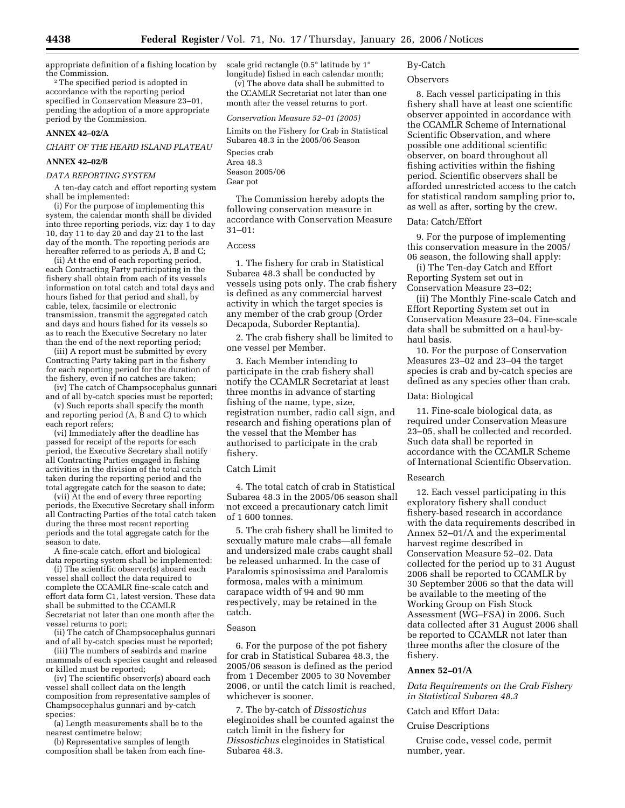appropriate definition of a fishing location by the Commission.<br><sup>2</sup>The specified period is adopted in

accordance with the reporting period specified in Conservation Measure 23–01, pending the adoption of a more appropriate period by the Commission.

#### **ANNEX 42–02/A**

#### *CHART OF THE HEARD ISLAND PLATEAU*

## **ANNEX 42–02/B**

#### *DATA REPORTING SYSTEM*

A ten-day catch and effort reporting system shall be implemented:

(i) For the purpose of implementing this system, the calendar month shall be divided into three reporting periods, viz: day 1 to day 10, day 11 to day 20 and day 21 to the last day of the month. The reporting periods are hereafter referred to as periods A, B and C;

(ii) At the end of each reporting period, each Contracting Party participating in the fishery shall obtain from each of its vessels information on total catch and total days and hours fished for that period and shall, by cable, telex, facsimile or electronic transmission, transmit the aggregated catch and days and hours fished for its vessels so as to reach the Executive Secretary no later than the end of the next reporting period;

(iii) A report must be submitted by every Contracting Party taking part in the fishery for each reporting period for the duration of the fishery, even if no catches are taken;

(iv) The catch of Champsocephalus gunnari and of all by-catch species must be reported;

(v) Such reports shall specify the month and reporting period (A, B and C) to which each report refers;

(vi) Immediately after the deadline has passed for receipt of the reports for each period, the Executive Secretary shall notify all Contracting Parties engaged in fishing activities in the division of the total catch taken during the reporting period and the total aggregate catch for the season to date;

(vii) At the end of every three reporting periods, the Executive Secretary shall inform all Contracting Parties of the total catch taken during the three most recent reporting periods and the total aggregate catch for the season to date.

A fine-scale catch, effort and biological data reporting system shall be implemented:

(i) The scientific observer(s) aboard each vessel shall collect the data required to complete the CCAMLR fine-scale catch and effort data form C1, latest version. These data shall be submitted to the CCAMLR Secretariat not later than one month after the vessel returns to port;

(ii) The catch of Champsocephalus gunnari and of all by-catch species must be reported;

(iii) The numbers of seabirds and marine mammals of each species caught and released or killed must be reported;

(iv) The scientific observer(s) aboard each vessel shall collect data on the length composition from representative samples of Champsocephalus gunnari and by-catch species:

(a) Length measurements shall be to the nearest centimetre below;

(b) Representative samples of length composition shall be taken from each finescale grid rectangle (0.5° latitude by 1° longitude) fished in each calendar month;

(v) The above data shall be submitted to the CCAMLR Secretariat not later than one month after the vessel returns to port.

#### *Conservation Measure 52–01 (2005)*

Limits on the Fishery for Crab in Statistical Subarea 48.3 in the 2005/06 Season

Species crab Area 48.3 Season 2005/06 Gear pot

The Commission hereby adopts the following conservation measure in accordance with Conservation Measure  $31 - 01$ :

## Access

1. The fishery for crab in Statistical Subarea 48.3 shall be conducted by vessels using pots only. The crab fishery is defined as any commercial harvest activity in which the target species is any member of the crab group (Order Decapoda, Suborder Reptantia).

2. The crab fishery shall be limited to one vessel per Member.

3. Each Member intending to participate in the crab fishery shall notify the CCAMLR Secretariat at least three months in advance of starting fishing of the name, type, size, registration number, radio call sign, and research and fishing operations plan of the vessel that the Member has authorised to participate in the crab fishery.

## Catch Limit

4. The total catch of crab in Statistical Subarea 48.3 in the 2005/06 season shall not exceed a precautionary catch limit of 1 600 tonnes.

5. The crab fishery shall be limited to sexually mature male crabs—all female and undersized male crabs caught shall be released unharmed. In the case of Paralomis spinosissima and Paralomis formosa, males with a minimum carapace width of 94 and 90 mm respectively, may be retained in the catch.

## Season

6. For the purpose of the pot fishery for crab in Statistical Subarea 48.3, the 2005/06 season is defined as the period from 1 December 2005 to 30 November 2006, or until the catch limit is reached, whichever is sooner.

7. The by-catch of *Dissostichus*  eleginoides shall be counted against the catch limit in the fishery for *Dissostichus* eleginoides in Statistical Subarea 48.3.

## By-Catch

#### **Observers**

8. Each vessel participating in this fishery shall have at least one scientific observer appointed in accordance with the CCAMLR Scheme of International Scientific Observation, and where possible one additional scientific observer, on board throughout all fishing activities within the fishing period. Scientific observers shall be afforded unrestricted access to the catch for statistical random sampling prior to, as well as after, sorting by the crew.

## Data: Catch/Effort

9. For the purpose of implementing this conservation measure in the 2005/ 06 season, the following shall apply:

(i) The Ten-day Catch and Effort Reporting System set out in Conservation Measure 23–02;

(ii) The Monthly Fine-scale Catch and Effort Reporting System set out in Conservation Measure 23–04. Fine-scale data shall be submitted on a haul-byhaul basis.

10. For the purpose of Conservation Measures 23–02 and 23–04 the target species is crab and by-catch species are defined as any species other than crab.

## Data: Biological

11. Fine-scale biological data, as required under Conservation Measure 23–05, shall be collected and recorded. Such data shall be reported in accordance with the CCAMLR Scheme of International Scientific Observation.

#### Research

12. Each vessel participating in this exploratory fishery shall conduct fishery-based research in accordance with the data requirements described in Annex 52–01/A and the experimental harvest regime described in Conservation Measure 52–02. Data collected for the period up to 31 August 2006 shall be reported to CCAMLR by 30 September 2006 so that the data will be available to the meeting of the Working Group on Fish Stock Assessment (WG–FSA) in 2006. Such data collected after 31 August 2006 shall be reported to CCAMLR not later than three months after the closure of the fishery.

#### **Annex 52–01/A**

*Data Requirements on the Crab Fishery in Statistical Subarea 48.3* 

#### Catch and Effort Data:

Cruise Descriptions

Cruise code, vessel code, permit number, year.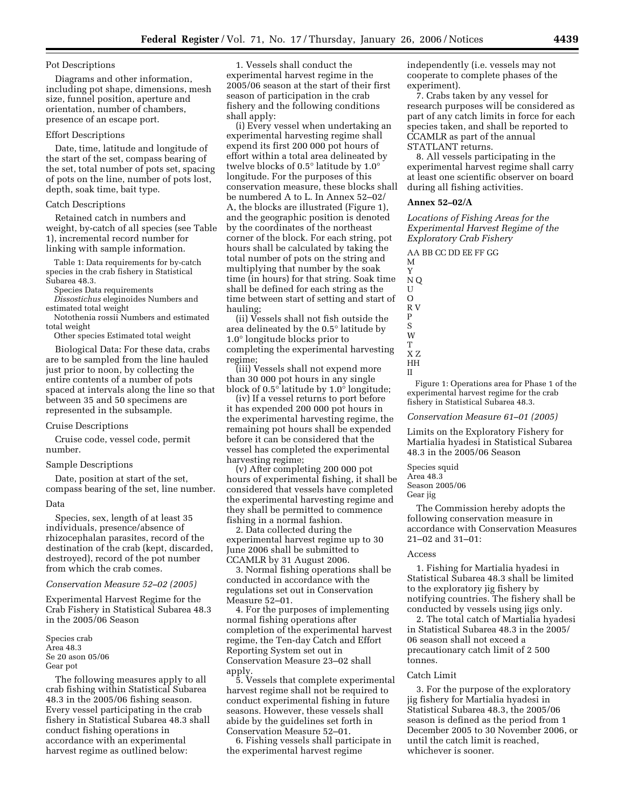## Pot Descriptions

Diagrams and other information, including pot shape, dimensions, mesh size, funnel position, aperture and orientation, number of chambers, presence of an escape port.

## Effort Descriptions

Date, time, latitude and longitude of the start of the set, compass bearing of the set, total number of pots set, spacing of pots on the line, number of pots lost, depth, soak time, bait type.

#### Catch Descriptions

Retained catch in numbers and weight, by-catch of all species (see Table 1), incremental record number for linking with sample information.

Table 1: Data requirements for by-catch species in the crab fishery in Statistical Subarea 48.3.

Species Data requirements

*Dissostichus* eleginoides Numbers and estimated total weight

Notothenia rossii Numbers and estimated total weight

Other species Estimated total weight

Biological Data: For these data, crabs are to be sampled from the line hauled just prior to noon, by collecting the entire contents of a number of pots spaced at intervals along the line so that between 35 and 50 specimens are represented in the subsample.

#### Cruise Descriptions

Cruise code, vessel code, permit number.

#### Sample Descriptions

Date, position at start of the set, compass bearing of the set, line number.

## Data

Species, sex, length of at least 35 individuals, presence/absence of rhizocephalan parasites, record of the destination of the crab (kept, discarded, destroyed), record of the pot number from which the crab comes.

## *Conservation Measure 52–02 (2005)*

Experimental Harvest Regime for the Crab Fishery in Statistical Subarea 48.3 in the 2005/06 Season

Species crab Area 48.3 Se 20 ason 05/06 Gear pot

The following measures apply to all crab fishing within Statistical Subarea 48.3 in the 2005/06 fishing season. Every vessel participating in the crab fishery in Statistical Subarea 48.3 shall conduct fishing operations in accordance with an experimental harvest regime as outlined below:

1. Vessels shall conduct the experimental harvest regime in the 2005/06 season at the start of their first season of participation in the crab fishery and the following conditions shall apply:

(i) Every vessel when undertaking an experimental harvesting regime shall expend its first 200 000 pot hours of effort within a total area delineated by twelve blocks of 0.5° latitude by 1.0° longitude. For the purposes of this conservation measure, these blocks shall be numbered A to L. In Annex 52–02/ A, the blocks are illustrated (Figure 1), and the geographic position is denoted by the coordinates of the northeast corner of the block. For each string, pot hours shall be calculated by taking the total number of pots on the string and multiplying that number by the soak time (in hours) for that string. Soak time shall be defined for each string as the time between start of setting and start of hauling;

(ii) Vessels shall not fish outside the area delineated by the 0.5° latitude by 1.0° longitude blocks prior to completing the experimental harvesting regime;

(iii) Vessels shall not expend more than 30 000 pot hours in any single block of 0.5° latitude by 1.0° longitude;

(iv) If a vessel returns to port before it has expended 200 000 pot hours in the experimental harvesting regime, the remaining pot hours shall be expended before it can be considered that the vessel has completed the experimental harvesting regime;

(v) After completing 200 000 pot hours of experimental fishing, it shall be considered that vessels have completed the experimental harvesting regime and they shall be permitted to commence fishing in a normal fashion.

2. Data collected during the experimental harvest regime up to 30 June 2006 shall be submitted to CCAMLR by 31 August 2006.

3. Normal fishing operations shall be conducted in accordance with the regulations set out in Conservation Measure 52–01.

4. For the purposes of implementing normal fishing operations after completion of the experimental harvest regime, the Ten-day Catch and Effort Reporting System set out in Conservation Measure 23–02 shall apply.

5. Vessels that complete experimental harvest regime shall not be required to conduct experimental fishing in future seasons. However, these vessels shall abide by the guidelines set forth in Conservation Measure 52–01.

6. Fishing vessels shall participate in the experimental harvest regime

independently (i.e. vessels may not cooperate to complete phases of the experiment).

7. Crabs taken by any vessel for research purposes will be considered as part of any catch limits in force for each species taken, and shall be reported to CCAMLR as part of the annual STATLANT returns.

8. All vessels participating in the experimental harvest regime shall carry at least one scientific observer on board during all fishing activities.

## **Annex 52–02/A**

*Locations of Fishing Areas for the Experimental Harvest Regime of the Exploratory Crab Fishery* 

AA BB CC DD EE FF GG

Y N Q  $U$ O R V P S W

M

T X Z

HH

II

Figure 1: Operations area for Phase 1 of the experimental harvest regime for the crab fishery in Statistical Subarea 48.3.

*Conservation Measure 61–01 (2005)* 

Limits on the Exploratory Fishery for Martialia hyadesi in Statistical Subarea 48.3 in the 2005/06 Season

Species squid Area 48.3 Season 2005/06

Gear jig

The Commission hereby adopts the following conservation measure in accordance with Conservation Measures 21–02 and 31–01:

## Access

1. Fishing for Martialia hyadesi in Statistical Subarea 48.3 shall be limited to the exploratory jig fishery by notifying countries. The fishery shall be conducted by vessels using jigs only.

2. The total catch of Martialia hyadesi in Statistical Subarea 48.3 in the 2005/ 06 season shall not exceed a precautionary catch limit of 2 500 tonnes.

## Catch Limit

3. For the purpose of the exploratory jig fishery for Martialia hyadesi in Statistical Subarea 48.3, the 2005/06 season is defined as the period from 1 December 2005 to 30 November 2006, or until the catch limit is reached, whichever is sooner.